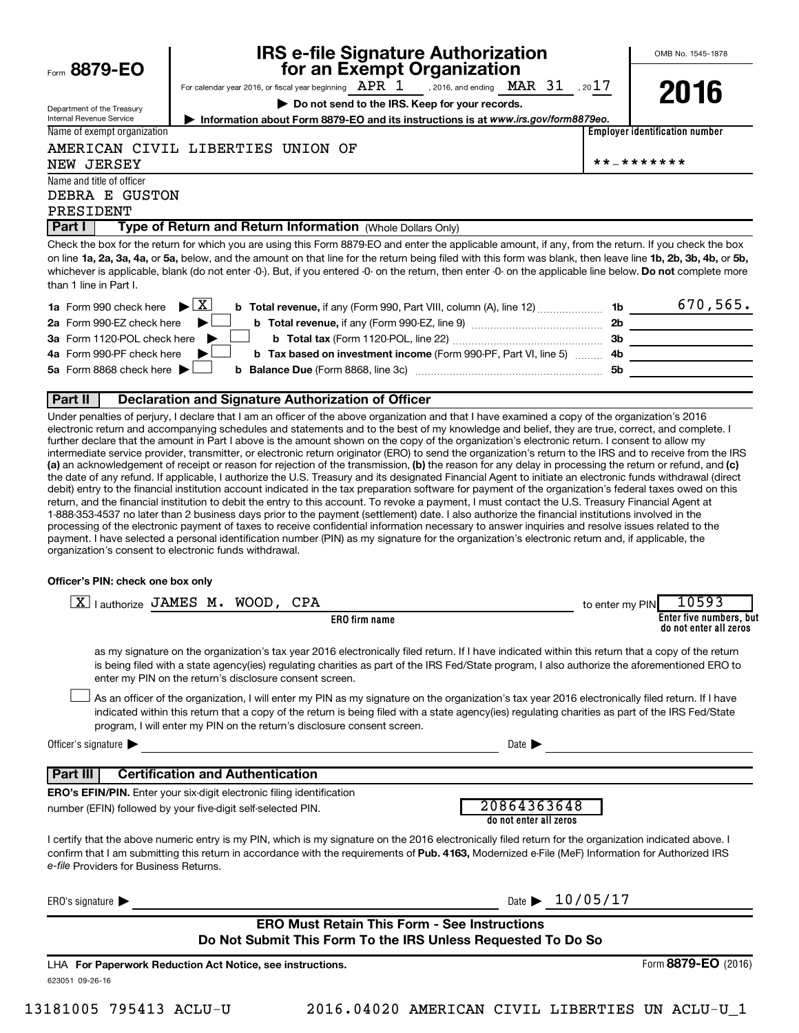| Form $8879 - EO$ |  |
|------------------|--|
|                  |  |

Department of the Treasury

# **IRS e-file Signature Authorization**<br>**687 for an Exempt Organization**

OMB No. 1545-1878

For calendar year 2016, or fiscal year beginning  $\begin{array}{ccc} \texttt{APR} & 1 & ,$  2016, and ending  $\begin{array}{ccc} \texttt{MAR} & 31 & , 2017 \end{array}$ **| Do not send to the IRS. Keep for your records.** , 2016, and ending  $\rm\, MAR$   $\rm\, 31$ 

**2016**

| Internal Revenue Service    | Information about Form 8879-EO and its instructions is at www.irs.gov/form8879eo. |      |
|-----------------------------|-----------------------------------------------------------------------------------|------|
| Name of exempt organization |                                                                                   | Empl |

**Employer identification number**

AMERICAN CIVIL LIBERTIES UNION OF

NEW JERSEY \*\*-\*\*\*\*\*\*\*

Name and title of officer DEBRA E GUSTON

PRESIDENT

**Part I** | Type of Return and Return Information (Whole Dollars Only)

on line 1a, 2a, 3a, 4a, or 5a, below, and the amount on that line for the return being filed with this form was blank, then leave line 1b, 2b, 3b, 4b, or 5b, whichever is applicable, blank (do not enter -0-). But, if you entered -0- on the return, then enter -0- on the applicable line below. **Do not** complete more Check the box for the return for which you are using this Form 8879-EO and enter the applicable amount, if any, from the return. If you check the box than 1 line in Part I.

| <b>1a</b> Form 990 check here $\triangleright$ $\boxed{X}$<br><b>b</b> Total revenue, if any (Form 990, Part VIII, column (A), line 12) <b>1b</b> |                | 670, 565. |
|---------------------------------------------------------------------------------------------------------------------------------------------------|----------------|-----------|
| 2a Form 990-EZ check here $\blacktriangleright$<br>b Total revenue, if any (Form 990-EZ, line 9)                                                  | 2 <sub>b</sub> |           |
| 3a Form 1120-POL check here $\blacktriangleright$                                                                                                 | -3b            |           |
| 4a Form 990-PF check here $\blacktriangleright$<br><b>b</b> Tax based on investment income (Form 990-PF, Part VI, line 5) 4b                      |                |           |
| 5a Form 8868 check here $\blacktriangleright$                                                                                                     | .5b            |           |
|                                                                                                                                                   |                |           |

#### **Part II Declaration and Signature Authorization of Officer**

(a) an acknowledgement of receipt or reason for rejection of the transmission, (b) the reason for any delay in processing the return or refund, and (c) Under penalties of perjury, I declare that I am an officer of the above organization and that I have examined a copy of the organization's 2016 electronic return and accompanying schedules and statements and to the best of my knowledge and belief, they are true, correct, and complete. I further declare that the amount in Part I above is the amount shown on the copy of the organization's electronic return. I consent to allow my intermediate service provider, transmitter, or electronic return originator (ERO) to send the organization's return to the IRS and to receive from the IRS the date of any refund. If applicable, I authorize the U.S. Treasury and its designated Financial Agent to initiate an electronic funds withdrawal (direct debit) entry to the financial institution account indicated in the tax preparation software for payment of the organization's federal taxes owed on this return, and the financial institution to debit the entry to this account. To revoke a payment, I must contact the U.S. Treasury Financial Agent at 1-888-353-4537 no later than 2 business days prior to the payment (settlement) date. I also authorize the financial institutions involved in the processing of the electronic payment of taxes to receive confidential information necessary to answer inquiries and resolve issues related to the payment. I have selected a personal identification number (PIN) as my signature for the organization's electronic return and, if applicable, the organization's consent to electronic funds withdrawal.

#### **Officer's PIN: check one box only**

| lauthorize JAMES M. WOOD, CPA<br> X                                                                                                                                                                                                                                                                                                                                              | 10593<br>to enter my PIN                          |
|----------------------------------------------------------------------------------------------------------------------------------------------------------------------------------------------------------------------------------------------------------------------------------------------------------------------------------------------------------------------------------|---------------------------------------------------|
| <b>ERO</b> firm name                                                                                                                                                                                                                                                                                                                                                             | Enter five numbers, but<br>do not enter all zeros |
| as my signature on the organization's tax year 2016 electronically filed return. If I have indicated within this return that a copy of the return<br>is being filed with a state agency(ies) regulating charities as part of the IRS Fed/State program, I also authorize the aforementioned ERO to<br>enter my PIN on the return's disclosure consent screen.                    |                                                   |
| As an officer of the organization, I will enter my PIN as my signature on the organization's tax year 2016 electronically filed return. If I have<br>indicated within this return that a copy of the return is being filed with a state agency(ies) regulating charities as part of the IRS Fed/State<br>program, I will enter my PIN on the return's disclosure consent screen. |                                                   |
| Officer's signature $\blacktriangleright$<br>Date 1                                                                                                                                                                                                                                                                                                                              |                                                   |
| <b>Certification and Authentication</b><br>l Part III                                                                                                                                                                                                                                                                                                                            |                                                   |
| <b>ERO's EFIN/PIN.</b> Enter your six-digit electronic filing identification                                                                                                                                                                                                                                                                                                     |                                                   |
| 20864363648<br>number (EFIN) followed by your five-digit self-selected PIN.<br>do not enter all zeros                                                                                                                                                                                                                                                                            |                                                   |
| I certify that the above numeric entry is my PIN, which is my signature on the 2016 electronically filed return for the organization indicated above. I<br>confirm that I am submitting this return in accordance with the requirements of Pub. 4163, Modernized e-File (MeF) Information for Authorized IRS<br>e-file Providers for Business Returns.                           |                                                   |
| ERO's signature $\blacktriangleright$                                                                                                                                                                                                                                                                                                                                            | Date $\blacktriangleright$ 10/05/17               |
| <b>ERO Must Retain This Form - See Instructions</b>                                                                                                                                                                                                                                                                                                                              |                                                   |
| Do Not Submit This Form To the IRS Unless Requested To Do So                                                                                                                                                                                                                                                                                                                     |                                                   |
| LHA For Paperwork Reduction Act Notice, see instructions.                                                                                                                                                                                                                                                                                                                        | Form 8879-EO (2016)                               |
| 623051 09-26-16                                                                                                                                                                                                                                                                                                                                                                  |                                                   |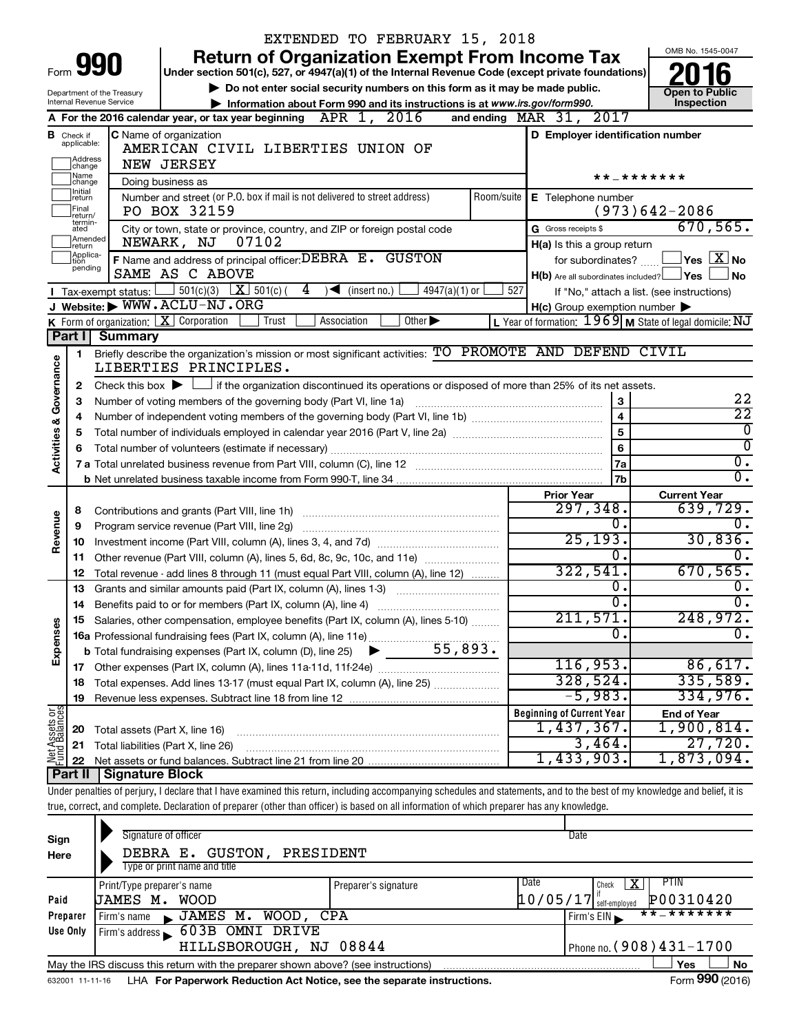|                                                                                                                                                                                                                                                                                                                                                                                                                                                                                                                                                                                                                                                                                                                                                                                                                                                                                                                                                                                                                                                                                                                                                                                                                                                                                                                                                                                                                                                                                                                                                                                                                                                                                                                                                                                                                                                                                                                                                                                                                                                                                                                                                                                                                                                                                                                                                                                                                                                                                                                                                                                                                                                                                                                                                                                                                                                                                                                                                                                                                                                                                                                                                                                                                                                                                                                                                                                                                                                                                                                                                                                                                                            |                  |  |  |  |                     | OMB No. 1545-0047 |
|--------------------------------------------------------------------------------------------------------------------------------------------------------------------------------------------------------------------------------------------------------------------------------------------------------------------------------------------------------------------------------------------------------------------------------------------------------------------------------------------------------------------------------------------------------------------------------------------------------------------------------------------------------------------------------------------------------------------------------------------------------------------------------------------------------------------------------------------------------------------------------------------------------------------------------------------------------------------------------------------------------------------------------------------------------------------------------------------------------------------------------------------------------------------------------------------------------------------------------------------------------------------------------------------------------------------------------------------------------------------------------------------------------------------------------------------------------------------------------------------------------------------------------------------------------------------------------------------------------------------------------------------------------------------------------------------------------------------------------------------------------------------------------------------------------------------------------------------------------------------------------------------------------------------------------------------------------------------------------------------------------------------------------------------------------------------------------------------------------------------------------------------------------------------------------------------------------------------------------------------------------------------------------------------------------------------------------------------------------------------------------------------------------------------------------------------------------------------------------------------------------------------------------------------------------------------------------------------------------------------------------------------------------------------------------------------------------------------------------------------------------------------------------------------------------------------------------------------------------------------------------------------------------------------------------------------------------------------------------------------------------------------------------------------------------------------------------------------------------------------------------------------------------------------------------------------------------------------------------------------------------------------------------------------------------------------------------------------------------------------------------------------------------------------------------------------------------------------------------------------------------------------------------------------------------------------------------------------------------------------------------------------|------------------|--|--|--|---------------------|-------------------|
|                                                                                                                                                                                                                                                                                                                                                                                                                                                                                                                                                                                                                                                                                                                                                                                                                                                                                                                                                                                                                                                                                                                                                                                                                                                                                                                                                                                                                                                                                                                                                                                                                                                                                                                                                                                                                                                                                                                                                                                                                                                                                                                                                                                                                                                                                                                                                                                                                                                                                                                                                                                                                                                                                                                                                                                                                                                                                                                                                                                                                                                                                                                                                                                                                                                                                                                                                                                                                                                                                                                                                                                                                                            |                  |  |  |  |                     |                   |
|                                                                                                                                                                                                                                                                                                                                                                                                                                                                                                                                                                                                                                                                                                                                                                                                                                                                                                                                                                                                                                                                                                                                                                                                                                                                                                                                                                                                                                                                                                                                                                                                                                                                                                                                                                                                                                                                                                                                                                                                                                                                                                                                                                                                                                                                                                                                                                                                                                                                                                                                                                                                                                                                                                                                                                                                                                                                                                                                                                                                                                                                                                                                                                                                                                                                                                                                                                                                                                                                                                                                                                                                                                            |                  |  |  |  |                     | Open to Public    |
|                                                                                                                                                                                                                                                                                                                                                                                                                                                                                                                                                                                                                                                                                                                                                                                                                                                                                                                                                                                                                                                                                                                                                                                                                                                                                                                                                                                                                                                                                                                                                                                                                                                                                                                                                                                                                                                                                                                                                                                                                                                                                                                                                                                                                                                                                                                                                                                                                                                                                                                                                                                                                                                                                                                                                                                                                                                                                                                                                                                                                                                                                                                                                                                                                                                                                                                                                                                                                                                                                                                                                                                                                                            |                  |  |  |  |                     | Inspection        |
|                                                                                                                                                                                                                                                                                                                                                                                                                                                                                                                                                                                                                                                                                                                                                                                                                                                                                                                                                                                                                                                                                                                                                                                                                                                                                                                                                                                                                                                                                                                                                                                                                                                                                                                                                                                                                                                                                                                                                                                                                                                                                                                                                                                                                                                                                                                                                                                                                                                                                                                                                                                                                                                                                                                                                                                                                                                                                                                                                                                                                                                                                                                                                                                                                                                                                                                                                                                                                                                                                                                                                                                                                                            |                  |  |  |  |                     |                   |
|                                                                                                                                                                                                                                                                                                                                                                                                                                                                                                                                                                                                                                                                                                                                                                                                                                                                                                                                                                                                                                                                                                                                                                                                                                                                                                                                                                                                                                                                                                                                                                                                                                                                                                                                                                                                                                                                                                                                                                                                                                                                                                                                                                                                                                                                                                                                                                                                                                                                                                                                                                                                                                                                                                                                                                                                                                                                                                                                                                                                                                                                                                                                                                                                                                                                                                                                                                                                                                                                                                                                                                                                                                            |                  |  |  |  |                     |                   |
|                                                                                                                                                                                                                                                                                                                                                                                                                                                                                                                                                                                                                                                                                                                                                                                                                                                                                                                                                                                                                                                                                                                                                                                                                                                                                                                                                                                                                                                                                                                                                                                                                                                                                                                                                                                                                                                                                                                                                                                                                                                                                                                                                                                                                                                                                                                                                                                                                                                                                                                                                                                                                                                                                                                                                                                                                                                                                                                                                                                                                                                                                                                                                                                                                                                                                                                                                                                                                                                                                                                                                                                                                                            |                  |  |  |  |                     |                   |
|                                                                                                                                                                                                                                                                                                                                                                                                                                                                                                                                                                                                                                                                                                                                                                                                                                                                                                                                                                                                                                                                                                                                                                                                                                                                                                                                                                                                                                                                                                                                                                                                                                                                                                                                                                                                                                                                                                                                                                                                                                                                                                                                                                                                                                                                                                                                                                                                                                                                                                                                                                                                                                                                                                                                                                                                                                                                                                                                                                                                                                                                                                                                                                                                                                                                                                                                                                                                                                                                                                                                                                                                                                            |                  |  |  |  |                     |                   |
|                                                                                                                                                                                                                                                                                                                                                                                                                                                                                                                                                                                                                                                                                                                                                                                                                                                                                                                                                                                                                                                                                                                                                                                                                                                                                                                                                                                                                                                                                                                                                                                                                                                                                                                                                                                                                                                                                                                                                                                                                                                                                                                                                                                                                                                                                                                                                                                                                                                                                                                                                                                                                                                                                                                                                                                                                                                                                                                                                                                                                                                                                                                                                                                                                                                                                                                                                                                                                                                                                                                                                                                                                                            | Initial          |  |  |  |                     |                   |
|                                                                                                                                                                                                                                                                                                                                                                                                                                                                                                                                                                                                                                                                                                                                                                                                                                                                                                                                                                                                                                                                                                                                                                                                                                                                                                                                                                                                                                                                                                                                                                                                                                                                                                                                                                                                                                                                                                                                                                                                                                                                                                                                                                                                                                                                                                                                                                                                                                                                                                                                                                                                                                                                                                                                                                                                                                                                                                                                                                                                                                                                                                                                                                                                                                                                                                                                                                                                                                                                                                                                                                                                                                            | Final<br>return/ |  |  |  |                     |                   |
|                                                                                                                                                                                                                                                                                                                                                                                                                                                                                                                                                                                                                                                                                                                                                                                                                                                                                                                                                                                                                                                                                                                                                                                                                                                                                                                                                                                                                                                                                                                                                                                                                                                                                                                                                                                                                                                                                                                                                                                                                                                                                                                                                                                                                                                                                                                                                                                                                                                                                                                                                                                                                                                                                                                                                                                                                                                                                                                                                                                                                                                                                                                                                                                                                                                                                                                                                                                                                                                                                                                                                                                                                                            | ated             |  |  |  | G Gross receipts \$ |                   |
| EXTENDED TO FEBRUARY 15, 2018<br><b>Return of Organization Exempt From Income Tax</b><br>990<br>Form<br>Under section 501(c), 527, or 4947(a)(1) of the Internal Revenue Code (except private foundations)<br>Do not enter social security numbers on this form as it may be made public.<br>Department of the Treasury<br>Internal Revenue Service<br>Information about Form 990 and its instructions is at www.irs.gov/form990.<br>A For the 2016 calendar year, or tax year beginning $APR$ 1, 2016<br>and ending MAR 31, 2017<br>C Name of organization<br>D Employer identification number<br><b>B</b> Check if<br>applicable:<br>AMERICAN CIVIL LIBERTIES UNION OF<br>Address<br>change<br><b>NEW JERSEY</b><br>Name<br>* * _ * * * * * * *<br>Doing business as<br>change<br>Number and street (or P.O. box if mail is not delivered to street address)<br>Room/suite<br>E Telephone number<br>return<br>$(973)642 - 2086$<br>PO BOX 32159<br>termin-<br>City or town, state or province, country, and ZIP or foreign postal code<br>Amended<br>07102<br>NEWARK, NJ<br>H(a) Is this a group return<br>return<br>Applica-<br>F Name and address of principal officer: DEBRA E. GUSTON<br>for subordinates?<br>tion<br>pending<br>SAME AS C ABOVE<br>$H(b)$ Are all subordinates included? $\Box$ Yes<br>501(c)(3) $X \overline{S}$ 501(c)(<br>4<br>$4947(a)(1)$ or<br>527<br>$\sqrt{\frac{1}{1}}$ (insert no.)<br>I Tax-exempt status:<br>J Website: WWW.ACLU-NJ.ORG<br>$H(c)$ Group exemption number $\blacktriangleright$<br>K Form of organization: $X$ Corporation<br>Other $\blacktriangleright$<br>Trust<br>Association<br>Part I<br><b>Summary</b><br>Briefly describe the organization's mission or most significant activities: TO PROMOTE AND DEFEND CIVIL<br>1<br>Governance<br>LIBERTIES PRINCIPLES.<br>Check this box $\blacktriangleright$ $\Box$ if the organization discontinued its operations or disposed of more than 25% of its net assets.<br>2<br>$\mathbf{3}$<br>Number of voting members of the governing body (Part VI, line 1a)<br>3<br>$\overline{\mathbf{4}}$<br>4<br><b>Activities &amp;</b><br>5<br>5<br>6<br>Total number of volunteers (estimate if necessary)<br>6<br>7a<br>7b<br><b>Current Year</b><br><b>Prior Year</b><br>297,348.<br>8<br>Contributions and grants (Part VIII, line 1h)<br>Revenue<br>0.<br>Program service revenue (Part VIII, line 2g)<br>9<br>25, 193.<br>10<br>σ.<br>Other revenue (Part VIII, column (A), lines 5, 6d, 8c, 9c, 10c, and 11e)<br>11<br>322,541.<br>12<br>Total revenue - add lines 8 through 11 (must equal Part VIII, column (A), line 12)<br>0.<br>Grants and similar amounts paid (Part IX, column (A), lines 1-3)<br>13<br>σ.<br>Benefits paid to or for members (Part IX, column (A), line 4)<br>14<br>211,571.<br>15 Salaries, other compensation, employee benefits (Part IX, column (A), lines 5-10)<br>Expenses<br>0.<br>116,953.<br>328,524.<br>Total expenses. Add lines 13-17 (must equal Part IX, column (A), line 25)<br>18<br>$-5,983.$<br>19<br>Net Assets or<br><b>Beginning of Current Year</b><br><b>End of Year</b><br>1,437,367.<br>Total assets (Part X, line 16)<br>20<br>3,464.<br>Total liabilities (Part X, line 26)<br>21<br>1,433,903.<br>Part II<br><b>Signature Block</b><br>true, correct, and complete. Declaration of preparer (other than officer) is based on all information of which preparer has any knowledge.<br>Signature of officer<br>Date<br>Sign<br>DEBRA E. GUSTON,<br>PRESIDENT<br>Here<br>Type or print name and title<br>Date<br>PTIN<br>x<br>Check<br>Print/Type preparer's name<br>Preparer's signature |                  |  |  |  |                     |                   |
|                                                                                                                                                                                                                                                                                                                                                                                                                                                                                                                                                                                                                                                                                                                                                                                                                                                                                                                                                                                                                                                                                                                                                                                                                                                                                                                                                                                                                                                                                                                                                                                                                                                                                                                                                                                                                                                                                                                                                                                                                                                                                                                                                                                                                                                                                                                                                                                                                                                                                                                                                                                                                                                                                                                                                                                                                                                                                                                                                                                                                                                                                                                                                                                                                                                                                                                                                                                                                                                                                                                                                                                                                                            |                  |  |  |  |                     |                   |
|                                                                                                                                                                                                                                                                                                                                                                                                                                                                                                                                                                                                                                                                                                                                                                                                                                                                                                                                                                                                                                                                                                                                                                                                                                                                                                                                                                                                                                                                                                                                                                                                                                                                                                                                                                                                                                                                                                                                                                                                                                                                                                                                                                                                                                                                                                                                                                                                                                                                                                                                                                                                                                                                                                                                                                                                                                                                                                                                                                                                                                                                                                                                                                                                                                                                                                                                                                                                                                                                                                                                                                                                                                            |                  |  |  |  |                     | No                |
| 670, 565.<br>$\Box$ Yes $\Box X$ No<br>If "No," attach a list. (see instructions)<br>L Year of formation: 1969 M State of legal domicile: NJ<br>22<br>$\overline{22}$<br>$\overline{0}$<br>$\overline{0}$ .<br>$\overline{0}$ .<br>639,729.<br>0.<br>335,589.<br>334,976.<br>1,900,814.<br>27,720.<br>1,873,094.<br>Under penalties of perjury, I declare that I have examined this return, including accompanying schedules and statements, and to the best of my knowledge and belief, it is<br>$10/05/17$ self-employed<br>P00310420<br>JAMES M. WOOD<br>Paid                                                                                                                                                                                                                                                                                                                                                                                                                                                                                                                                                                                                                                                                                                                                                                                                                                                                                                                                                                                                                                                                                                                                                                                                                                                                                                                                                                                                                                                                                                                                                                                                                                                                                                                                                                                                                                                                                                                                                                                                                                                                                                                                                                                                                                                                                                                                                                                                                                                                                                                                                                                                                                                                                                                                                                                                                                                                                                                                                                                                                                                                           |                  |  |  |  |                     |                   |
|                                                                                                                                                                                                                                                                                                                                                                                                                                                                                                                                                                                                                                                                                                                                                                                                                                                                                                                                                                                                                                                                                                                                                                                                                                                                                                                                                                                                                                                                                                                                                                                                                                                                                                                                                                                                                                                                                                                                                                                                                                                                                                                                                                                                                                                                                                                                                                                                                                                                                                                                                                                                                                                                                                                                                                                                                                                                                                                                                                                                                                                                                                                                                                                                                                                                                                                                                                                                                                                                                                                                                                                                                                            |                  |  |  |  |                     |                   |
|                                                                                                                                                                                                                                                                                                                                                                                                                                                                                                                                                                                                                                                                                                                                                                                                                                                                                                                                                                                                                                                                                                                                                                                                                                                                                                                                                                                                                                                                                                                                                                                                                                                                                                                                                                                                                                                                                                                                                                                                                                                                                                                                                                                                                                                                                                                                                                                                                                                                                                                                                                                                                                                                                                                                                                                                                                                                                                                                                                                                                                                                                                                                                                                                                                                                                                                                                                                                                                                                                                                                                                                                                                            |                  |  |  |  |                     |                   |
|                                                                                                                                                                                                                                                                                                                                                                                                                                                                                                                                                                                                                                                                                                                                                                                                                                                                                                                                                                                                                                                                                                                                                                                                                                                                                                                                                                                                                                                                                                                                                                                                                                                                                                                                                                                                                                                                                                                                                                                                                                                                                                                                                                                                                                                                                                                                                                                                                                                                                                                                                                                                                                                                                                                                                                                                                                                                                                                                                                                                                                                                                                                                                                                                                                                                                                                                                                                                                                                                                                                                                                                                                                            |                  |  |  |  |                     |                   |
|                                                                                                                                                                                                                                                                                                                                                                                                                                                                                                                                                                                                                                                                                                                                                                                                                                                                                                                                                                                                                                                                                                                                                                                                                                                                                                                                                                                                                                                                                                                                                                                                                                                                                                                                                                                                                                                                                                                                                                                                                                                                                                                                                                                                                                                                                                                                                                                                                                                                                                                                                                                                                                                                                                                                                                                                                                                                                                                                                                                                                                                                                                                                                                                                                                                                                                                                                                                                                                                                                                                                                                                                                                            |                  |  |  |  |                     |                   |
|                                                                                                                                                                                                                                                                                                                                                                                                                                                                                                                                                                                                                                                                                                                                                                                                                                                                                                                                                                                                                                                                                                                                                                                                                                                                                                                                                                                                                                                                                                                                                                                                                                                                                                                                                                                                                                                                                                                                                                                                                                                                                                                                                                                                                                                                                                                                                                                                                                                                                                                                                                                                                                                                                                                                                                                                                                                                                                                                                                                                                                                                                                                                                                                                                                                                                                                                                                                                                                                                                                                                                                                                                                            |                  |  |  |  |                     |                   |
|                                                                                                                                                                                                                                                                                                                                                                                                                                                                                                                                                                                                                                                                                                                                                                                                                                                                                                                                                                                                                                                                                                                                                                                                                                                                                                                                                                                                                                                                                                                                                                                                                                                                                                                                                                                                                                                                                                                                                                                                                                                                                                                                                                                                                                                                                                                                                                                                                                                                                                                                                                                                                                                                                                                                                                                                                                                                                                                                                                                                                                                                                                                                                                                                                                                                                                                                                                                                                                                                                                                                                                                                                                            |                  |  |  |  |                     |                   |
|                                                                                                                                                                                                                                                                                                                                                                                                                                                                                                                                                                                                                                                                                                                                                                                                                                                                                                                                                                                                                                                                                                                                                                                                                                                                                                                                                                                                                                                                                                                                                                                                                                                                                                                                                                                                                                                                                                                                                                                                                                                                                                                                                                                                                                                                                                                                                                                                                                                                                                                                                                                                                                                                                                                                                                                                                                                                                                                                                                                                                                                                                                                                                                                                                                                                                                                                                                                                                                                                                                                                                                                                                                            |                  |  |  |  |                     |                   |
|                                                                                                                                                                                                                                                                                                                                                                                                                                                                                                                                                                                                                                                                                                                                                                                                                                                                                                                                                                                                                                                                                                                                                                                                                                                                                                                                                                                                                                                                                                                                                                                                                                                                                                                                                                                                                                                                                                                                                                                                                                                                                                                                                                                                                                                                                                                                                                                                                                                                                                                                                                                                                                                                                                                                                                                                                                                                                                                                                                                                                                                                                                                                                                                                                                                                                                                                                                                                                                                                                                                                                                                                                                            |                  |  |  |  |                     |                   |
|                                                                                                                                                                                                                                                                                                                                                                                                                                                                                                                                                                                                                                                                                                                                                                                                                                                                                                                                                                                                                                                                                                                                                                                                                                                                                                                                                                                                                                                                                                                                                                                                                                                                                                                                                                                                                                                                                                                                                                                                                                                                                                                                                                                                                                                                                                                                                                                                                                                                                                                                                                                                                                                                                                                                                                                                                                                                                                                                                                                                                                                                                                                                                                                                                                                                                                                                                                                                                                                                                                                                                                                                                                            |                  |  |  |  |                     | $\overline{0}$    |
|                                                                                                                                                                                                                                                                                                                                                                                                                                                                                                                                                                                                                                                                                                                                                                                                                                                                                                                                                                                                                                                                                                                                                                                                                                                                                                                                                                                                                                                                                                                                                                                                                                                                                                                                                                                                                                                                                                                                                                                                                                                                                                                                                                                                                                                                                                                                                                                                                                                                                                                                                                                                                                                                                                                                                                                                                                                                                                                                                                                                                                                                                                                                                                                                                                                                                                                                                                                                                                                                                                                                                                                                                                            |                  |  |  |  |                     |                   |
|                                                                                                                                                                                                                                                                                                                                                                                                                                                                                                                                                                                                                                                                                                                                                                                                                                                                                                                                                                                                                                                                                                                                                                                                                                                                                                                                                                                                                                                                                                                                                                                                                                                                                                                                                                                                                                                                                                                                                                                                                                                                                                                                                                                                                                                                                                                                                                                                                                                                                                                                                                                                                                                                                                                                                                                                                                                                                                                                                                                                                                                                                                                                                                                                                                                                                                                                                                                                                                                                                                                                                                                                                                            |                  |  |  |  |                     |                   |
|                                                                                                                                                                                                                                                                                                                                                                                                                                                                                                                                                                                                                                                                                                                                                                                                                                                                                                                                                                                                                                                                                                                                                                                                                                                                                                                                                                                                                                                                                                                                                                                                                                                                                                                                                                                                                                                                                                                                                                                                                                                                                                                                                                                                                                                                                                                                                                                                                                                                                                                                                                                                                                                                                                                                                                                                                                                                                                                                                                                                                                                                                                                                                                                                                                                                                                                                                                                                                                                                                                                                                                                                                                            |                  |  |  |  |                     |                   |
|                                                                                                                                                                                                                                                                                                                                                                                                                                                                                                                                                                                                                                                                                                                                                                                                                                                                                                                                                                                                                                                                                                                                                                                                                                                                                                                                                                                                                                                                                                                                                                                                                                                                                                                                                                                                                                                                                                                                                                                                                                                                                                                                                                                                                                                                                                                                                                                                                                                                                                                                                                                                                                                                                                                                                                                                                                                                                                                                                                                                                                                                                                                                                                                                                                                                                                                                                                                                                                                                                                                                                                                                                                            |                  |  |  |  |                     |                   |
|                                                                                                                                                                                                                                                                                                                                                                                                                                                                                                                                                                                                                                                                                                                                                                                                                                                                                                                                                                                                                                                                                                                                                                                                                                                                                                                                                                                                                                                                                                                                                                                                                                                                                                                                                                                                                                                                                                                                                                                                                                                                                                                                                                                                                                                                                                                                                                                                                                                                                                                                                                                                                                                                                                                                                                                                                                                                                                                                                                                                                                                                                                                                                                                                                                                                                                                                                                                                                                                                                                                                                                                                                                            |                  |  |  |  |                     | $\overline{0}$ .  |
|                                                                                                                                                                                                                                                                                                                                                                                                                                                                                                                                                                                                                                                                                                                                                                                                                                                                                                                                                                                                                                                                                                                                                                                                                                                                                                                                                                                                                                                                                                                                                                                                                                                                                                                                                                                                                                                                                                                                                                                                                                                                                                                                                                                                                                                                                                                                                                                                                                                                                                                                                                                                                                                                                                                                                                                                                                                                                                                                                                                                                                                                                                                                                                                                                                                                                                                                                                                                                                                                                                                                                                                                                                            |                  |  |  |  |                     | 30,836.           |
|                                                                                                                                                                                                                                                                                                                                                                                                                                                                                                                                                                                                                                                                                                                                                                                                                                                                                                                                                                                                                                                                                                                                                                                                                                                                                                                                                                                                                                                                                                                                                                                                                                                                                                                                                                                                                                                                                                                                                                                                                                                                                                                                                                                                                                                                                                                                                                                                                                                                                                                                                                                                                                                                                                                                                                                                                                                                                                                                                                                                                                                                                                                                                                                                                                                                                                                                                                                                                                                                                                                                                                                                                                            |                  |  |  |  |                     |                   |
|                                                                                                                                                                                                                                                                                                                                                                                                                                                                                                                                                                                                                                                                                                                                                                                                                                                                                                                                                                                                                                                                                                                                                                                                                                                                                                                                                                                                                                                                                                                                                                                                                                                                                                                                                                                                                                                                                                                                                                                                                                                                                                                                                                                                                                                                                                                                                                                                                                                                                                                                                                                                                                                                                                                                                                                                                                                                                                                                                                                                                                                                                                                                                                                                                                                                                                                                                                                                                                                                                                                                                                                                                                            |                  |  |  |  |                     | 670, 565.         |
|                                                                                                                                                                                                                                                                                                                                                                                                                                                                                                                                                                                                                                                                                                                                                                                                                                                                                                                                                                                                                                                                                                                                                                                                                                                                                                                                                                                                                                                                                                                                                                                                                                                                                                                                                                                                                                                                                                                                                                                                                                                                                                                                                                                                                                                                                                                                                                                                                                                                                                                                                                                                                                                                                                                                                                                                                                                                                                                                                                                                                                                                                                                                                                                                                                                                                                                                                                                                                                                                                                                                                                                                                                            |                  |  |  |  |                     | $\overline{0}$ .  |
|                                                                                                                                                                                                                                                                                                                                                                                                                                                                                                                                                                                                                                                                                                                                                                                                                                                                                                                                                                                                                                                                                                                                                                                                                                                                                                                                                                                                                                                                                                                                                                                                                                                                                                                                                                                                                                                                                                                                                                                                                                                                                                                                                                                                                                                                                                                                                                                                                                                                                                                                                                                                                                                                                                                                                                                                                                                                                                                                                                                                                                                                                                                                                                                                                                                                                                                                                                                                                                                                                                                                                                                                                                            |                  |  |  |  |                     | $\overline{0}$ .  |
|                                                                                                                                                                                                                                                                                                                                                                                                                                                                                                                                                                                                                                                                                                                                                                                                                                                                                                                                                                                                                                                                                                                                                                                                                                                                                                                                                                                                                                                                                                                                                                                                                                                                                                                                                                                                                                                                                                                                                                                                                                                                                                                                                                                                                                                                                                                                                                                                                                                                                                                                                                                                                                                                                                                                                                                                                                                                                                                                                                                                                                                                                                                                                                                                                                                                                                                                                                                                                                                                                                                                                                                                                                            |                  |  |  |  |                     | 248,972.          |
|                                                                                                                                                                                                                                                                                                                                                                                                                                                                                                                                                                                                                                                                                                                                                                                                                                                                                                                                                                                                                                                                                                                                                                                                                                                                                                                                                                                                                                                                                                                                                                                                                                                                                                                                                                                                                                                                                                                                                                                                                                                                                                                                                                                                                                                                                                                                                                                                                                                                                                                                                                                                                                                                                                                                                                                                                                                                                                                                                                                                                                                                                                                                                                                                                                                                                                                                                                                                                                                                                                                                                                                                                                            |                  |  |  |  |                     | $\overline{0}$ .  |
|                                                                                                                                                                                                                                                                                                                                                                                                                                                                                                                                                                                                                                                                                                                                                                                                                                                                                                                                                                                                                                                                                                                                                                                                                                                                                                                                                                                                                                                                                                                                                                                                                                                                                                                                                                                                                                                                                                                                                                                                                                                                                                                                                                                                                                                                                                                                                                                                                                                                                                                                                                                                                                                                                                                                                                                                                                                                                                                                                                                                                                                                                                                                                                                                                                                                                                                                                                                                                                                                                                                                                                                                                                            |                  |  |  |  |                     |                   |
|                                                                                                                                                                                                                                                                                                                                                                                                                                                                                                                                                                                                                                                                                                                                                                                                                                                                                                                                                                                                                                                                                                                                                                                                                                                                                                                                                                                                                                                                                                                                                                                                                                                                                                                                                                                                                                                                                                                                                                                                                                                                                                                                                                                                                                                                                                                                                                                                                                                                                                                                                                                                                                                                                                                                                                                                                                                                                                                                                                                                                                                                                                                                                                                                                                                                                                                                                                                                                                                                                                                                                                                                                                            |                  |  |  |  |                     | 86,617.           |
|                                                                                                                                                                                                                                                                                                                                                                                                                                                                                                                                                                                                                                                                                                                                                                                                                                                                                                                                                                                                                                                                                                                                                                                                                                                                                                                                                                                                                                                                                                                                                                                                                                                                                                                                                                                                                                                                                                                                                                                                                                                                                                                                                                                                                                                                                                                                                                                                                                                                                                                                                                                                                                                                                                                                                                                                                                                                                                                                                                                                                                                                                                                                                                                                                                                                                                                                                                                                                                                                                                                                                                                                                                            |                  |  |  |  |                     |                   |
|                                                                                                                                                                                                                                                                                                                                                                                                                                                                                                                                                                                                                                                                                                                                                                                                                                                                                                                                                                                                                                                                                                                                                                                                                                                                                                                                                                                                                                                                                                                                                                                                                                                                                                                                                                                                                                                                                                                                                                                                                                                                                                                                                                                                                                                                                                                                                                                                                                                                                                                                                                                                                                                                                                                                                                                                                                                                                                                                                                                                                                                                                                                                                                                                                                                                                                                                                                                                                                                                                                                                                                                                                                            |                  |  |  |  |                     |                   |
|                                                                                                                                                                                                                                                                                                                                                                                                                                                                                                                                                                                                                                                                                                                                                                                                                                                                                                                                                                                                                                                                                                                                                                                                                                                                                                                                                                                                                                                                                                                                                                                                                                                                                                                                                                                                                                                                                                                                                                                                                                                                                                                                                                                                                                                                                                                                                                                                                                                                                                                                                                                                                                                                                                                                                                                                                                                                                                                                                                                                                                                                                                                                                                                                                                                                                                                                                                                                                                                                                                                                                                                                                                            |                  |  |  |  |                     |                   |
|                                                                                                                                                                                                                                                                                                                                                                                                                                                                                                                                                                                                                                                                                                                                                                                                                                                                                                                                                                                                                                                                                                                                                                                                                                                                                                                                                                                                                                                                                                                                                                                                                                                                                                                                                                                                                                                                                                                                                                                                                                                                                                                                                                                                                                                                                                                                                                                                                                                                                                                                                                                                                                                                                                                                                                                                                                                                                                                                                                                                                                                                                                                                                                                                                                                                                                                                                                                                                                                                                                                                                                                                                                            |                  |  |  |  |                     |                   |
|                                                                                                                                                                                                                                                                                                                                                                                                                                                                                                                                                                                                                                                                                                                                                                                                                                                                                                                                                                                                                                                                                                                                                                                                                                                                                                                                                                                                                                                                                                                                                                                                                                                                                                                                                                                                                                                                                                                                                                                                                                                                                                                                                                                                                                                                                                                                                                                                                                                                                                                                                                                                                                                                                                                                                                                                                                                                                                                                                                                                                                                                                                                                                                                                                                                                                                                                                                                                                                                                                                                                                                                                                                            |                  |  |  |  |                     |                   |
|                                                                                                                                                                                                                                                                                                                                                                                                                                                                                                                                                                                                                                                                                                                                                                                                                                                                                                                                                                                                                                                                                                                                                                                                                                                                                                                                                                                                                                                                                                                                                                                                                                                                                                                                                                                                                                                                                                                                                                                                                                                                                                                                                                                                                                                                                                                                                                                                                                                                                                                                                                                                                                                                                                                                                                                                                                                                                                                                                                                                                                                                                                                                                                                                                                                                                                                                                                                                                                                                                                                                                                                                                                            |                  |  |  |  |                     |                   |
|                                                                                                                                                                                                                                                                                                                                                                                                                                                                                                                                                                                                                                                                                                                                                                                                                                                                                                                                                                                                                                                                                                                                                                                                                                                                                                                                                                                                                                                                                                                                                                                                                                                                                                                                                                                                                                                                                                                                                                                                                                                                                                                                                                                                                                                                                                                                                                                                                                                                                                                                                                                                                                                                                                                                                                                                                                                                                                                                                                                                                                                                                                                                                                                                                                                                                                                                                                                                                                                                                                                                                                                                                                            |                  |  |  |  |                     |                   |
|                                                                                                                                                                                                                                                                                                                                                                                                                                                                                                                                                                                                                                                                                                                                                                                                                                                                                                                                                                                                                                                                                                                                                                                                                                                                                                                                                                                                                                                                                                                                                                                                                                                                                                                                                                                                                                                                                                                                                                                                                                                                                                                                                                                                                                                                                                                                                                                                                                                                                                                                                                                                                                                                                                                                                                                                                                                                                                                                                                                                                                                                                                                                                                                                                                                                                                                                                                                                                                                                                                                                                                                                                                            |                  |  |  |  |                     |                   |
|                                                                                                                                                                                                                                                                                                                                                                                                                                                                                                                                                                                                                                                                                                                                                                                                                                                                                                                                                                                                                                                                                                                                                                                                                                                                                                                                                                                                                                                                                                                                                                                                                                                                                                                                                                                                                                                                                                                                                                                                                                                                                                                                                                                                                                                                                                                                                                                                                                                                                                                                                                                                                                                                                                                                                                                                                                                                                                                                                                                                                                                                                                                                                                                                                                                                                                                                                                                                                                                                                                                                                                                                                                            |                  |  |  |  |                     |                   |
|                                                                                                                                                                                                                                                                                                                                                                                                                                                                                                                                                                                                                                                                                                                                                                                                                                                                                                                                                                                                                                                                                                                                                                                                                                                                                                                                                                                                                                                                                                                                                                                                                                                                                                                                                                                                                                                                                                                                                                                                                                                                                                                                                                                                                                                                                                                                                                                                                                                                                                                                                                                                                                                                                                                                                                                                                                                                                                                                                                                                                                                                                                                                                                                                                                                                                                                                                                                                                                                                                                                                                                                                                                            |                  |  |  |  |                     |                   |
|                                                                                                                                                                                                                                                                                                                                                                                                                                                                                                                                                                                                                                                                                                                                                                                                                                                                                                                                                                                                                                                                                                                                                                                                                                                                                                                                                                                                                                                                                                                                                                                                                                                                                                                                                                                                                                                                                                                                                                                                                                                                                                                                                                                                                                                                                                                                                                                                                                                                                                                                                                                                                                                                                                                                                                                                                                                                                                                                                                                                                                                                                                                                                                                                                                                                                                                                                                                                                                                                                                                                                                                                                                            |                  |  |  |  |                     |                   |
|                                                                                                                                                                                                                                                                                                                                                                                                                                                                                                                                                                                                                                                                                                                                                                                                                                                                                                                                                                                                                                                                                                                                                                                                                                                                                                                                                                                                                                                                                                                                                                                                                                                                                                                                                                                                                                                                                                                                                                                                                                                                                                                                                                                                                                                                                                                                                                                                                                                                                                                                                                                                                                                                                                                                                                                                                                                                                                                                                                                                                                                                                                                                                                                                                                                                                                                                                                                                                                                                                                                                                                                                                                            |                  |  |  |  |                     |                   |
|                                                                                                                                                                                                                                                                                                                                                                                                                                                                                                                                                                                                                                                                                                                                                                                                                                                                                                                                                                                                                                                                                                                                                                                                                                                                                                                                                                                                                                                                                                                                                                                                                                                                                                                                                                                                                                                                                                                                                                                                                                                                                                                                                                                                                                                                                                                                                                                                                                                                                                                                                                                                                                                                                                                                                                                                                                                                                                                                                                                                                                                                                                                                                                                                                                                                                                                                                                                                                                                                                                                                                                                                                                            |                  |  |  |  |                     |                   |
|                                                                                                                                                                                                                                                                                                                                                                                                                                                                                                                                                                                                                                                                                                                                                                                                                                                                                                                                                                                                                                                                                                                                                                                                                                                                                                                                                                                                                                                                                                                                                                                                                                                                                                                                                                                                                                                                                                                                                                                                                                                                                                                                                                                                                                                                                                                                                                                                                                                                                                                                                                                                                                                                                                                                                                                                                                                                                                                                                                                                                                                                                                                                                                                                                                                                                                                                                                                                                                                                                                                                                                                                                                            |                  |  |  |  |                     |                   |
|                                                                                                                                                                                                                                                                                                                                                                                                                                                                                                                                                                                                                                                                                                                                                                                                                                                                                                                                                                                                                                                                                                                                                                                                                                                                                                                                                                                                                                                                                                                                                                                                                                                                                                                                                                                                                                                                                                                                                                                                                                                                                                                                                                                                                                                                                                                                                                                                                                                                                                                                                                                                                                                                                                                                                                                                                                                                                                                                                                                                                                                                                                                                                                                                                                                                                                                                                                                                                                                                                                                                                                                                                                            |                  |  |  |  |                     |                   |

| гани     | UAMED M.WUUD                                                                      | $ T \cap \setminus \cap \setminus T $ is intermoloved $ T \cap \setminus T $ |
|----------|-----------------------------------------------------------------------------------|------------------------------------------------------------------------------|
| Preparer | JAMES M. WOOD, CPA<br>Firm's name                                                 | **_*******<br>$'$ Firm's EIN                                                 |
| Use Only | Firm's address 603B OMNI DRIVE                                                    |                                                                              |
|          | HILLSBOROUGH, NJ 08844                                                            | I Phone no. $(908)$ $431 - 1700$                                             |
|          | May the IRS discuss this return with the preparer shown above? (see instructions) | <b>No</b><br><b>Yes</b>                                                      |
|          | .                                                                                 | $\mathbf{A}$                                                                 |

632001 11-11-16 **For Paperwork Reduction Act Notice, see the separate instructions.** LHA Form (2016)

**990**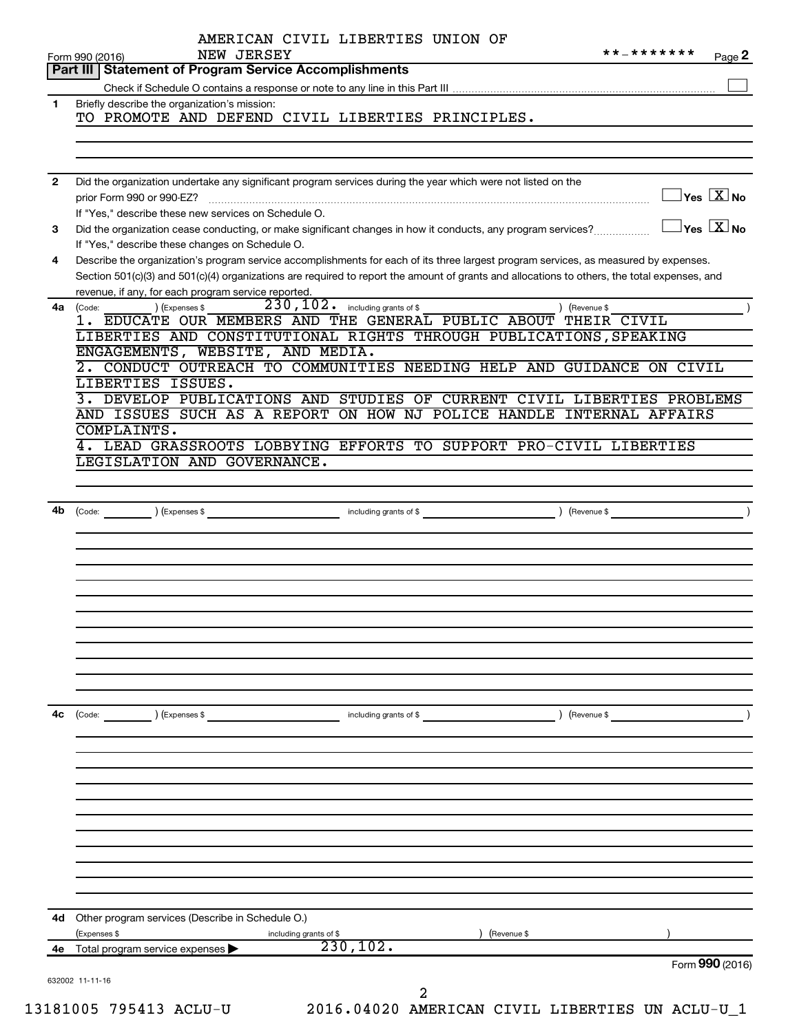|              | AMERICAN CIVIL LIBERTIES UNION OF<br>NEW JERSEY<br>Form 990 (2016)<br>Part III   Statement of Program Service Accomplishments                                                                                                                                                                                                               |                        |            | * * _ * * * * * * *<br>Page 2                    |
|--------------|---------------------------------------------------------------------------------------------------------------------------------------------------------------------------------------------------------------------------------------------------------------------------------------------------------------------------------------------|------------------------|------------|--------------------------------------------------|
|              |                                                                                                                                                                                                                                                                                                                                             |                        |            |                                                  |
| $\mathbf{1}$ | Briefly describe the organization's mission:<br>TO PROMOTE AND DEFEND CIVIL LIBERTIES PRINCIPLES.                                                                                                                                                                                                                                           |                        |            |                                                  |
| $\mathbf{2}$ | Did the organization undertake any significant program services during the year which were not listed on the                                                                                                                                                                                                                                |                        |            |                                                  |
|              | prior Form 990 or 990-EZ?<br>If "Yes," describe these new services on Schedule O.                                                                                                                                                                                                                                                           |                        |            | $\sqrt{}$ Yes $\sqrt{ \ \overline{\text{X}}}$ No |
| 3            | Did the organization cease conducting, or make significant changes in how it conducts, any program services?<br>If "Yes," describe these changes on Schedule O.                                                                                                                                                                             |                        |            | $\vert$ Yes $\vert$ $\mathrm{X}$ $\vert$ No      |
| 4            | Describe the organization's program service accomplishments for each of its three largest program services, as measured by expenses.<br>Section 501(c)(3) and 501(c)(4) organizations are required to report the amount of grants and allocations to others, the total expenses, and<br>revenue, if any, for each program service reported. |                        |            |                                                  |
| 4a           | 230,102.<br>) (Expenses \$<br>(Code:<br>1. EDUCATE OUR MEMBERS AND THE GENERAL PUBLIC ABOUT THEIR CIVIL<br>LIBERTIES AND CONSTITUTIONAL RIGHTS THROUGH PUBLICATIONS, SPEAKING                                                                                                                                                               | including grants of \$ |            | ) (Revenue \$                                    |
|              | ENGAGEMENTS, WEBSITE, AND MEDIA.                                                                                                                                                                                                                                                                                                            |                        |            |                                                  |
|              | CONDUCT OUTREACH TO COMMUNITIES NEEDING HELP AND GUIDANCE ON CIVIL<br>LIBERTIES ISSUES.                                                                                                                                                                                                                                                     |                        |            |                                                  |
|              | DEVELOP PUBLICATIONS AND STUDIES OF CURRENT CIVIL LIBERTIES PROBLEMS<br>3.                                                                                                                                                                                                                                                                  |                        |            |                                                  |
|              | AND ISSUES SUCH AS A REPORT ON HOW NJ POLICE HANDLE INTERNAL AFFAIRS<br>COMPLAINTS.                                                                                                                                                                                                                                                         |                        |            |                                                  |
|              | 4. LEAD GRASSROOTS LOBBYING EFFORTS TO SUPPORT PRO-CIVIL LIBERTIES<br>LEGISLATION AND GOVERNANCE.                                                                                                                                                                                                                                           |                        |            |                                                  |
|              |                                                                                                                                                                                                                                                                                                                                             |                        |            |                                                  |
| 4b           | $(\text{Expenses }$ \$<br>(Code:                                                                                                                                                                                                                                                                                                            | including grants of \$ |            | ) (Revenue \$                                    |
|              |                                                                                                                                                                                                                                                                                                                                             |                        |            |                                                  |
|              |                                                                                                                                                                                                                                                                                                                                             |                        |            |                                                  |
|              |                                                                                                                                                                                                                                                                                                                                             |                        |            |                                                  |
|              |                                                                                                                                                                                                                                                                                                                                             |                        |            |                                                  |
|              |                                                                                                                                                                                                                                                                                                                                             |                        |            |                                                  |
| 4с           | (Code:<br>) (Expenses \$                                                                                                                                                                                                                                                                                                                    | including grants of \$ |            | ) (Revenue \$                                    |
|              |                                                                                                                                                                                                                                                                                                                                             |                        |            |                                                  |
|              |                                                                                                                                                                                                                                                                                                                                             |                        |            |                                                  |
|              |                                                                                                                                                                                                                                                                                                                                             |                        |            |                                                  |
|              |                                                                                                                                                                                                                                                                                                                                             |                        |            |                                                  |
|              |                                                                                                                                                                                                                                                                                                                                             |                        |            |                                                  |
| 4d           | Other program services (Describe in Schedule O.)                                                                                                                                                                                                                                                                                            |                        |            |                                                  |
|              | (Expenses \$<br>including grants of \$                                                                                                                                                                                                                                                                                                      |                        | Revenue \$ |                                                  |
| 4е           | Total program service expenses                                                                                                                                                                                                                                                                                                              | 230, 102.              |            | Form 990 (2016)                                  |
|              | 632002 11-11-16                                                                                                                                                                                                                                                                                                                             | 2                      |            |                                                  |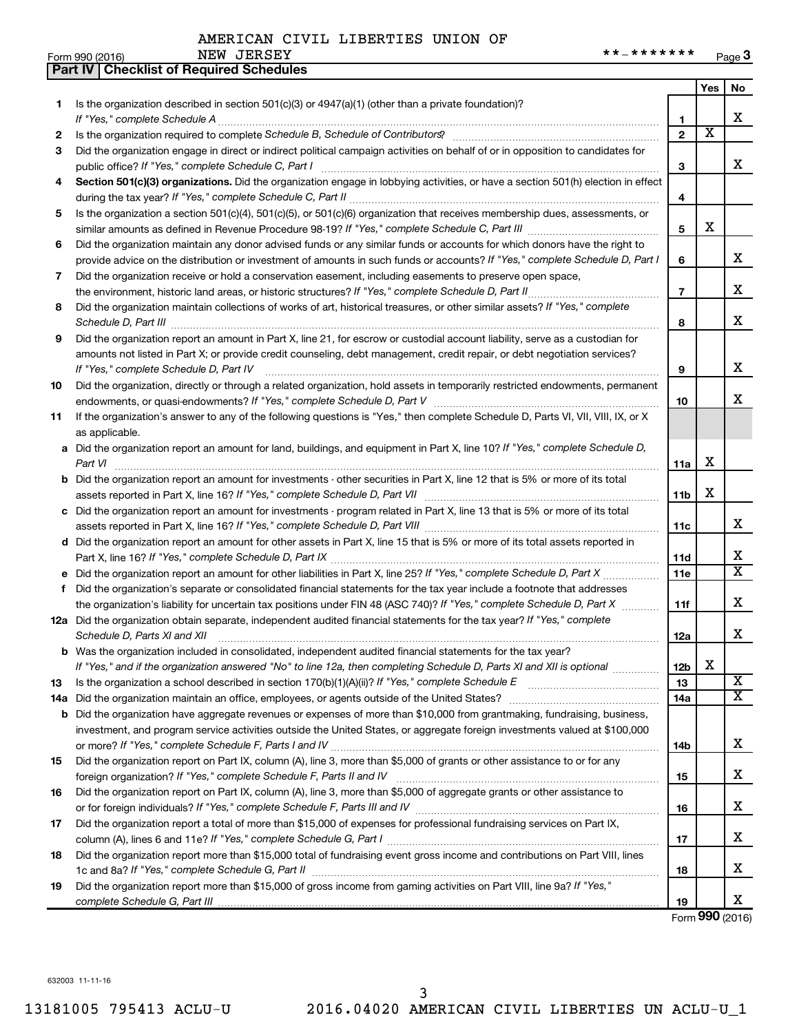|     | <b>Part IV   Checklist of Required Schedules</b>                                                                                                                                                                                    |                |                         |                       |
|-----|-------------------------------------------------------------------------------------------------------------------------------------------------------------------------------------------------------------------------------------|----------------|-------------------------|-----------------------|
|     |                                                                                                                                                                                                                                     |                | Yes                     | No                    |
| 1   | Is the organization described in section $501(c)(3)$ or $4947(a)(1)$ (other than a private foundation)?                                                                                                                             |                |                         |                       |
|     |                                                                                                                                                                                                                                     | 1              |                         | x                     |
| 2   |                                                                                                                                                                                                                                     | $\mathbf{2}$   | $\overline{\textbf{x}}$ |                       |
| 3   | Did the organization engage in direct or indirect political campaign activities on behalf of or in opposition to candidates for                                                                                                     |                |                         |                       |
|     |                                                                                                                                                                                                                                     | 3              |                         | x                     |
| 4   | Section 501(c)(3) organizations. Did the organization engage in lobbying activities, or have a section 501(h) election in effect                                                                                                    |                |                         |                       |
|     |                                                                                                                                                                                                                                     | 4              |                         |                       |
| 5   | Is the organization a section 501(c)(4), 501(c)(5), or 501(c)(6) organization that receives membership dues, assessments, or                                                                                                        |                |                         |                       |
|     |                                                                                                                                                                                                                                     | 5              | х                       |                       |
| 6   | Did the organization maintain any donor advised funds or any similar funds or accounts for which donors have the right to                                                                                                           |                |                         |                       |
|     | provide advice on the distribution or investment of amounts in such funds or accounts? If "Yes," complete Schedule D, Part I                                                                                                        | 6              |                         | x                     |
| 7   |                                                                                                                                                                                                                                     |                |                         |                       |
|     | Did the organization receive or hold a conservation easement, including easements to preserve open space,                                                                                                                           | $\overline{7}$ |                         | x                     |
|     |                                                                                                                                                                                                                                     |                |                         |                       |
| 8   | Did the organization maintain collections of works of art, historical treasures, or other similar assets? If "Yes," complete                                                                                                        |                |                         | x                     |
|     | Schedule D, Part III <b>Marting Construction Construction</b> Construction Construction Construction Construction Construction Construction Construction Construction Construction Construction Construction Construction Construct | 8              |                         |                       |
| 9   | Did the organization report an amount in Part X, line 21, for escrow or custodial account liability, serve as a custodian for                                                                                                       |                |                         |                       |
|     | amounts not listed in Part X; or provide credit counseling, debt management, credit repair, or debt negotiation services?                                                                                                           |                |                         |                       |
|     |                                                                                                                                                                                                                                     | 9              |                         | х                     |
| 10  | Did the organization, directly or through a related organization, hold assets in temporarily restricted endowments, permanent                                                                                                       |                |                         |                       |
|     |                                                                                                                                                                                                                                     | 10             |                         | x                     |
| 11  | If the organization's answer to any of the following questions is "Yes," then complete Schedule D, Parts VI, VII, VIII, IX, or X                                                                                                    |                |                         |                       |
|     | as applicable.                                                                                                                                                                                                                      |                |                         |                       |
|     | a Did the organization report an amount for land, buildings, and equipment in Part X, line 10? If "Yes," complete Schedule D,                                                                                                       |                |                         |                       |
|     | Part VI                                                                                                                                                                                                                             | 11a            | х                       |                       |
|     | <b>b</b> Did the organization report an amount for investments - other securities in Part X, line 12 that is 5% or more of its total                                                                                                |                |                         |                       |
|     |                                                                                                                                                                                                                                     | 11b            | x                       |                       |
|     | c Did the organization report an amount for investments - program related in Part X, line 13 that is 5% or more of its total                                                                                                        |                |                         |                       |
|     |                                                                                                                                                                                                                                     | 11c            |                         | x                     |
|     | d Did the organization report an amount for other assets in Part X, line 15 that is 5% or more of its total assets reported in                                                                                                      |                |                         |                       |
|     |                                                                                                                                                                                                                                     | 11d            |                         | х                     |
|     |                                                                                                                                                                                                                                     | 11e            |                         | $\overline{\text{x}}$ |
| f   | Did the organization's separate or consolidated financial statements for the tax year include a footnote that addresses                                                                                                             |                |                         |                       |
|     | the organization's liability for uncertain tax positions under FIN 48 (ASC 740)? If "Yes," complete Schedule D, Part X                                                                                                              | 11f            |                         | x                     |
|     | 12a Did the organization obtain separate, independent audited financial statements for the tax year? If "Yes," complete                                                                                                             |                |                         |                       |
|     | Schedule D, Parts XI and XII                                                                                                                                                                                                        | 12a            |                         | x                     |
|     | <b>b</b> Was the organization included in consolidated, independent audited financial statements for the tax year?                                                                                                                  |                |                         |                       |
|     | If "Yes," and if the organization answered "No" to line 12a, then completing Schedule D, Parts XI and XII is optional <i></i>                                                                                                       | 12b            | х                       |                       |
| 13  |                                                                                                                                                                                                                                     | 13             |                         | $\overline{\text{X}}$ |
| 14a |                                                                                                                                                                                                                                     | 14a            |                         | X                     |
| b   | Did the organization have aggregate revenues or expenses of more than \$10,000 from grantmaking, fundraising, business,                                                                                                             |                |                         |                       |
|     | investment, and program service activities outside the United States, or aggregate foreign investments valued at \$100,000                                                                                                          |                |                         |                       |
|     |                                                                                                                                                                                                                                     | 14b            |                         | x                     |
| 15  | Did the organization report on Part IX, column (A), line 3, more than \$5,000 of grants or other assistance to or for any                                                                                                           |                |                         |                       |
|     |                                                                                                                                                                                                                                     | 15             |                         | x.                    |
| 16  | Did the organization report on Part IX, column (A), line 3, more than \$5,000 of aggregate grants or other assistance to                                                                                                            |                |                         |                       |
|     |                                                                                                                                                                                                                                     | 16             |                         | х                     |
|     | Did the organization report a total of more than \$15,000 of expenses for professional fundraising services on Part IX,                                                                                                             |                |                         |                       |
| 17  |                                                                                                                                                                                                                                     |                |                         | х                     |
|     |                                                                                                                                                                                                                                     | 17             |                         |                       |
| 18  | Did the organization report more than \$15,000 total of fundraising event gross income and contributions on Part VIII, lines                                                                                                        |                |                         | x                     |
|     |                                                                                                                                                                                                                                     | 18             |                         |                       |
| 19  | Did the organization report more than \$15,000 of gross income from gaming activities on Part VIII, line 9a? If "Yes,"                                                                                                              |                |                         |                       |
|     |                                                                                                                                                                                                                                     | 19             |                         | x                     |

Form (2016) **990**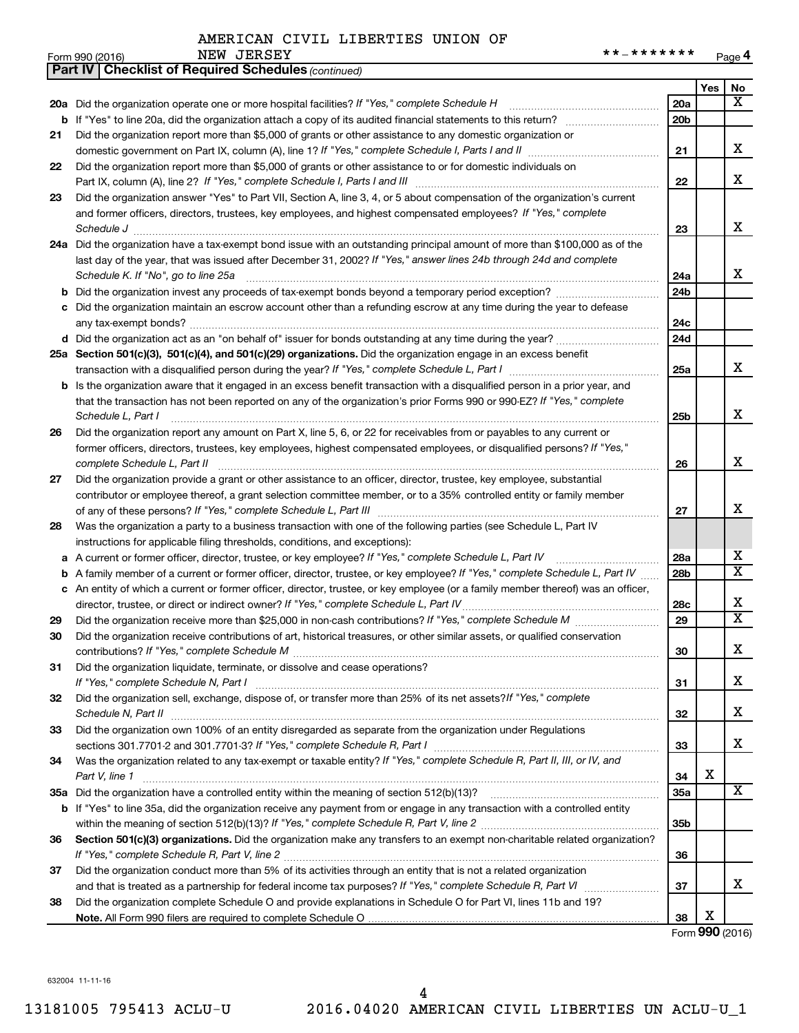|    | **_*******<br>NEW JERSEY<br>Form 990 (2016)                                                                                                                                                                                                      |                 |                 | Page 4                  |
|----|--------------------------------------------------------------------------------------------------------------------------------------------------------------------------------------------------------------------------------------------------|-----------------|-----------------|-------------------------|
|    | <b>Part IV   Checklist of Required Schedules (continued)</b>                                                                                                                                                                                     |                 |                 |                         |
|    |                                                                                                                                                                                                                                                  |                 | Yes             | No                      |
|    |                                                                                                                                                                                                                                                  | 20a             |                 | x                       |
|    |                                                                                                                                                                                                                                                  | 20 <sub>b</sub> |                 |                         |
| 21 | Did the organization report more than \$5,000 of grants or other assistance to any domestic organization or                                                                                                                                      |                 |                 |                         |
|    |                                                                                                                                                                                                                                                  | 21              |                 | х                       |
| 22 | Did the organization report more than \$5,000 of grants or other assistance to or for domestic individuals on                                                                                                                                    |                 |                 |                         |
|    | Part IX, column (A), line 2? If "Yes," complete Schedule I, Parts I and III [11]] [11]] [11] [11] [11] [11] [1                                                                                                                                   | 22              |                 | X                       |
| 23 | Did the organization answer "Yes" to Part VII, Section A, line 3, 4, or 5 about compensation of the organization's current                                                                                                                       |                 |                 |                         |
|    | and former officers, directors, trustees, key employees, and highest compensated employees? If "Yes," complete                                                                                                                                   |                 |                 |                         |
|    |                                                                                                                                                                                                                                                  | 23              |                 | x                       |
|    | 24a Did the organization have a tax-exempt bond issue with an outstanding principal amount of more than \$100,000 as of the                                                                                                                      |                 |                 |                         |
|    | last day of the year, that was issued after December 31, 2002? If "Yes," answer lines 24b through 24d and complete                                                                                                                               |                 |                 |                         |
|    |                                                                                                                                                                                                                                                  | 24a             |                 | x                       |
|    |                                                                                                                                                                                                                                                  | 24b             |                 |                         |
|    | c Did the organization maintain an escrow account other than a refunding escrow at any time during the year to defease                                                                                                                           |                 |                 |                         |
|    |                                                                                                                                                                                                                                                  | 24с             |                 |                         |
|    | d Did the organization act as an "on behalf of" issuer for bonds outstanding at any time during the year?                                                                                                                                        | 24d             |                 |                         |
|    | 25a Section 501(c)(3), 501(c)(4), and 501(c)(29) organizations. Did the organization engage in an excess benefit                                                                                                                                 |                 |                 |                         |
|    |                                                                                                                                                                                                                                                  | 25a             |                 | x                       |
|    | <b>b</b> Is the organization aware that it engaged in an excess benefit transaction with a disqualified person in a prior year, and                                                                                                              |                 |                 |                         |
|    | that the transaction has not been reported on any of the organization's prior Forms 990 or 990-EZ? If "Yes," complete                                                                                                                            |                 |                 |                         |
|    | Schedule L, Part I                                                                                                                                                                                                                               | 25b             |                 | X                       |
| 26 | Did the organization report any amount on Part X, line 5, 6, or 22 for receivables from or payables to any current or                                                                                                                            |                 |                 |                         |
|    | former officers, directors, trustees, key employees, highest compensated employees, or disqualified persons? If "Yes,"                                                                                                                           |                 |                 | X                       |
|    | complete Schedule L, Part II                                                                                                                                                                                                                     | 26              |                 |                         |
| 27 | Did the organization provide a grant or other assistance to an officer, director, trustee, key employee, substantial                                                                                                                             |                 |                 |                         |
|    | contributor or employee thereof, a grant selection committee member, or to a 35% controlled entity or family member                                                                                                                              |                 |                 | x                       |
|    |                                                                                                                                                                                                                                                  | 27              |                 |                         |
| 28 | Was the organization a party to a business transaction with one of the following parties (see Schedule L, Part IV                                                                                                                                |                 |                 |                         |
|    | instructions for applicable filing thresholds, conditions, and exceptions):                                                                                                                                                                      | 28a             |                 | х                       |
|    | a A current or former officer, director, trustee, or key employee? If "Yes," complete Schedule L, Part IV<br><b>b</b> A family member of a current or former officer, director, trustee, or key employee? If "Yes," complete Schedule L, Part IV | 28b             |                 | х                       |
|    |                                                                                                                                                                                                                                                  |                 |                 |                         |
|    | c An entity of which a current or former officer, director, trustee, or key employee (or a family member thereof) was an officer,<br>director, trustee, or direct or indirect owner? If "Yes," complete Schedule L, Part IV                      | 28c             |                 | х                       |
| 29 |                                                                                                                                                                                                                                                  | 29              |                 | $\overline{\texttt{x}}$ |
| 30 | Did the organization receive contributions of art, historical treasures, or other similar assets, or qualified conservation                                                                                                                      |                 |                 |                         |
|    |                                                                                                                                                                                                                                                  | 30              |                 | х                       |
| 31 | Did the organization liquidate, terminate, or dissolve and cease operations?                                                                                                                                                                     |                 |                 |                         |
|    |                                                                                                                                                                                                                                                  | 31              |                 | х                       |
| 32 | Did the organization sell, exchange, dispose of, or transfer more than 25% of its net assets? If "Yes," complete                                                                                                                                 |                 |                 |                         |
|    |                                                                                                                                                                                                                                                  | 32              |                 | х                       |
| 33 | Did the organization own 100% of an entity disregarded as separate from the organization under Regulations                                                                                                                                       |                 |                 |                         |
|    |                                                                                                                                                                                                                                                  | 33              |                 | х                       |
| 34 | Was the organization related to any tax-exempt or taxable entity? If "Yes," complete Schedule R, Part II, III, or IV, and                                                                                                                        |                 |                 |                         |
|    | Part V, line 1                                                                                                                                                                                                                                   | 34              | х               |                         |
|    |                                                                                                                                                                                                                                                  | 35a             |                 | x                       |
|    | <b>b</b> If "Yes" to line 35a, did the organization receive any payment from or engage in any transaction with a controlled entity                                                                                                               |                 |                 |                         |
|    |                                                                                                                                                                                                                                                  | 35b             |                 |                         |
| 36 | Section 501(c)(3) organizations. Did the organization make any transfers to an exempt non-charitable related organization?                                                                                                                       |                 |                 |                         |
|    |                                                                                                                                                                                                                                                  | 36              |                 |                         |
| 37 | Did the organization conduct more than 5% of its activities through an entity that is not a related organization                                                                                                                                 |                 |                 |                         |
|    |                                                                                                                                                                                                                                                  | 37              |                 | х                       |
| 38 | Did the organization complete Schedule O and provide explanations in Schedule O for Part VI, lines 11b and 19?                                                                                                                                   |                 |                 |                         |
|    |                                                                                                                                                                                                                                                  | 38              | х               |                         |
|    |                                                                                                                                                                                                                                                  |                 | Form 990 (2016) |                         |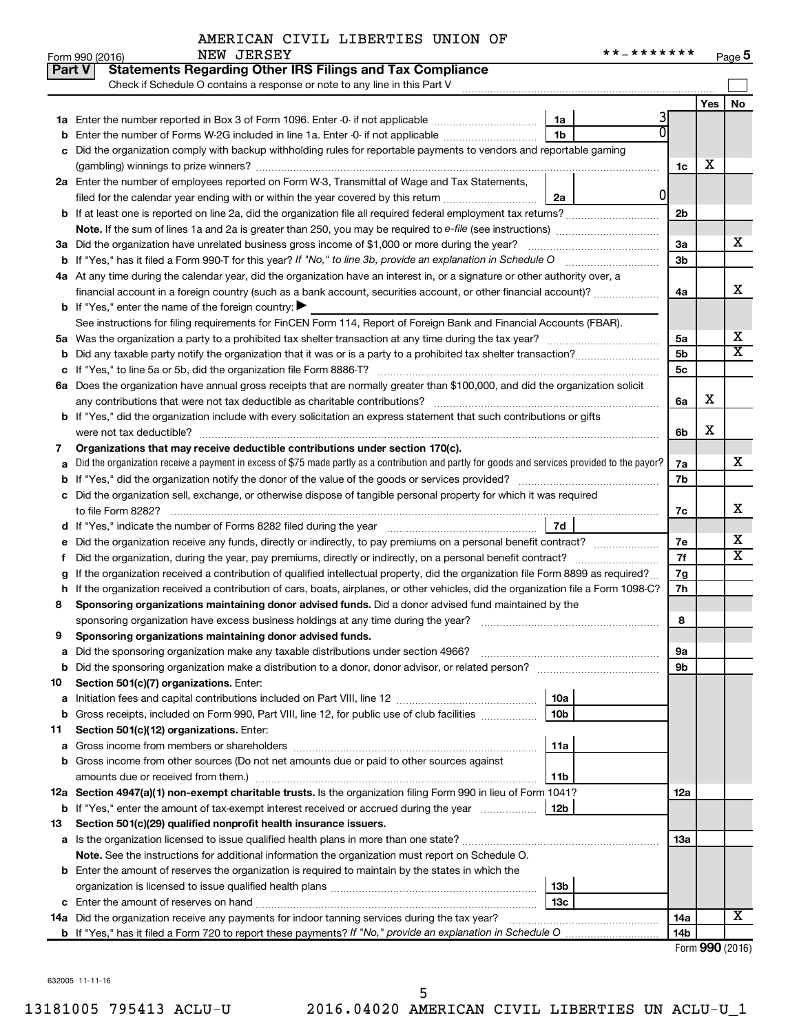#### AMERICAN CIVIL LIBERTIES UNION OF NEW JERSEY

| * * _ * * * * * * * | Page 5 |
|---------------------|--------|
|---------------------|--------|

|    | <b>NEW JEKSEY</b><br>Form 990 (2016)                                                                                                            |                 |     | Page 5                  |
|----|-------------------------------------------------------------------------------------------------------------------------------------------------|-----------------|-----|-------------------------|
|    | <b>Statements Regarding Other IRS Filings and Tax Compliance</b><br>Part V                                                                      |                 |     |                         |
|    | Check if Schedule O contains a response or note to any line in this Part V                                                                      |                 |     |                         |
|    |                                                                                                                                                 |                 | Yes | No                      |
|    | 3<br>1a                                                                                                                                         |                 |     |                         |
|    | 0<br><b>b</b> Enter the number of Forms W-2G included in line 1a. Enter -0- if not applicable<br>1b                                             |                 |     |                         |
| С  | Did the organization comply with backup withholding rules for reportable payments to vendors and reportable gaming                              |                 |     |                         |
|    |                                                                                                                                                 | 1c              | х   |                         |
|    | 2a Enter the number of employees reported on Form W-3, Transmittal of Wage and Tax Statements,                                                  |                 |     |                         |
|    | 0<br>filed for the calendar year ending with or within the year covered by this return<br>2a                                                    |                 |     |                         |
|    | <b>b</b> If at least one is reported on line 2a, did the organization file all required federal employment tax returns?                         | 2b              |     |                         |
|    |                                                                                                                                                 |                 |     |                         |
|    | 3a Did the organization have unrelated business gross income of \$1,000 or more during the year?                                                | 3a              |     | х                       |
|    | b If "Yes," has it filed a Form 990-T for this year? If "No," to line 3b, provide an explanation in Schedule O                                  | 3 <sub>b</sub>  |     |                         |
|    | 4a At any time during the calendar year, did the organization have an interest in, or a signature or other authority over, a                    |                 |     |                         |
|    | financial account in a foreign country (such as a bank account, securities account, or other financial account)?                                | 4a              |     | х                       |
|    | <b>b</b> If "Yes," enter the name of the foreign country: $\blacktriangleright$                                                                 |                 |     |                         |
|    | See instructions for filing requirements for FinCEN Form 114, Report of Foreign Bank and Financial Accounts (FBAR).                             |                 |     |                         |
|    |                                                                                                                                                 | 5a              |     | х                       |
|    |                                                                                                                                                 | 5 <sub>b</sub>  |     | $\overline{\textbf{X}}$ |
|    |                                                                                                                                                 | 5c              |     |                         |
|    | 6a Does the organization have annual gross receipts that are normally greater than \$100,000, and did the organization solicit                  |                 |     |                         |
|    |                                                                                                                                                 | 6a              | х   |                         |
|    | <b>b</b> If "Yes," did the organization include with every solicitation an express statement that such contributions or gifts                   |                 |     |                         |
|    |                                                                                                                                                 | 6b              | х   |                         |
| 7  | Organizations that may receive deductible contributions under section 170(c).                                                                   |                 |     |                         |
| а  | Did the organization receive a payment in excess of \$75 made partly as a contribution and partly for goods and services provided to the payor? | 7a              |     | х                       |
|    |                                                                                                                                                 | 7b              |     |                         |
|    | c Did the organization sell, exchange, or otherwise dispose of tangible personal property for which it was required                             |                 |     |                         |
|    |                                                                                                                                                 | 7с              |     | х                       |
|    |                                                                                                                                                 |                 |     |                         |
|    |                                                                                                                                                 | 7e              |     | х                       |
| Ť. |                                                                                                                                                 | 7f              |     | х                       |
| g  | If the organization received a contribution of qualified intellectual property, did the organization file Form 8899 as required?                | 7g              |     |                         |
|    | h If the organization received a contribution of cars, boats, airplanes, or other vehicles, did the organization file a Form 1098-C?            | 7h              |     |                         |
| 8  | Sponsoring organizations maintaining donor advised funds. Did a donor advised fund maintained by the                                            |                 |     |                         |
|    |                                                                                                                                                 | 8               |     |                         |
|    | Sponsoring organizations maintaining donor advised funds.                                                                                       |                 |     |                         |
|    |                                                                                                                                                 | 9а              |     |                         |
| b  |                                                                                                                                                 | 9b              |     |                         |
| 10 | Section 501(c)(7) organizations. Enter:                                                                                                         |                 |     |                         |
| а  | 10a                                                                                                                                             |                 |     |                         |
| b  | Gross receipts, included on Form 990, Part VIII, line 12, for public use of club facilities<br>10b                                              |                 |     |                         |
| 11 | Section 501(c)(12) organizations. Enter:                                                                                                        |                 |     |                         |
| а  | 11a                                                                                                                                             |                 |     |                         |
| b  | Gross income from other sources (Do not net amounts due or paid to other sources against                                                        |                 |     |                         |
|    | 11b                                                                                                                                             |                 |     |                         |
|    | 12a Section 4947(a)(1) non-exempt charitable trusts. Is the organization filing Form 990 in lieu of Form 1041?                                  | 12a             |     |                         |
|    | 12b<br><b>b</b> If "Yes," enter the amount of tax-exempt interest received or accrued during the year                                           |                 |     |                         |
| 13 | Section 501(c)(29) qualified nonprofit health insurance issuers.                                                                                |                 |     |                         |
| а  |                                                                                                                                                 | 13a             |     |                         |
|    | Note. See the instructions for additional information the organization must report on Schedule O.                                               |                 |     |                         |
|    | <b>b</b> Enter the amount of reserves the organization is required to maintain by the states in which the                                       |                 |     |                         |
|    | 13b                                                                                                                                             |                 |     |                         |
|    | 13с                                                                                                                                             |                 |     |                         |
|    | 14a Did the organization receive any payments for indoor tanning services during the tax year?                                                  | 14a             |     | х                       |
|    |                                                                                                                                                 | 14 <sub>b</sub> |     |                         |
|    |                                                                                                                                                 |                 |     |                         |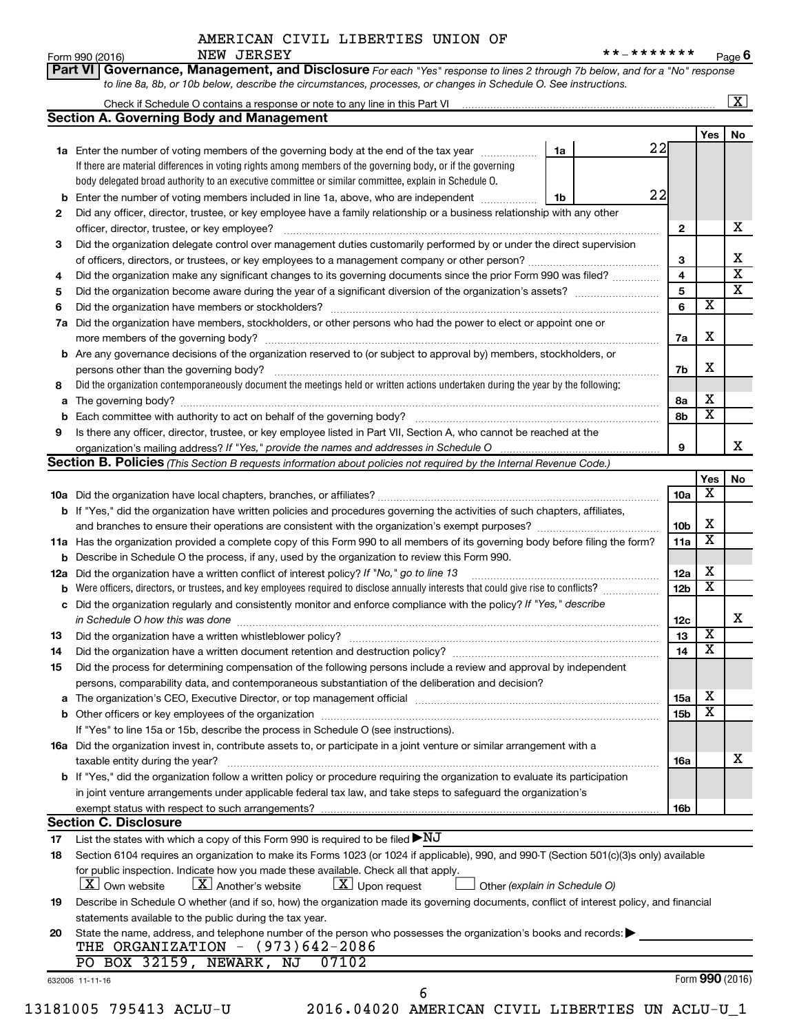|    | <b>Section A. Governing Body and Management</b>                                                                                                                                                                         |    |                 |                         |                              |
|----|-------------------------------------------------------------------------------------------------------------------------------------------------------------------------------------------------------------------------|----|-----------------|-------------------------|------------------------------|
|    |                                                                                                                                                                                                                         |    |                 | Yes                     | No                           |
|    | 1a Enter the number of voting members of the governing body at the end of the tax year <i>manumum</i>                                                                                                                   | 1a | 22              |                         |                              |
|    | If there are material differences in voting rights among members of the governing body, or if the governing                                                                                                             |    |                 |                         |                              |
|    | body delegated broad authority to an executive committee or similar committee, explain in Schedule O.                                                                                                                   |    |                 |                         |                              |
| b  | Enter the number of voting members included in line 1a, above, who are independent                                                                                                                                      | 1b | 22              |                         |                              |
| 2  | Did any officer, director, trustee, or key employee have a family relationship or a business relationship with any other<br>officer, director, trustee, or key employee?                                                |    | $\mathbf{2}$    |                         | х                            |
| 3  | Did the organization delegate control over management duties customarily performed by or under the direct supervision                                                                                                   |    |                 |                         |                              |
|    |                                                                                                                                                                                                                         |    | 3               |                         | Χ<br>$\overline{\mathbf{x}}$ |
| 4  | Did the organization make any significant changes to its governing documents since the prior Form 990 was filed?                                                                                                        |    | 4               |                         | $\overline{\textbf{x}}$      |
| 5  |                                                                                                                                                                                                                         |    | 5               |                         |                              |
| 6  |                                                                                                                                                                                                                         |    | 6               | $\overline{\mathbf{x}}$ |                              |
| 7a | Did the organization have members, stockholders, or other persons who had the power to elect or appoint one or                                                                                                          |    | 7a              | х                       |                              |
| b  | Are any governance decisions of the organization reserved to (or subject to approval by) members, stockholders, or                                                                                                      |    |                 |                         |                              |
|    |                                                                                                                                                                                                                         |    | 7b              | X                       |                              |
| 8  | Did the organization contemporaneously document the meetings held or written actions undertaken during the year by the following:                                                                                       |    |                 |                         |                              |
| а  |                                                                                                                                                                                                                         |    | 8а              | х                       |                              |
|    |                                                                                                                                                                                                                         |    | 8b              | $\overline{\mathbf{x}}$ |                              |
| 9  | Is there any officer, director, trustee, or key employee listed in Part VII, Section A, who cannot be reached at the                                                                                                    |    |                 |                         |                              |
|    |                                                                                                                                                                                                                         |    | 9               |                         | х                            |
|    | Section B. Policies (This Section B requests information about policies not required by the Internal Revenue Code.)                                                                                                     |    |                 |                         |                              |
|    |                                                                                                                                                                                                                         |    |                 | Yes                     | No                           |
|    |                                                                                                                                                                                                                         |    | 10a             | х                       |                              |
|    | <b>b</b> If "Yes," did the organization have written policies and procedures governing the activities of such chapters, affiliates,                                                                                     |    |                 |                         |                              |
|    |                                                                                                                                                                                                                         |    | 10 <sub>b</sub> | х                       |                              |
|    | 11a Has the organization provided a complete copy of this Form 990 to all members of its governing body before filing the form?                                                                                         |    | 11a             | X                       |                              |
|    | <b>b</b> Describe in Schedule O the process, if any, used by the organization to review this Form 990.                                                                                                                  |    |                 |                         |                              |
|    | 12a Did the organization have a written conflict of interest policy? If "No," go to line 13                                                                                                                             |    | 12a             | х                       |                              |
|    | Were officers, directors, or trustees, and key employees required to disclose annually interests that could give rise to conflicts?                                                                                     |    | 12 <sub>b</sub> | $\overline{\textbf{x}}$ |                              |
|    | c Did the organization regularly and consistently monitor and enforce compliance with the policy? If "Yes," describe                                                                                                    |    |                 |                         |                              |
|    | in Schedule O how this was done continuous continuous continuous contract of the state of the state of the sta                                                                                                          |    | 12c             |                         | х                            |
| 13 |                                                                                                                                                                                                                         |    | 13              | $\overline{\mathbf{x}}$ |                              |
| 14 | Did the organization have a written document retention and destruction policy? [111] manufaction policy?                                                                                                                |    | 14              | $\overline{\mathtt{x}}$ |                              |
| 15 | Did the process for determining compensation of the following persons include a review and approval by independent<br>persons, comparability data, and contemporaneous substantiation of the deliberation and decision? |    |                 |                         |                              |
| а  |                                                                                                                                                                                                                         |    | 15a             | х                       |                              |
|    |                                                                                                                                                                                                                         |    | 15 <sub>b</sub> | х                       |                              |
|    | If "Yes" to line 15a or 15b, describe the process in Schedule O (see instructions).                                                                                                                                     |    |                 |                         |                              |
|    | 16a Did the organization invest in, contribute assets to, or participate in a joint venture or similar arrangement with a                                                                                               |    |                 |                         |                              |
|    | taxable entity during the year?                                                                                                                                                                                         |    | 16a             |                         | x                            |
|    | b If "Yes," did the organization follow a written policy or procedure requiring the organization to evaluate its participation                                                                                          |    |                 |                         |                              |
|    |                                                                                                                                                                                                                         |    |                 |                         |                              |
|    | in joint venture arrangements under applicable federal tax law, and take steps to safeguard the organization's                                                                                                          |    |                 |                         |                              |
|    | exempt status with respect to such arrangements?                                                                                                                                                                        |    | 16b             |                         |                              |
|    | <b>Section C. Disclosure</b>                                                                                                                                                                                            |    |                 |                         |                              |
| 17 | List the states with which a copy of this Form 990 is required to be filed $\blacktriangleright\mathrm{NJ}$                                                                                                             |    |                 |                         |                              |
| 18 | Section 6104 requires an organization to make its Forms 1023 (or 1024 if applicable), 990, and 990-T (Section 501(c)(3)s only) available                                                                                |    |                 |                         |                              |
|    | for public inspection. Indicate how you made these available. Check all that apply.                                                                                                                                     |    |                 |                         |                              |
|    | $\lfloor x \rfloor$ Upon request<br><b>X</b> Own website<br>$\lfloor \mathbf{X} \rfloor$ Another's website<br>Other (explain in Schedule O)                                                                             |    |                 |                         |                              |
| 19 | Describe in Schedule O whether (and if so, how) the organization made its governing documents, conflict of interest policy, and financial                                                                               |    |                 |                         |                              |
|    | statements available to the public during the tax year.                                                                                                                                                                 |    |                 |                         |                              |
| 20 | State the name, address, and telephone number of the person who possesses the organization's books and records:                                                                                                         |    |                 |                         |                              |
|    | THE ORGANIZATION - (973)642-2086                                                                                                                                                                                        |    |                 |                         |                              |
|    |                                                                                                                                                                                                                         |    |                 |                         |                              |
|    | PO BOX 32159, NEWARK, NJ<br>07102                                                                                                                                                                                       |    |                 | Form 990 (2016)         |                              |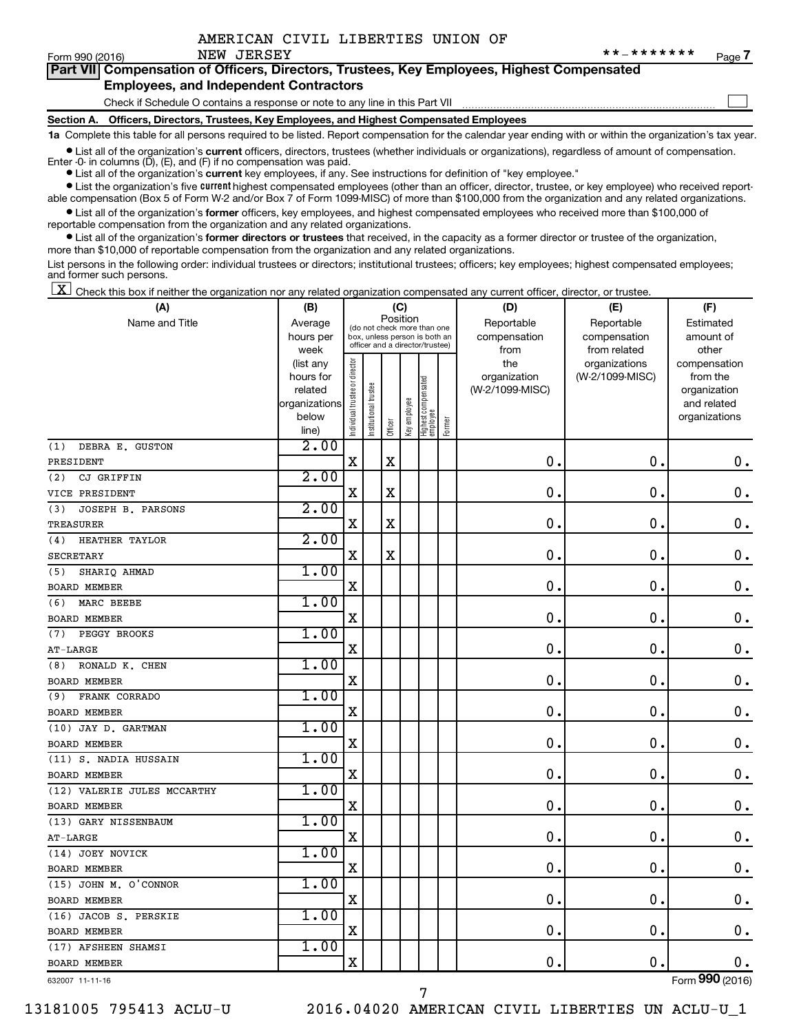$\Box$ 

| Form 990 (2016) |  | NEW JERSEY | * * _ * * * * * * * | Page |  |
|-----------------|--|------------|---------------------|------|--|
|-----------------|--|------------|---------------------|------|--|

| Part VII Compensation of Officers, Directors, Trustees, Key Employees, Highest Compensated |
|--------------------------------------------------------------------------------------------|
| <b>Employees, and Independent Contractors</b>                                              |

#### Check if Schedule O contains a response or note to any line in this Part VII

**Section A. Officers, Directors, Trustees, Key Employees, and Highest Compensated Employees**

**1a**  Complete this table for all persons required to be listed. Report compensation for the calendar year ending with or within the organization's tax year.

**•** List all of the organization's current officers, directors, trustees (whether individuals or organizations), regardless of amount of compensation.

**•** List all of the organization's **current** key employees, if any. See instructions for definition of "key employee." Enter -0- in columns  $(D)$ ,  $(E)$ , and  $(F)$  if no compensation was paid.

**•** List the organization's five current highest compensated employees (other than an officer, director, trustee, or key employee) who received report-

**•** List all of the organization's former officers, key employees, and highest compensated employees who received more than \$100,000 of able compensation (Box 5 of Form W-2 and/or Box 7 of Form 1099-MISC) of more than \$100,000 from the organization and any related organizations.

reportable compensation from the organization and any related organizations.

**•** List all of the organization's former directors or trustees that received, in the capacity as a former director or trustee of the organization, more than \$10,000 of reportable compensation from the organization and any related organizations.

List persons in the following order: individual trustees or directors; institutional trustees; officers; key employees; highest compensated employees; and former such persons.

 $\boxed{\textbf{X}}$  Check this box if neither the organization nor any related organization compensated any current officer, director, or trustee.

| (A)                         | (B)                    |                                |                                                                  | (C)         |              |                                   |        | (D)                             | (E)                              | (F)                      |
|-----------------------------|------------------------|--------------------------------|------------------------------------------------------------------|-------------|--------------|-----------------------------------|--------|---------------------------------|----------------------------------|--------------------------|
| Name and Title              | Average                |                                | (do not check more than one                                      | Position    |              |                                   |        | Reportable                      | Reportable                       | Estimated                |
|                             | hours per              |                                | box, unless person is both an<br>officer and a director/trustee) |             |              |                                   |        | compensation                    | compensation                     | amount of                |
|                             | week                   |                                |                                                                  |             |              |                                   |        | from                            | from related                     | other                    |
|                             | (list any<br>hours for | Individual trustee or director |                                                                  |             |              |                                   |        | the                             | organizations<br>(W-2/1099-MISC) | compensation<br>from the |
|                             | related                |                                |                                                                  |             |              |                                   |        | organization<br>(W-2/1099-MISC) |                                  | organization             |
|                             | organizations          |                                |                                                                  |             |              |                                   |        |                                 |                                  | and related              |
|                             | below                  |                                | Institutional trustee                                            |             | Key employee |                                   |        |                                 |                                  | organizations            |
|                             | line)                  |                                |                                                                  | Officer     |              | Highest compensated<br>  employee | Former |                                 |                                  |                          |
| DEBRA E. GUSTON<br>(1)      | 2.00                   |                                |                                                                  |             |              |                                   |        |                                 |                                  |                          |
| PRESIDENT                   |                        | $\mathbf X$                    |                                                                  | X           |              |                                   |        | 0.                              | $\mathbf 0$ .                    | 0.                       |
| CJ GRIFFIN<br>(2)           | 2.00                   |                                |                                                                  |             |              |                                   |        |                                 |                                  |                          |
| VICE PRESIDENT              |                        | $\mathbf X$                    |                                                                  | $\mathbf X$ |              |                                   |        | $\mathbf 0$ .                   | $\mathbf 0$ .                    | $\mathbf 0$ .            |
| JOSEPH B. PARSONS<br>(3)    | 2.00                   |                                |                                                                  |             |              |                                   |        |                                 |                                  |                          |
| TREASURER                   |                        | $\mathbf X$                    |                                                                  | X           |              |                                   |        | $\mathbf 0$                     | $\mathbf 0$                      | 0.                       |
| HEATHER TAYLOR<br>(4)       | 2.00                   |                                |                                                                  |             |              |                                   |        |                                 |                                  |                          |
| <b>SECRETARY</b>            |                        | $\mathbf X$                    |                                                                  | $\mathbf X$ |              |                                   |        | 0                               | 0.                               | $\boldsymbol{0}$ .       |
| SHARIQ AHMAD<br>(5)         | 1.00                   |                                |                                                                  |             |              |                                   |        |                                 |                                  |                          |
| <b>BOARD MEMBER</b>         |                        | X                              |                                                                  |             |              |                                   |        | 0                               | 0.                               | $\mathbf 0$ .            |
| MARC BEEBE<br>(6)           | 1.00                   |                                |                                                                  |             |              |                                   |        |                                 |                                  |                          |
| <b>BOARD MEMBER</b>         |                        | X                              |                                                                  |             |              |                                   |        | 0                               | 0.                               | $\mathbf 0$ .            |
| PEGGY BROOKS<br>(7)         | 1.00                   |                                |                                                                  |             |              |                                   |        |                                 |                                  |                          |
| $AT-LARGE$                  |                        | X                              |                                                                  |             |              |                                   |        | $\mathbf 0$ .                   | $\mathbf 0$                      | $\mathbf 0$ .            |
| RONALD K. CHEN<br>(8)       | 1.00                   |                                |                                                                  |             |              |                                   |        |                                 |                                  |                          |
| <b>BOARD MEMBER</b>         |                        | X                              |                                                                  |             |              |                                   |        | 0                               | 0.                               | $\mathbf 0$ .            |
| FRANK CORRADO<br>(9)        | 1.00                   |                                |                                                                  |             |              |                                   |        |                                 |                                  |                          |
| <b>BOARD MEMBER</b>         |                        | $\mathbf X$                    |                                                                  |             |              |                                   |        | $\mathbf 0$ .                   | $\mathbf 0$ .                    | $\mathbf 0$ .            |
| (10) JAY D. GARTMAN         | 1.00                   |                                |                                                                  |             |              |                                   |        |                                 |                                  |                          |
| <b>BOARD MEMBER</b>         |                        | X                              |                                                                  |             |              |                                   |        | 0.                              | О.                               | 0.                       |
| (11) S. NADIA HUSSAIN       | 1.00                   |                                |                                                                  |             |              |                                   |        |                                 |                                  |                          |
| <b>BOARD MEMBER</b>         |                        | $\mathbf X$                    |                                                                  |             |              |                                   |        | $\mathbf 0$                     | $\mathbf 0$                      | $\mathbf 0$ .            |
| (12) VALERIE JULES MCCARTHY | 1.00                   |                                |                                                                  |             |              |                                   |        |                                 |                                  |                          |
| <b>BOARD MEMBER</b>         |                        | X                              |                                                                  |             |              |                                   |        | 0                               | $\mathbf 0$ .                    | $\mathbf 0$ .            |
| (13) GARY NISSENBAUM        | 1.00                   |                                |                                                                  |             |              |                                   |        |                                 |                                  |                          |
| AT-LARGE                    |                        | X                              |                                                                  |             |              |                                   |        | 0                               | 0.                               | $\mathbf 0$ .            |
| (14) JOEY NOVICK            | 1.00                   |                                |                                                                  |             |              |                                   |        |                                 |                                  |                          |
| <b>BOARD MEMBER</b>         |                        | $\mathbf X$                    |                                                                  |             |              |                                   |        | $\mathbf 0$ .                   | О.                               | $\mathbf 0$ .            |
| (15) JOHN M. O'CONNOR       | 1.00                   |                                |                                                                  |             |              |                                   |        |                                 |                                  |                          |
| <b>BOARD MEMBER</b>         |                        | $\mathbf X$                    |                                                                  |             |              |                                   |        | 0                               | $\mathbf 0$                      | $\mathbf 0$ .            |
| (16) JACOB S. PERSKIE       | 1.00                   |                                |                                                                  |             |              |                                   |        |                                 |                                  |                          |
| <b>BOARD MEMBER</b>         |                        | X                              |                                                                  |             |              |                                   |        | $\mathbf 0$                     | $\mathbf 0$ .                    | 0.                       |
| (17) AFSHEEN SHAMSI         | 1.00                   |                                |                                                                  |             |              |                                   |        |                                 |                                  |                          |
| <b>BOARD MEMBER</b>         |                        | $\mathbf X$                    |                                                                  |             |              |                                   |        | 0.                              | $\mathbf 0$                      | $0$ .                    |
| 632007 11-11-16             |                        |                                |                                                                  |             |              |                                   |        |                                 |                                  | Form 990 (2016)          |

7

632007 11-11-16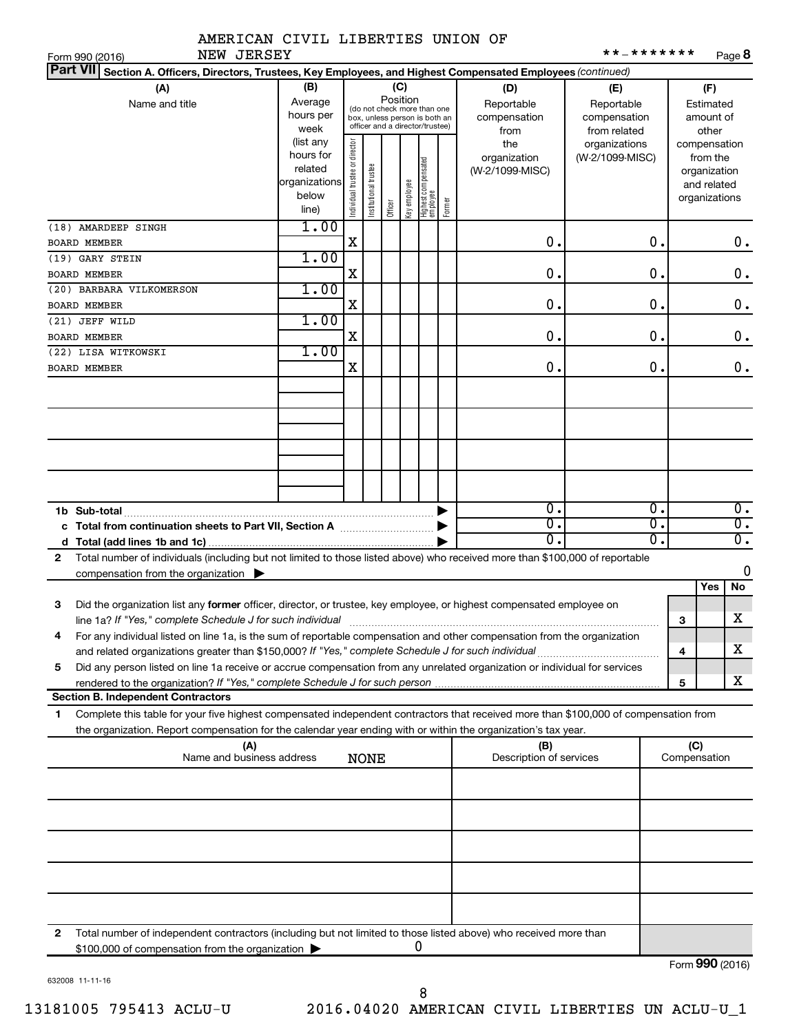|  | AMERICAN CIVIL LIBERTIES UNION OF |  |
|--|-----------------------------------|--|
|  |                                   |  |

|     | JERSE |
|-----|-------|
| NEW |       |

| NEW JERSEY<br>Form 990 (2016)                                                                                                                                                                                                     |                                                                                                                                                                                                                                                             |                                |                       |         |              |                                        |        |                                        | * * _ * * * * * * *              |                     |                                                                          | Page 8           |
|-----------------------------------------------------------------------------------------------------------------------------------------------------------------------------------------------------------------------------------|-------------------------------------------------------------------------------------------------------------------------------------------------------------------------------------------------------------------------------------------------------------|--------------------------------|-----------------------|---------|--------------|----------------------------------------|--------|----------------------------------------|----------------------------------|---------------------|--------------------------------------------------------------------------|------------------|
| <b>Part VII</b><br>Section A. Officers, Directors, Trustees, Key Employees, and Highest Compensated Employees (continued)                                                                                                         |                                                                                                                                                                                                                                                             |                                |                       |         |              |                                        |        |                                        |                                  |                     |                                                                          |                  |
| (A)<br>Name and title                                                                                                                                                                                                             | (B)<br>(C)<br>(D)<br>(E)<br>Position<br>Average<br>Reportable<br>Reportable<br>(do not check more than one<br>hours per<br>compensation<br>compensation<br>box, unless person is both an<br>officer and a director/trustee)<br>week<br>from<br>from related |                                |                       |         |              | (F)<br>Estimated<br>amount of<br>other |        |                                        |                                  |                     |                                                                          |                  |
|                                                                                                                                                                                                                                   | (list any<br>hours for<br>related<br>organizations<br>below<br>line)                                                                                                                                                                                        | Individual trustee or director | Institutional trustee | Officer | Key employee | Highest compensated<br>  employee      | Former | the<br>organization<br>(W-2/1099-MISC) | organizations<br>(W-2/1099-MISC) |                     | compensation<br>from the<br>organization<br>and related<br>organizations |                  |
| (18) AMARDEEP SINGH<br><b>BOARD MEMBER</b>                                                                                                                                                                                        | 1.00                                                                                                                                                                                                                                                        | Χ                              |                       |         |              |                                        |        | 0.                                     | Ο.                               |                     |                                                                          | $0$ .            |
| (19) GARY STEIN                                                                                                                                                                                                                   | 1.00                                                                                                                                                                                                                                                        |                                |                       |         |              |                                        |        |                                        |                                  |                     |                                                                          |                  |
| <b>BOARD MEMBER</b>                                                                                                                                                                                                               |                                                                                                                                                                                                                                                             | Χ                              |                       |         |              |                                        |        | 0.                                     | 0.                               |                     |                                                                          | $0$ .            |
| (20) BARBARA VILKOMERSON                                                                                                                                                                                                          | 1.00                                                                                                                                                                                                                                                        |                                |                       |         |              |                                        |        |                                        |                                  |                     |                                                                          |                  |
| <b>BOARD MEMBER</b>                                                                                                                                                                                                               |                                                                                                                                                                                                                                                             | Χ                              |                       |         |              |                                        |        | 0.                                     | 0.                               |                     |                                                                          | $0$ .            |
| (21) JEFF WILD                                                                                                                                                                                                                    | 1.00                                                                                                                                                                                                                                                        |                                |                       |         |              |                                        |        |                                        |                                  |                     |                                                                          |                  |
| <b>BOARD MEMBER</b>                                                                                                                                                                                                               |                                                                                                                                                                                                                                                             | Χ                              |                       |         |              |                                        |        | 0.                                     | 0.                               |                     |                                                                          | $0$ .            |
| (22) LISA WITKOWSKI                                                                                                                                                                                                               | 1.00                                                                                                                                                                                                                                                        |                                |                       |         |              |                                        |        |                                        |                                  |                     |                                                                          |                  |
| <b>BOARD MEMBER</b>                                                                                                                                                                                                               |                                                                                                                                                                                                                                                             | X                              |                       |         |              |                                        |        | 0.                                     | Ο.                               |                     |                                                                          | 0.               |
|                                                                                                                                                                                                                                   |                                                                                                                                                                                                                                                             |                                |                       |         |              |                                        |        |                                        |                                  |                     |                                                                          |                  |
|                                                                                                                                                                                                                                   |                                                                                                                                                                                                                                                             |                                |                       |         |              |                                        |        |                                        |                                  |                     |                                                                          |                  |
|                                                                                                                                                                                                                                   |                                                                                                                                                                                                                                                             |                                |                       |         |              |                                        |        |                                        |                                  |                     |                                                                          |                  |
|                                                                                                                                                                                                                                   |                                                                                                                                                                                                                                                             |                                |                       |         |              |                                        |        |                                        |                                  |                     |                                                                          |                  |
|                                                                                                                                                                                                                                   |                                                                                                                                                                                                                                                             |                                |                       |         |              |                                        |        |                                        |                                  |                     |                                                                          |                  |
| 1b Sub-total                                                                                                                                                                                                                      |                                                                                                                                                                                                                                                             |                                |                       |         |              |                                        |        | $\mathbf 0$ .                          | Ο.                               |                     |                                                                          | $\overline{0}$ . |
|                                                                                                                                                                                                                                   |                                                                                                                                                                                                                                                             |                                |                       |         |              |                                        |        | $\overline{\mathbf{0}}$ .              | Ο.                               |                     |                                                                          | $\overline{0}$ . |
|                                                                                                                                                                                                                                   |                                                                                                                                                                                                                                                             |                                |                       |         |              |                                        |        | 0.                                     | о.                               |                     |                                                                          | $\overline{0}$ . |
| Total number of individuals (including but not limited to those listed above) who received more than \$100,000 of reportable<br>2                                                                                                 |                                                                                                                                                                                                                                                             |                                |                       |         |              |                                        |        |                                        |                                  |                     |                                                                          |                  |
| compensation from the organization $\blacktriangleright$                                                                                                                                                                          |                                                                                                                                                                                                                                                             |                                |                       |         |              |                                        |        |                                        |                                  |                     |                                                                          | 0                |
|                                                                                                                                                                                                                                   |                                                                                                                                                                                                                                                             |                                |                       |         |              |                                        |        |                                        |                                  |                     | Yes                                                                      | No               |
| 3<br>Did the organization list any former officer, director, or trustee, key employee, or highest compensated employee on                                                                                                         |                                                                                                                                                                                                                                                             |                                |                       |         |              |                                        |        |                                        |                                  |                     |                                                                          |                  |
|                                                                                                                                                                                                                                   |                                                                                                                                                                                                                                                             |                                |                       |         |              |                                        |        |                                        |                                  | 3                   |                                                                          | X                |
| For any individual listed on line 1a, is the sum of reportable compensation and other compensation from the organization                                                                                                          |                                                                                                                                                                                                                                                             |                                |                       |         |              |                                        |        |                                        |                                  |                     |                                                                          | х                |
| and related organizations greater than \$150,000? If "Yes," complete Schedule J for such individual<br>Did any person listed on line 1a receive or accrue compensation from any unrelated organization or individual for services |                                                                                                                                                                                                                                                             |                                |                       |         |              |                                        |        |                                        |                                  | 4                   |                                                                          |                  |
| 5<br>rendered to the organization? If "Yes," complete Schedule J for such person                                                                                                                                                  |                                                                                                                                                                                                                                                             |                                |                       |         |              |                                        |        |                                        |                                  | 5                   |                                                                          | х                |
| <b>Section B. Independent Contractors</b>                                                                                                                                                                                         |                                                                                                                                                                                                                                                             |                                |                       |         |              |                                        |        |                                        |                                  |                     |                                                                          |                  |
| Complete this table for your five highest compensated independent contractors that received more than \$100,000 of compensation from<br>1.                                                                                        |                                                                                                                                                                                                                                                             |                                |                       |         |              |                                        |        |                                        |                                  |                     |                                                                          |                  |
| the organization. Report compensation for the calendar year ending with or within the organization's tax year.                                                                                                                    |                                                                                                                                                                                                                                                             |                                |                       |         |              |                                        |        |                                        |                                  |                     |                                                                          |                  |
| (A)                                                                                                                                                                                                                               | Name and business address                                                                                                                                                                                                                                   |                                |                       |         |              |                                        |        | (B)<br>Description of services         |                                  | (C)<br>Compensation |                                                                          |                  |
|                                                                                                                                                                                                                                   |                                                                                                                                                                                                                                                             |                                | <b>NONE</b>           |         |              |                                        |        |                                        |                                  |                     |                                                                          |                  |
|                                                                                                                                                                                                                                   |                                                                                                                                                                                                                                                             |                                |                       |         |              |                                        |        |                                        |                                  |                     |                                                                          |                  |
|                                                                                                                                                                                                                                   |                                                                                                                                                                                                                                                             |                                |                       |         |              |                                        |        |                                        |                                  |                     |                                                                          |                  |
|                                                                                                                                                                                                                                   |                                                                                                                                                                                                                                                             |                                |                       |         |              |                                        |        |                                        |                                  |                     |                                                                          |                  |
|                                                                                                                                                                                                                                   |                                                                                                                                                                                                                                                             |                                |                       |         |              |                                        |        |                                        |                                  |                     |                                                                          |                  |

**2**

8

0

Total number of independent contractors (including but not limited to those listed above) who received more than

\$100,000 of compensation from the organization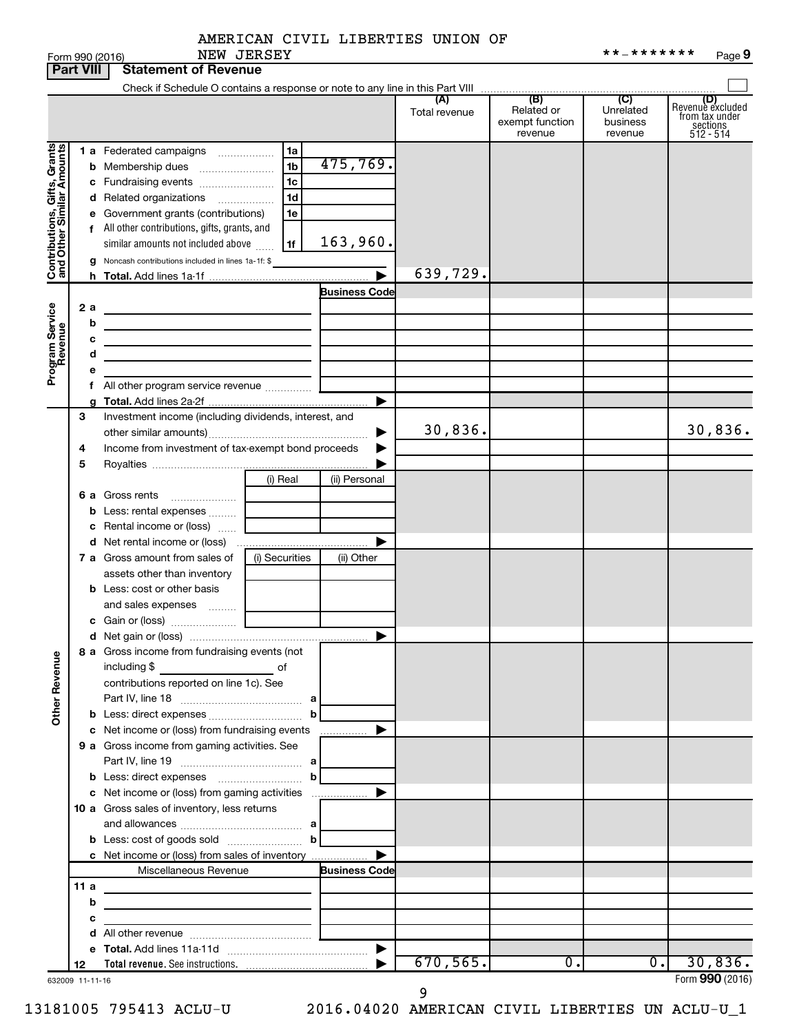| AMERICAN CIVIL LIBERTIES UNION OF |  |  |  |  |  |
|-----------------------------------|--|--|--|--|--|
|-----------------------------------|--|--|--|--|--|

|                                                           |      | Form 990 (2016)                                                                                                        | NEW JERSEY     |                       |                      |                                                 | **_*******                              | Page 9                                                             |
|-----------------------------------------------------------|------|------------------------------------------------------------------------------------------------------------------------|----------------|-----------------------|----------------------|-------------------------------------------------|-----------------------------------------|--------------------------------------------------------------------|
| <b>Part VIII</b>                                          |      | <b>Statement of Revenue</b>                                                                                            |                |                       |                      |                                                 |                                         |                                                                    |
|                                                           |      |                                                                                                                        |                |                       |                      |                                                 |                                         |                                                                    |
|                                                           |      |                                                                                                                        |                |                       | (A)<br>Total revenue | (B)<br>Related or<br>exempt function<br>revenue | (C)<br>Unrelated<br>business<br>revenue | (D)<br>Revenue excluded<br>from tax under<br>sections<br>512 - 514 |
|                                                           |      | 1 a Federated campaigns                                                                                                | 1a             |                       |                      |                                                 |                                         |                                                                    |
|                                                           |      | <b>b</b> Membership dues                                                                                               | 1 <sub>b</sub> | 475,769.              |                      |                                                 |                                         |                                                                    |
|                                                           |      |                                                                                                                        | 1 <sub>c</sub> |                       |                      |                                                 |                                         |                                                                    |
|                                                           |      | d Related organizations                                                                                                | 1 <sub>d</sub> |                       |                      |                                                 |                                         |                                                                    |
|                                                           |      | e Government grants (contributions)                                                                                    | 1e             |                       |                      |                                                 |                                         |                                                                    |
|                                                           |      | f All other contributions, gifts, grants, and                                                                          |                |                       |                      |                                                 |                                         |                                                                    |
| Contributions, Gifts, Grants<br>and Other Similar Amounts |      | similar amounts not included above                                                                                     | 1f             | 163,960.              |                      |                                                 |                                         |                                                                    |
|                                                           |      | g Noncash contributions included in lines 1a-1f: \$                                                                    |                |                       | 639,729.             |                                                 |                                         |                                                                    |
|                                                           |      |                                                                                                                        |                | <b>Business Code</b>  |                      |                                                 |                                         |                                                                    |
|                                                           | 2a   |                                                                                                                        |                |                       |                      |                                                 |                                         |                                                                    |
| Program Service                                           | b    | <u> 1989 - Johann Stein, marwolaethau a bhann an t-Albann an t-Albann an t-Albann an t-Albann an t-Albann an t-Alb</u> |                |                       |                      |                                                 |                                         |                                                                    |
|                                                           | с    |                                                                                                                        |                |                       |                      |                                                 |                                         |                                                                    |
|                                                           | d    | the control of the control of the control of the control of the control of                                             |                |                       |                      |                                                 |                                         |                                                                    |
|                                                           | е    |                                                                                                                        |                |                       |                      |                                                 |                                         |                                                                    |
|                                                           |      | f All other program service revenue                                                                                    |                |                       |                      |                                                 |                                         |                                                                    |
|                                                           |      |                                                                                                                        |                |                       |                      |                                                 |                                         |                                                                    |
|                                                           | 3    | Investment income (including dividends, interest, and                                                                  |                |                       |                      |                                                 |                                         |                                                                    |
|                                                           |      |                                                                                                                        |                |                       | 30,836.              |                                                 |                                         | 30,836.                                                            |
|                                                           | 4    | Income from investment of tax-exempt bond proceeds                                                                     |                |                       |                      |                                                 |                                         |                                                                    |
|                                                           | 5    |                                                                                                                        |                |                       |                      |                                                 |                                         |                                                                    |
|                                                           |      |                                                                                                                        | (i) Real       | (ii) Personal         |                      |                                                 |                                         |                                                                    |
|                                                           |      | 6 a Gross rents<br><b>b</b> Less: rental expenses                                                                      |                |                       |                      |                                                 |                                         |                                                                    |
|                                                           |      | c Rental income or (loss)                                                                                              |                |                       |                      |                                                 |                                         |                                                                    |
|                                                           |      |                                                                                                                        |                |                       |                      |                                                 |                                         |                                                                    |
|                                                           |      | 7 a Gross amount from sales of                                                                                         | (i) Securities | (ii) Other            |                      |                                                 |                                         |                                                                    |
|                                                           |      | assets other than inventory                                                                                            |                |                       |                      |                                                 |                                         |                                                                    |
|                                                           |      | <b>b</b> Less: cost or other basis                                                                                     |                |                       |                      |                                                 |                                         |                                                                    |
|                                                           |      | and sales expenses                                                                                                     |                |                       |                      |                                                 |                                         |                                                                    |
|                                                           |      |                                                                                                                        |                |                       |                      |                                                 |                                         |                                                                    |
|                                                           |      |                                                                                                                        |                |                       |                      |                                                 |                                         |                                                                    |
|                                                           |      | 8 a Gross income from fundraising events (not                                                                          |                |                       |                      |                                                 |                                         |                                                                    |
|                                                           |      | including \$<br>$\overline{\phantom{a}}$ of<br>contributions reported on line 1c). See                                 |                |                       |                      |                                                 |                                         |                                                                    |
|                                                           |      |                                                                                                                        |                |                       |                      |                                                 |                                         |                                                                    |
| <b>Other Revenue</b>                                      |      |                                                                                                                        |                |                       |                      |                                                 |                                         |                                                                    |
|                                                           |      | c Net income or (loss) from fundraising events                                                                         |                |                       |                      |                                                 |                                         |                                                                    |
|                                                           |      | 9 a Gross income from gaming activities. See                                                                           |                |                       |                      |                                                 |                                         |                                                                    |
|                                                           |      |                                                                                                                        |                |                       |                      |                                                 |                                         |                                                                    |
|                                                           |      |                                                                                                                        |                |                       |                      |                                                 |                                         |                                                                    |
|                                                           |      |                                                                                                                        |                |                       |                      |                                                 |                                         |                                                                    |
|                                                           |      | 10 a Gross sales of inventory, less returns                                                                            |                |                       |                      |                                                 |                                         |                                                                    |
|                                                           |      |                                                                                                                        |                |                       |                      |                                                 |                                         |                                                                    |
|                                                           |      |                                                                                                                        |                |                       |                      |                                                 |                                         |                                                                    |
|                                                           |      | c Net income or (loss) from sales of inventory<br>Miscellaneous Revenue                                                |                | <b>Business Code</b>  |                      |                                                 |                                         |                                                                    |
|                                                           | 11 a |                                                                                                                        |                |                       |                      |                                                 |                                         |                                                                    |
|                                                           | b    |                                                                                                                        |                |                       |                      |                                                 |                                         |                                                                    |
|                                                           | с    |                                                                                                                        |                |                       |                      |                                                 |                                         |                                                                    |
|                                                           |      |                                                                                                                        |                |                       |                      |                                                 |                                         |                                                                    |
|                                                           |      |                                                                                                                        |                | $\blacktriangleright$ |                      |                                                 |                                         |                                                                    |
|                                                           | 12   |                                                                                                                        |                |                       | 670, 565.            | $\overline{0}$ .                                | $0$ .                                   | 30,836.                                                            |
| 632009 11-11-16                                           |      |                                                                                                                        |                |                       |                      |                                                 |                                         | Form 990 (2016)                                                    |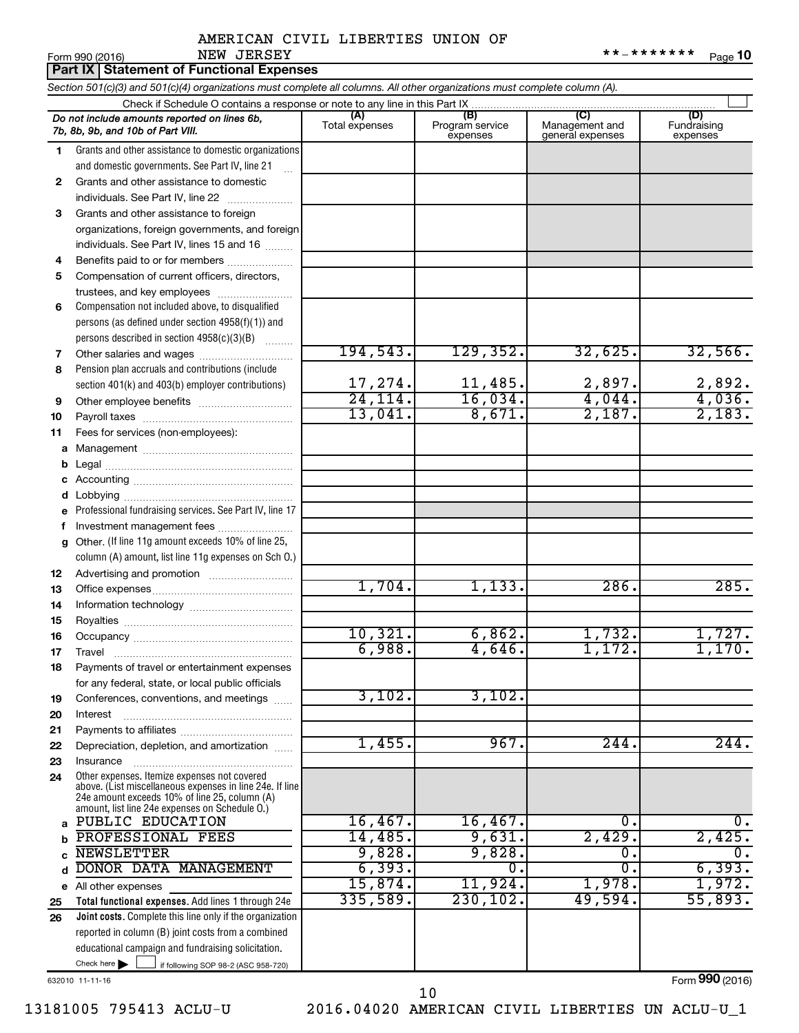|    | Part IX Statement of Functional Expenses                                                                                                                  |                       |                                    |                                           |                                |
|----|-----------------------------------------------------------------------------------------------------------------------------------------------------------|-----------------------|------------------------------------|-------------------------------------------|--------------------------------|
|    | Section 501(c)(3) and 501(c)(4) organizations must complete all columns. All other organizations must complete column (A).                                |                       |                                    |                                           |                                |
|    |                                                                                                                                                           |                       |                                    |                                           |                                |
|    | Do not include amounts reported on lines 6b,<br>7b, 8b, 9b, and 10b of Part VIII.                                                                         | (A)<br>Total expenses | (B)<br>Program service<br>expenses | (C)<br>Management and<br>general expenses | (D)<br>Fundraising<br>expenses |
| 1  | Grants and other assistance to domestic organizations                                                                                                     |                       |                                    |                                           |                                |
|    | and domestic governments. See Part IV, line 21                                                                                                            |                       |                                    |                                           |                                |
| 2  | Grants and other assistance to domestic                                                                                                                   |                       |                                    |                                           |                                |
|    | individuals. See Part IV, line 22                                                                                                                         |                       |                                    |                                           |                                |
| 3  | Grants and other assistance to foreign                                                                                                                    |                       |                                    |                                           |                                |
|    | organizations, foreign governments, and foreign                                                                                                           |                       |                                    |                                           |                                |
|    | individuals. See Part IV, lines 15 and 16                                                                                                                 |                       |                                    |                                           |                                |
| 4  | Benefits paid to or for members                                                                                                                           |                       |                                    |                                           |                                |
| 5  | Compensation of current officers, directors,                                                                                                              |                       |                                    |                                           |                                |
|    | trustees, and key employees                                                                                                                               |                       |                                    |                                           |                                |
| 6  | Compensation not included above, to disqualified                                                                                                          |                       |                                    |                                           |                                |
|    | persons (as defined under section 4958(f)(1)) and                                                                                                         |                       |                                    |                                           |                                |
|    | persons described in section $4958(c)(3)(B)$                                                                                                              | 194,543.              | 129,352.                           | 32,625.                                   | 32,566.                        |
| 7  | Other salaries and wages                                                                                                                                  |                       |                                    |                                           |                                |
| 8  | Pension plan accruals and contributions (include                                                                                                          | 17,274.               | 11,485.                            | 2,897.                                    | 2,892.                         |
| 9  | section 401(k) and 403(b) employer contributions)                                                                                                         | 24, 114.              | 16,034.                            | 4,044.                                    | 4,036.                         |
| 10 |                                                                                                                                                           | 13,041.               | 8,671.                             | 2,187.                                    | 2,183.                         |
| 11 | Fees for services (non-employees):                                                                                                                        |                       |                                    |                                           |                                |
| a  |                                                                                                                                                           |                       |                                    |                                           |                                |
|    |                                                                                                                                                           |                       |                                    |                                           |                                |
|    |                                                                                                                                                           |                       |                                    |                                           |                                |
| d  |                                                                                                                                                           |                       |                                    |                                           |                                |
| е  | Professional fundraising services. See Part IV, line 17                                                                                                   |                       |                                    |                                           |                                |
| f  | Investment management fees                                                                                                                                |                       |                                    |                                           |                                |
|    | g Other. (If line 11g amount exceeds 10% of line 25,                                                                                                      |                       |                                    |                                           |                                |
|    | column (A) amount, list line 11g expenses on Sch O.)                                                                                                      |                       |                                    |                                           |                                |
| 12 |                                                                                                                                                           |                       |                                    |                                           |                                |
| 13 |                                                                                                                                                           | 1,704.                | 1,133.                             | 286.                                      | 285.                           |
| 14 |                                                                                                                                                           |                       |                                    |                                           |                                |
| 15 |                                                                                                                                                           |                       |                                    |                                           |                                |
| 16 |                                                                                                                                                           | 10,321.               | 6,862.                             | 1,732.                                    | 1,727.                         |
| 17 |                                                                                                                                                           | 6,988.                | 4,646.                             | 1,172.                                    | 1,170.                         |
| 18 | Payments of travel or entertainment expenses                                                                                                              |                       |                                    |                                           |                                |
|    | for any federal, state, or local public officials                                                                                                         |                       |                                    |                                           |                                |
| 19 | Conferences, conventions, and meetings                                                                                                                    | 3,102.                | 3,102.                             |                                           |                                |
| 20 | Interest                                                                                                                                                  |                       |                                    |                                           |                                |
| 21 |                                                                                                                                                           |                       | 967.                               |                                           | 244.                           |
| 22 | Depreciation, depletion, and amortization                                                                                                                 | 1,455.                |                                    | 244.                                      |                                |
| 23 | Insurance                                                                                                                                                 |                       |                                    |                                           |                                |
| 24 | Other expenses. Itemize expenses not covered<br>above. (List miscellaneous expenses in line 24e. If line<br>24e amount exceeds 10% of line 25, column (A) |                       |                                    |                                           |                                |
|    | amount, list line 24e expenses on Schedule O.)                                                                                                            |                       |                                    |                                           |                                |
| a  | PUBLIC EDUCATION                                                                                                                                          | 16,467.               | 16,467.                            | 0.                                        | 0.                             |
|    | PROFESSIONAL FEES                                                                                                                                         | 14,485.               | 9,631.                             | 2,429.                                    | 2,425.                         |
|    | <b>NEWSLETTER</b>                                                                                                                                         | 9,828.                | 9,828.                             | 0.                                        | $\overline{0}$ .               |
| d  | DONOR DATA MANAGEMENT                                                                                                                                     | 6, 393.               | $\overline{0}$ .                   | σ.                                        | 6,393.                         |
|    | e All other expenses                                                                                                                                      | 15,874.               | 11,924.                            | 1,978.                                    | 1,972.                         |
| 25 | Total functional expenses. Add lines 1 through 24e                                                                                                        | 335,589.              | 230, 102.                          | 49,594.                                   | 55,893.                        |
| 26 | Joint costs. Complete this line only if the organization                                                                                                  |                       |                                    |                                           |                                |
|    | reported in column (B) joint costs from a combined                                                                                                        |                       |                                    |                                           |                                |
|    | educational campaign and fundraising solicitation.                                                                                                        |                       |                                    |                                           |                                |
|    | Check here $\blacktriangleright$<br>if following SOP 98-2 (ASC 958-720)                                                                                   |                       |                                    |                                           |                                |

632010 11-11-16

Form (2016) **990**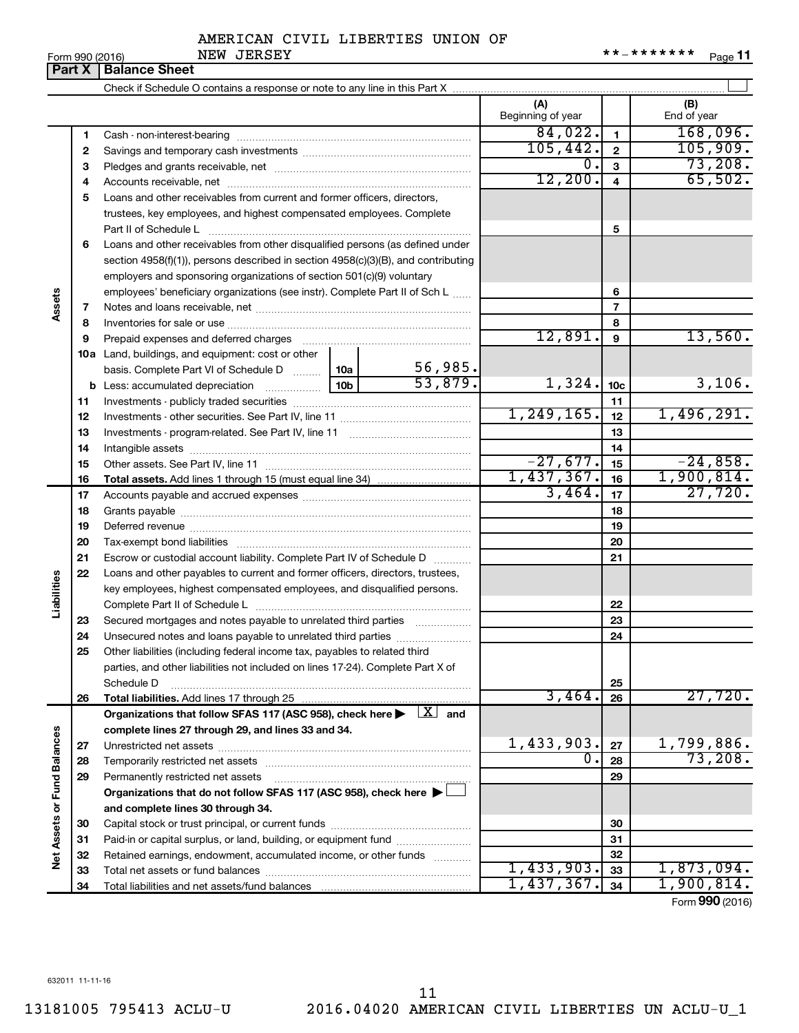Form 990 (2016) Page NEW JERSEY \*\*-\*\*\*\*\*\*\* **11**

|                             | Part X | <b>Balance Sheet</b>                                                                                                    |  |                         |                          |                 |                    |
|-----------------------------|--------|-------------------------------------------------------------------------------------------------------------------------|--|-------------------------|--------------------------|-----------------|--------------------|
|                             |        |                                                                                                                         |  |                         |                          |                 |                    |
|                             |        |                                                                                                                         |  |                         | (A)<br>Beginning of year |                 | (B)<br>End of year |
|                             | 1      |                                                                                                                         |  |                         | 84,022.                  | $\mathbf{1}$    | 168,096.           |
|                             | 2      |                                                                                                                         |  |                         | 105, 442.                | $\mathbf{2}$    | 105,909.           |
|                             | з      |                                                                                                                         |  |                         | $0$ .                    | 3               | 73,208.            |
|                             | 4      |                                                                                                                         |  |                         | 12,200.                  | 4               | 65,502.            |
|                             | 5      | Loans and other receivables from current and former officers, directors,                                                |  |                         |                          |                 |                    |
|                             |        | trustees, key employees, and highest compensated employees. Complete                                                    |  |                         |                          |                 |                    |
|                             |        | Part II of Schedule L                                                                                                   |  |                         |                          | 5               |                    |
|                             | 6      | Loans and other receivables from other disqualified persons (as defined under                                           |  |                         |                          |                 |                    |
|                             |        | section 4958(f)(1)), persons described in section 4958(c)(3)(B), and contributing                                       |  |                         |                          |                 |                    |
|                             |        | employers and sponsoring organizations of section 501(c)(9) voluntary                                                   |  |                         |                          |                 |                    |
|                             |        | employees' beneficiary organizations (see instr). Complete Part II of Sch L                                             |  |                         |                          | 6               |                    |
| Assets                      | 7      |                                                                                                                         |  | $\overline{7}$          |                          |                 |                    |
|                             | 8      |                                                                                                                         |  |                         |                          | 8               |                    |
|                             | 9      | Prepaid expenses and deferred charges [11] [11] Prepaid expenses and deferred charges [11] [11] Arman minimum           |  |                         | 12,891.                  | 9               | 13,560.            |
|                             |        | <b>10a</b> Land, buildings, and equipment: cost or other                                                                |  |                         |                          |                 |                    |
|                             |        | basis. Complete Part VI of Schedule D  10a                                                                              |  |                         |                          |                 |                    |
|                             |        |                                                                                                                         |  | $\frac{56,985}{53,879}$ | 1,324.                   | 10 <sub>c</sub> | 3,106.             |
|                             | 11     |                                                                                                                         |  |                         |                          | 11              |                    |
|                             | 12     |                                                                                                                         |  |                         | 1, 249, 165.             | 12              | 1,496,291.         |
|                             | 13     |                                                                                                                         |  | 13                      |                          |                 |                    |
|                             | 14     |                                                                                                                         |  |                         |                          | 14              |                    |
|                             | 15     |                                                                                                                         |  |                         | $-27,677.$               | 15              | $-24,858.$         |
|                             | 16     |                                                                                                                         |  |                         | 1,437,367.               | 16              | 1,900,814.         |
|                             | 17     |                                                                                                                         |  |                         | 3,464.                   | 17              | 27,720.            |
|                             | 18     |                                                                                                                         |  |                         |                          | 18              |                    |
|                             | 19     |                                                                                                                         |  |                         |                          | 19              |                    |
|                             | 20     |                                                                                                                         |  |                         |                          | 20              |                    |
|                             | 21     | Escrow or custodial account liability. Complete Part IV of Schedule D                                                   |  |                         | 21                       |                 |                    |
|                             | 22     | Loans and other payables to current and former officers, directors, trustees,                                           |  |                         |                          |                 |                    |
|                             |        | key employees, highest compensated employees, and disqualified persons.                                                 |  |                         |                          |                 |                    |
| Liabilities                 |        |                                                                                                                         |  |                         |                          | 22              |                    |
|                             | 23     | Secured mortgages and notes payable to unrelated third parties                                                          |  |                         |                          | 23              |                    |
|                             | 24     | Unsecured notes and loans payable to unrelated third parties                                                            |  |                         |                          | 24              |                    |
|                             | 25     | Other liabilities (including federal income tax, payables to related third                                              |  |                         |                          |                 |                    |
|                             |        | parties, and other liabilities not included on lines 17-24). Complete Part X of                                         |  |                         |                          |                 |                    |
|                             |        | Schedule D                                                                                                              |  |                         |                          | 25              |                    |
|                             | 26     | Total liabilities. Add lines 17 through 25                                                                              |  |                         | 3,464.                   | 26              | 27,720.            |
|                             |        | Organizations that follow SFAS 117 (ASC 958), check here $\blacktriangleright \begin{array}{c} \perp X \end{array}$ and |  |                         |                          |                 |                    |
|                             |        | complete lines 27 through 29, and lines 33 and 34.                                                                      |  |                         |                          |                 |                    |
|                             | 27     |                                                                                                                         |  |                         | $1,433,903$ .            | 27              | 1,799,886.         |
|                             | 28     |                                                                                                                         |  |                         | σ.                       | 28              | 73,208.            |
|                             | 29     | Permanently restricted net assets                                                                                       |  |                         |                          | 29              |                    |
|                             |        | Organizations that do not follow SFAS 117 (ASC 958), check here ▶ □                                                     |  |                         |                          |                 |                    |
| Net Assets or Fund Balances |        | and complete lines 30 through 34.                                                                                       |  |                         |                          |                 |                    |
|                             | 30     |                                                                                                                         |  |                         |                          | 30              |                    |
|                             | 31     | Paid-in or capital surplus, or land, building, or equipment fund                                                        |  |                         |                          | 31              |                    |
|                             | 32     | Retained earnings, endowment, accumulated income, or other funds                                                        |  |                         |                          | 32              |                    |
|                             | 33     |                                                                                                                         |  |                         | 1,433,903.               | 33              | 1,873,094.         |
|                             | 34     |                                                                                                                         |  |                         | 1,437,367.               | 34              | 1,900,814.         |

Form (2016) **990**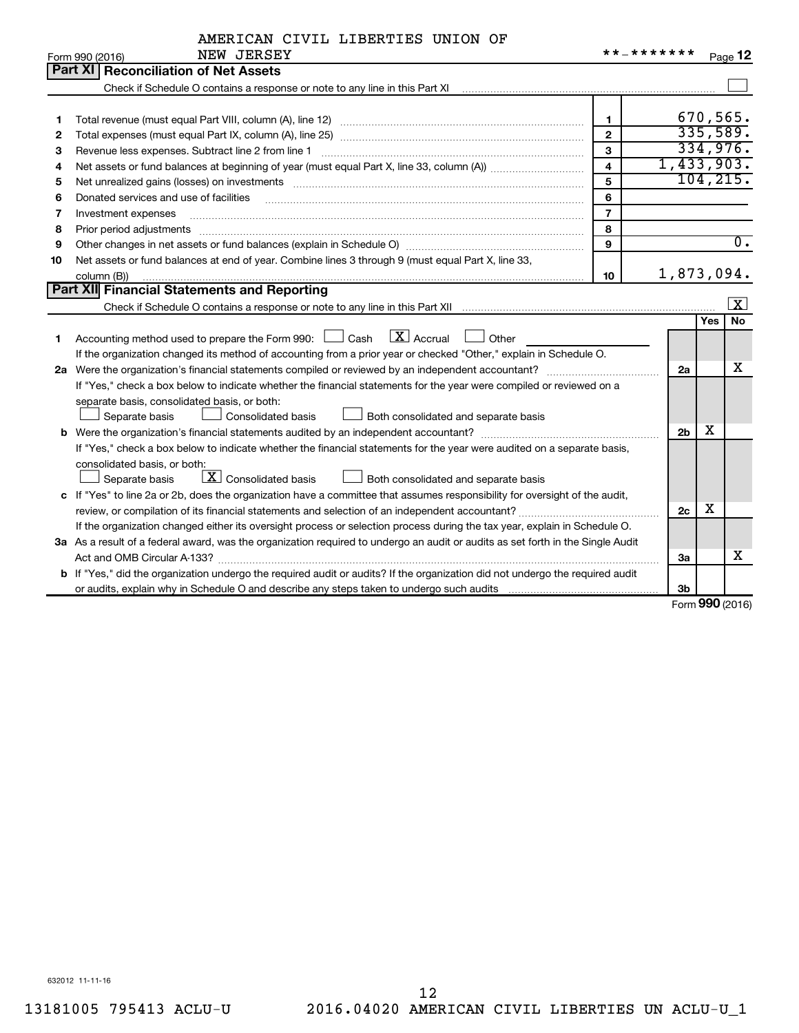|  |  |  | AMERICAN CIVIL LIBERTIES UNION OF |  |  |
|--|--|--|-----------------------------------|--|--|
|--|--|--|-----------------------------------|--|--|

|    | NEW JERSEY<br>Form 990 (2016)                                                                                                   | * * _ * * * * * * * |                |            | Page 12          |
|----|---------------------------------------------------------------------------------------------------------------------------------|---------------------|----------------|------------|------------------|
|    | Part XI Reconciliation of Net Assets                                                                                            |                     |                |            |                  |
|    |                                                                                                                                 |                     |                |            |                  |
|    |                                                                                                                                 |                     |                |            |                  |
| 1  |                                                                                                                                 | $\mathbf{1}$        |                |            | 670,565.         |
| 2  |                                                                                                                                 | $\overline{2}$      |                |            | 335,589.         |
| З  | Revenue less expenses. Subtract line 2 from line 1                                                                              | 3                   |                |            | 334,976.         |
| 4  |                                                                                                                                 | $\overline{4}$      | 1,433,903.     |            |                  |
| 5  |                                                                                                                                 | 5                   |                |            | 104, 215.        |
| 6  | Donated services and use of facilities                                                                                          | 6                   |                |            |                  |
| 7  | Investment expenses                                                                                                             | $\overline{7}$      |                |            |                  |
| 8  | Prior period adjustments www.communication.communication.communication.com/                                                     | 8                   |                |            |                  |
| 9  |                                                                                                                                 | $\mathbf{Q}$        |                |            | $\overline{0}$ . |
| 10 | Net assets or fund balances at end of year. Combine lines 3 through 9 (must equal Part X, line 33,                              |                     |                |            |                  |
|    | column (B))                                                                                                                     | 10                  | 1,873,094.     |            |                  |
|    | Part XII Financial Statements and Reporting                                                                                     |                     |                |            |                  |
|    |                                                                                                                                 |                     |                |            | $\vert x \vert$  |
|    |                                                                                                                                 |                     |                | <b>Yes</b> | <b>No</b>        |
| 1. | $\boxed{\text{X}}$ Accrual<br>Accounting method used to prepare the Form 990: [130] Cash<br>$\Box$ Other                        |                     |                |            |                  |
|    | If the organization changed its method of accounting from a prior year or checked "Other," explain in Schedule O.               |                     |                |            |                  |
|    |                                                                                                                                 |                     | 2a             |            | х                |
|    | If "Yes," check a box below to indicate whether the financial statements for the year were compiled or reviewed on a            |                     |                |            |                  |
|    | separate basis, consolidated basis, or both:                                                                                    |                     |                |            |                  |
|    | Both consolidated and separate basis<br>Separate basis<br>Consolidated basis                                                    |                     |                |            |                  |
|    |                                                                                                                                 |                     | 2 <sub>b</sub> | X          |                  |
|    | If "Yes," check a box below to indicate whether the financial statements for the year were audited on a separate basis,         |                     |                |            |                  |
|    | consolidated basis, or both:                                                                                                    |                     |                |            |                  |
|    | $\boxed{\textbf{X}}$ Consolidated basis<br>Separate basis<br>Both consolidated and separate basis                               |                     |                |            |                  |
|    | c If "Yes" to line 2a or 2b, does the organization have a committee that assumes responsibility for oversight of the audit,     |                     |                |            |                  |
|    |                                                                                                                                 |                     | 2c             | х          |                  |
|    | If the organization changed either its oversight process or selection process during the tax year, explain in Schedule O.       |                     |                |            |                  |
|    | 3a As a result of a federal award, was the organization required to undergo an audit or audits as set forth in the Single Audit |                     |                |            |                  |
|    |                                                                                                                                 |                     | За             |            | х                |
|    | b If "Yes," did the organization undergo the required audit or audits? If the organization did not undergo the required audit   |                     |                |            |                  |
|    |                                                                                                                                 |                     | 3 <sub>b</sub> |            |                  |

Form (2016) **990**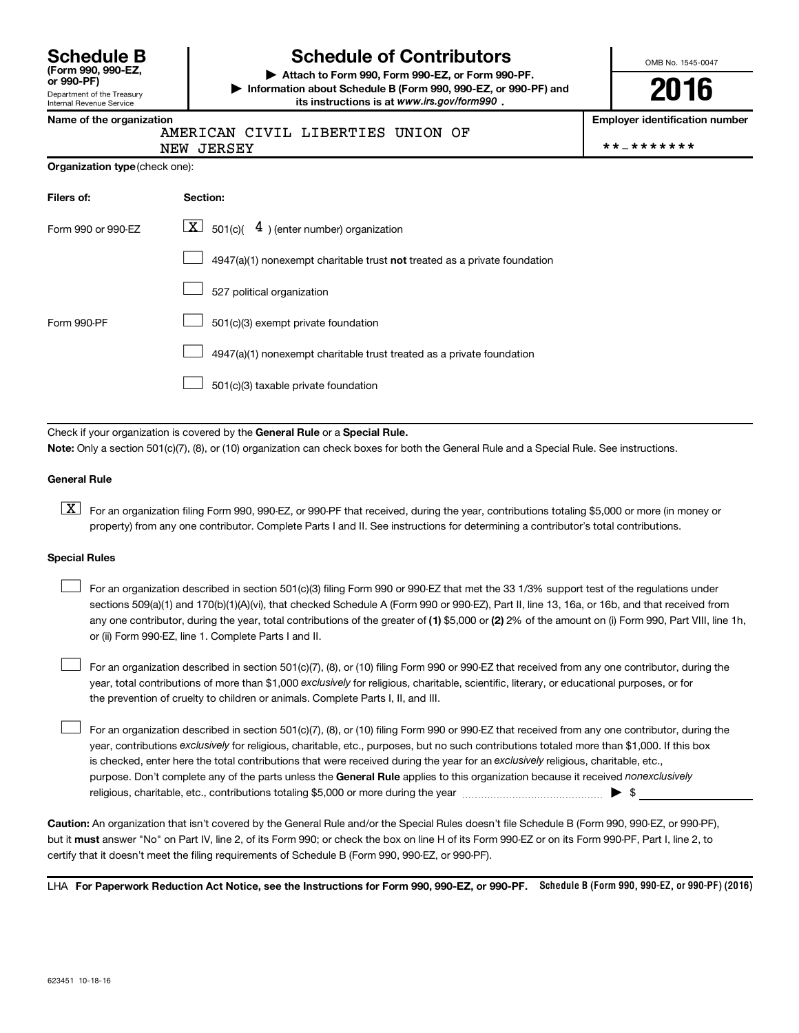| <b>Schedule B</b>                    |  |  |
|--------------------------------------|--|--|
| (Form 990, 990-EZ,<br>$\sim$ 000 DEV |  |  |

Department of the Treasury Internal Revenue Service

# **Schedule of Contributors**

**or 990-PF) | Attach to Form 990, Form 990-EZ, or Form 990-PF. | Information about Schedule B (Form 990, 990-EZ, or 990-PF) and** its instructions is at www.irs.gov/form990.

OMB No. 1545-0047

**2016**

**Employer identification number** 

|  |  | Name of the organization |
|--|--|--------------------------|
|  |  | ----                     |

AMERICAN CIVIL LIBERTIES UNION OF

NEW JERSEY \*\*-\*\*\*\*\*\*\*

|  | Organization type (check one): |
|--|--------------------------------|
|--|--------------------------------|

| Filers of:         | Section:                                                                    |
|--------------------|-----------------------------------------------------------------------------|
| Form 990 or 990-EZ | $ \mathbf{X} $ 501(c)( 4) (enter number) organization                       |
|                    | $4947(a)(1)$ nonexempt charitable trust not treated as a private foundation |
|                    | 527 political organization                                                  |
| Form 990-PF        | 501(c)(3) exempt private foundation                                         |
|                    | 4947(a)(1) nonexempt charitable trust treated as a private foundation       |
|                    | 501(c)(3) taxable private foundation                                        |

Check if your organization is covered by the General Rule or a Special Rule.

**Note:**  Only a section 501(c)(7), (8), or (10) organization can check boxes for both the General Rule and a Special Rule. See instructions.

#### **General Rule**

**K** For an organization filing Form 990, 990-EZ, or 990-PF that received, during the year, contributions totaling \$5,000 or more (in money or property) from any one contributor. Complete Parts I and II. See instructions for determining a contributor's total contributions.

#### **Special Rules**

 $\Box$ 

any one contributor, during the year, total contributions of the greater of **(1)** \$5,000 or **(2)** 2% of the amount on (i) Form 990, Part VIII, line 1h, For an organization described in section 501(c)(3) filing Form 990 or 990-EZ that met the 33 1/3% support test of the regulations under sections 509(a)(1) and 170(b)(1)(A)(vi), that checked Schedule A (Form 990 or 990-EZ), Part II, line 13, 16a, or 16b, and that received from or (ii) Form 990-EZ, line 1. Complete Parts I and II.  $\Box$ 

year, total contributions of more than \$1,000 *exclusively* for religious, charitable, scientific, literary, or educational purposes, or for For an organization described in section 501(c)(7), (8), or (10) filing Form 990 or 990-EZ that received from any one contributor, during the the prevention of cruelty to children or animals. Complete Parts I, II, and III.  $\Box$ 

purpose. Don't complete any of the parts unless the General Rule applies to this organization because it received nonexclusively year, contributions exclusively for religious, charitable, etc., purposes, but no such contributions totaled more than \$1,000. If this box is checked, enter here the total contributions that were received during the year for an exclusively religious, charitable, etc., For an organization described in section 501(c)(7), (8), or (10) filing Form 990 or 990-EZ that received from any one contributor, during the religious, charitable, etc., contributions totaling \$5,000 or more during the year  $\ldots$  $\ldots$  $\ldots$  $\ldots$  $\ldots$  $\ldots$ 

**Caution:**  An organization that isn't covered by the General Rule and/or the Special Rules doesn't file Schedule B (Form 990, 990-EZ, or 990-PF),  **must** but it answer "No" on Part IV, line 2, of its Form 990; or check the box on line H of its Form 990-EZ or on its Form 990-PF, Part I, line 2, to certify that it doesn't meet the filing requirements of Schedule B (Form 990, 990-EZ, or 990-PF).

LHA For Paperwork Reduction Act Notice, see the Instructions for Form 990, 990-EZ, or 990-PF. Schedule B (Form 990, 990-EZ, or 990-PF) (2016)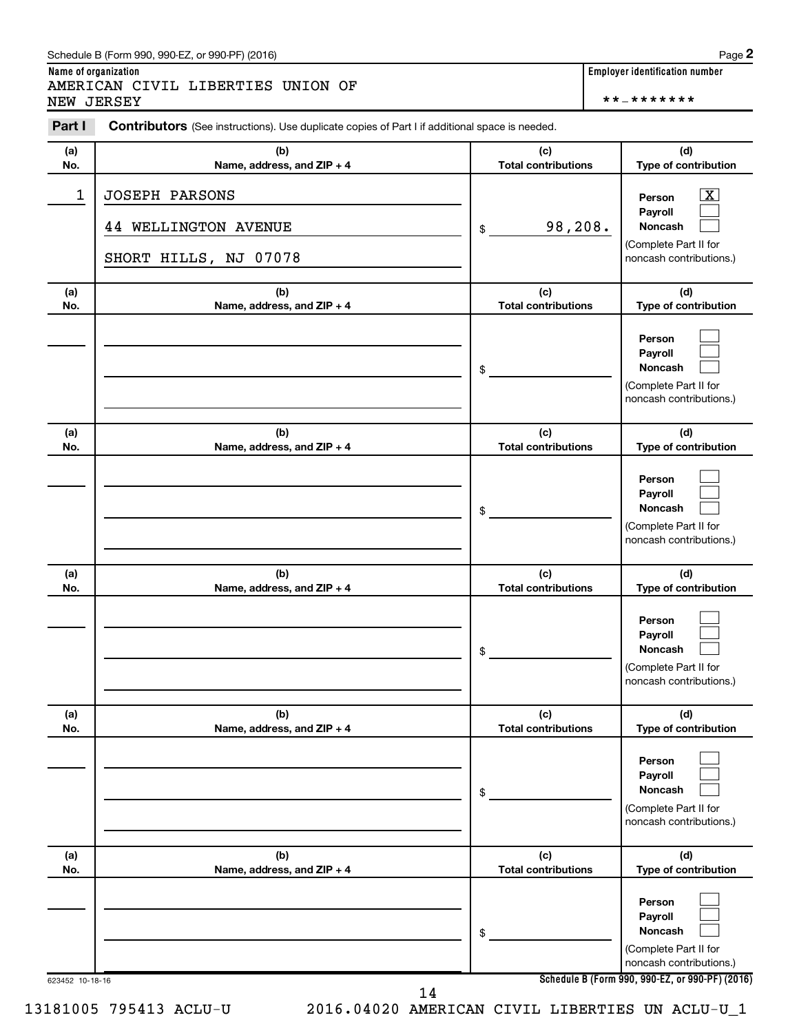#### Schedule B (Form 990, 990-EZ, or 990-PF) (2016)

**Name of organization Employer identification number** AMERICAN CIVIL LIBERTIES UNION OF

NEW JERSEY \*\*-\*\*\*\*\*\*\*

| (a)          | (b)                                                                           | (c)                        | (d)                                                                                     |
|--------------|-------------------------------------------------------------------------------|----------------------------|-----------------------------------------------------------------------------------------|
| No.          | Name, address, and ZIP + 4                                                    | <b>Total contributions</b> | Type of contribution                                                                    |
| $\mathbf{1}$ | <b>JOSEPH PARSONS</b><br><b>44 WELLINGTON AVENUE</b><br>SHORT HILLS, NJ 07078 | 98,208.<br>\$              | x<br>Person<br>Payroll<br>Noncash<br>(Complete Part II for<br>noncash contributions.)   |
| (a)          | (b)                                                                           | (c)                        | (d)                                                                                     |
| No.          | Name, address, and ZIP + 4                                                    | <b>Total contributions</b> | Type of contribution                                                                    |
|              |                                                                               | \$                         | Person<br>Payroll<br><b>Noncash</b><br>(Complete Part II for<br>noncash contributions.) |
| (a)          | (b)                                                                           | (c)                        | (d)                                                                                     |
| No.          | Name, address, and ZIP + 4                                                    | <b>Total contributions</b> | Type of contribution                                                                    |
|              |                                                                               | \$                         | Person<br>Payroll<br><b>Noncash</b><br>(Complete Part II for<br>noncash contributions.) |
| (a)          | (b)                                                                           | (c)                        | (d)                                                                                     |
| No.          | Name, address, and ZIP + 4                                                    | <b>Total contributions</b> | Type of contribution                                                                    |
|              |                                                                               | \$                         | Person<br>Payroll<br><b>Noncash</b><br>(Complete Part II for<br>noncash contributions.) |
| (a)          | (b)                                                                           | (c)                        | (d)                                                                                     |
| No.          | Name, address, and ZIP + 4                                                    | <b>Total contributions</b> | Type of contribution                                                                    |
|              |                                                                               | \$                         | Person<br>Payroll<br>Noncash<br>(Complete Part II for<br>noncash contributions.)        |
| (a)          | (b)                                                                           | (c)                        | (d)                                                                                     |
| No.          | Name, address, and ZIP + 4                                                    | <b>Total contributions</b> | Type of contribution                                                                    |
|              |                                                                               | \$                         | Person<br>Payroll<br>Noncash<br>(Complete Part II for                                   |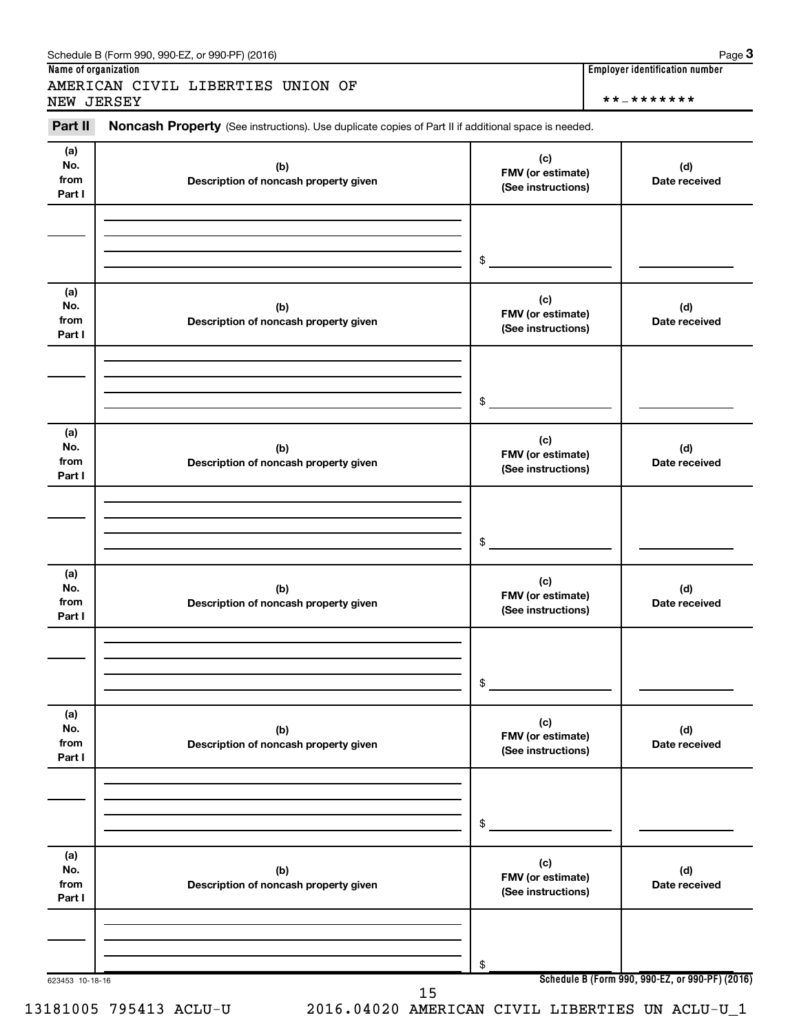#### Schedule B (Form 990, 990-EZ, or 990-PF) (2016)

AMERICAN CIVIL LIBERTIES UNION OF NEW JERSEY \*\*-\*\*\*\*\*\*\*

**Name of organization Employer identification number**

623453 10-18-16 **Schedule B (Form 990, 990-EZ, or 990-PF) (2016) (a) No. from Part I (c) FMV (or estimate) (See instructions) (b) Description of noncash property given (d) Date received (a) No. from Part I (c) FMV (or estimate) (See instructions) (b) Description of noncash property given (d) Date received (a) No. from Part I (c) FMV (or estimate) (See instructions) (b) Description of noncash property given (d) Date received (a) No. from Part I (c) FMV (or estimate) (See instructions) (b) Description of noncash property given (d) Date received (a) No. from Part I (c) FMV (or estimate) (See instructions) (b) Description of noncash property given (d) Date received (a) No. from Part I (c) FMV (or estimate) (See instructions) (b) Description of noncash property given (d) Date received** Part II Noncash Property (See instructions). Use duplicate copies of Part II if additional space is needed. \$ \$ \$ \$ \$ \$ 15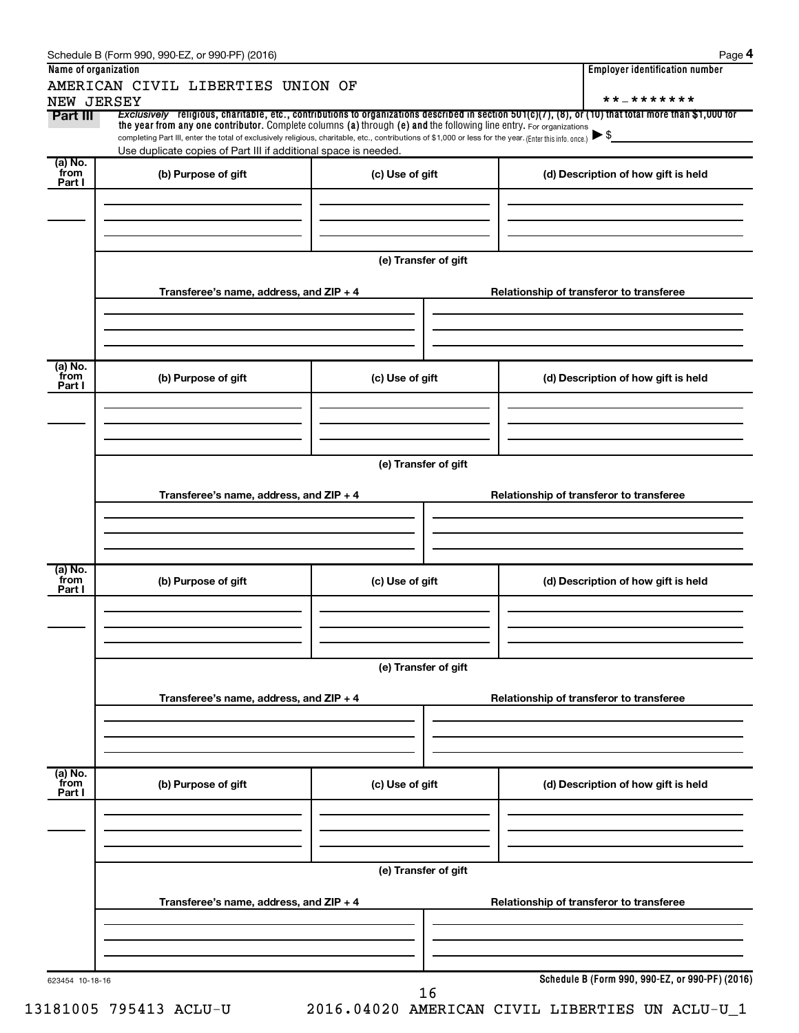| Name of organization<br>NEW JERSEY | AMERICAN CIVIL LIBERTIES UNION OF                                                                                                                                                                                                                                               |                      | <b>Employer identification number</b><br>* * _ * * * * * * *                                                                                                                         |
|------------------------------------|---------------------------------------------------------------------------------------------------------------------------------------------------------------------------------------------------------------------------------------------------------------------------------|----------------------|--------------------------------------------------------------------------------------------------------------------------------------------------------------------------------------|
| Part III                           | the year from any one contributor. Complete columns (a) through (e) and the following line entry. For organizations<br>completing Part III, enter the total of exclusively religious, charitable, etc., contributions of \$1,000 or less for the year. (Enter this info. once.) |                      | Exclusively religious, charitable, etc., contributions to organizations described in section $501(c)(7)$ , (8), or (10) that total more than \$1,000 for<br>$\blacktriangleright$ \$ |
|                                    | Use duplicate copies of Part III if additional space is needed.                                                                                                                                                                                                                 |                      |                                                                                                                                                                                      |
| (a) No.<br>from<br>Part I          | (b) Purpose of gift                                                                                                                                                                                                                                                             | (c) Use of gift      | (d) Description of how gift is held                                                                                                                                                  |
|                                    | Transferee's name, address, and ZIP + 4                                                                                                                                                                                                                                         | (e) Transfer of gift | Relationship of transferor to transferee                                                                                                                                             |
|                                    |                                                                                                                                                                                                                                                                                 |                      |                                                                                                                                                                                      |
| (a) No.<br>from<br>Part I          | (b) Purpose of gift                                                                                                                                                                                                                                                             | (c) Use of gift      | (d) Description of how gift is held                                                                                                                                                  |
|                                    |                                                                                                                                                                                                                                                                                 | (e) Transfer of gift |                                                                                                                                                                                      |
|                                    | Transferee's name, address, and ZIP + 4                                                                                                                                                                                                                                         |                      | Relationship of transferor to transferee                                                                                                                                             |
| (a) No.<br>from<br>Part I          | (b) Purpose of gift                                                                                                                                                                                                                                                             | (c) Use of gift      | (d) Description of how gift is held                                                                                                                                                  |
|                                    |                                                                                                                                                                                                                                                                                 | (e) Transfer of gift |                                                                                                                                                                                      |
|                                    | Transferee's name, address, and ZIP + 4                                                                                                                                                                                                                                         |                      | Relationship of transferor to transferee                                                                                                                                             |
| (a) No.<br>from                    |                                                                                                                                                                                                                                                                                 |                      |                                                                                                                                                                                      |
| Part I                             | (b) Purpose of gift                                                                                                                                                                                                                                                             | (c) Use of gift      | (d) Description of how gift is held                                                                                                                                                  |
|                                    |                                                                                                                                                                                                                                                                                 | (e) Transfer of gift |                                                                                                                                                                                      |
|                                    | Transferee's name, address, and ZIP + 4                                                                                                                                                                                                                                         |                      | Relationship of transferor to transferee                                                                                                                                             |
| 623454 10-18-16                    |                                                                                                                                                                                                                                                                                 |                      | Schedule B (Form 990, 990-EZ, or 990-PF) (2016)                                                                                                                                      |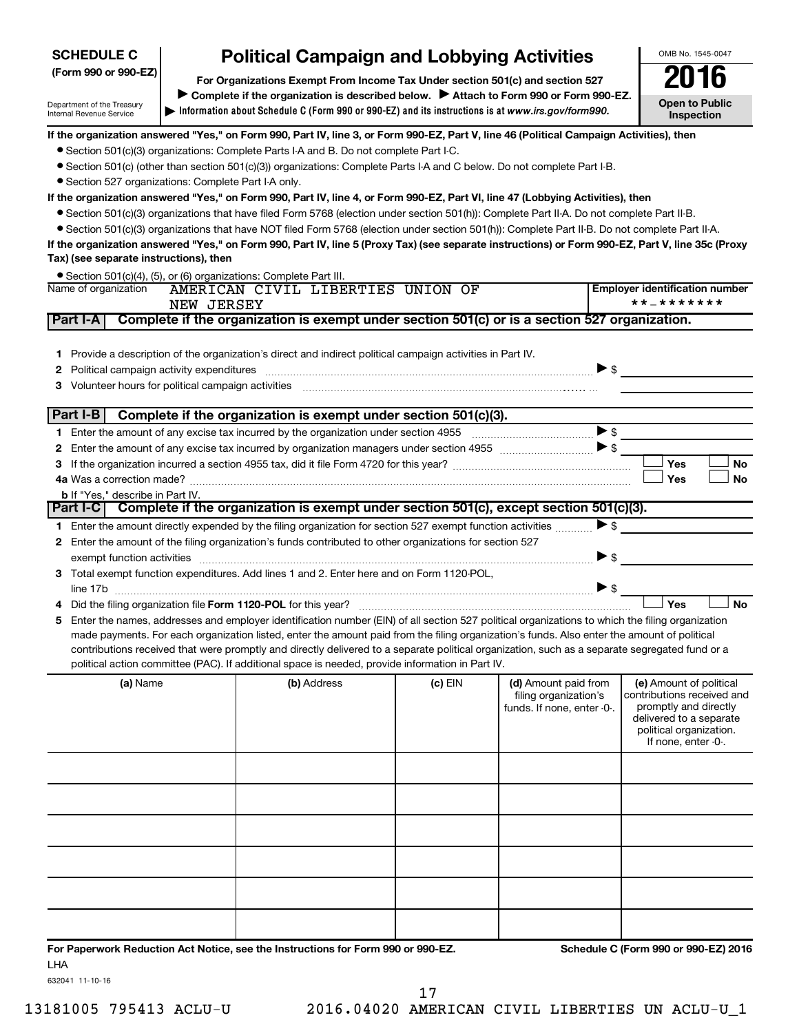# **SCHEDULE C**

# **Political Campaign and Lobbying Activities**<br>Drganizations Exempt From Income Tax Under section 501(c) and section 527 **2016**

**Information about Schedule C (Form 990 or 990-EZ) and its instructions is at |**  *www.irs.gov/form990.* **(Form 990 or 990-EZ) For Organizations Exempt From Income Tax Under section 501(c) and section 527** Complete if the organization is described below. > Attach to Form 990 or Form 990-EZ. **Open to Public Inspection**

OMB No. 1545-0047

Department of the Treasury Internal Revenue Service

#### **If the organization answered "Yes," on Form 990, Part IV, line 3, or Form 990-EZ, Part V, line 46 (Political Campaign Activities), then**

- Section 501(c)(3) organizations: Complete Parts I-A and B. Do not complete Part I-C.
- Section 501(c) (other than section 501(c)(3)) organizations: Complete Parts I-A and C below. Do not complete Part I-B.
- Section 527 organizations: Complete Part I-A only.

#### **If the organization answered "Yes," on Form 990, Part IV, line 4, or Form 990-EZ, Part VI, line 47 (Lobbying Activities), then**

- Section 501(c)(3) organizations that have filed Form 5768 (election under section 501(h)): Complete Part II-A. Do not complete Part II-B.
- Section 501(c)(3) organizations that have NOT filed Form 5768 (election under section 501(h)): Complete Part II-B. Do not complete Part II-A.

**If the organization answered "Yes," on Form 990, Part IV, line 5 (Proxy Tax) (see separate instructions) or Form 990-EZ, Part V, line 35c (Proxy Tax) (see separate instructions), then**

• Section 501(c)(4), (5), or (6) organizations: Complete Part III.

|          | Name of organization<br>NEW JERSEY                                                                                                                                                                                                                                                                                                                                                                                                                                                                                                                   | AMERICAN CIVIL LIBERTIES UNION OF                                                             |           |                                                                             | <b>Employer identification number</b><br>**_*******                                                                                                         |
|----------|------------------------------------------------------------------------------------------------------------------------------------------------------------------------------------------------------------------------------------------------------------------------------------------------------------------------------------------------------------------------------------------------------------------------------------------------------------------------------------------------------------------------------------------------------|-----------------------------------------------------------------------------------------------|-----------|-----------------------------------------------------------------------------|-------------------------------------------------------------------------------------------------------------------------------------------------------------|
| Part I-A |                                                                                                                                                                                                                                                                                                                                                                                                                                                                                                                                                      | Complete if the organization is exempt under section 501(c) or is a section 527 organization. |           |                                                                             |                                                                                                                                                             |
|          | 1 Provide a description of the organization's direct and indirect political campaign activities in Part IV.<br>2 Political campaign activity expenditures material content and a set of the set of the set of the set of the set of the set of the set of the set of the set of the set of the set of the set of the set of the set of the se                                                                                                                                                                                                        |                                                                                               |           |                                                                             |                                                                                                                                                             |
|          | Part I-B                                                                                                                                                                                                                                                                                                                                                                                                                                                                                                                                             | Complete if the organization is exempt under section 501(c)(3).                               |           |                                                                             |                                                                                                                                                             |
|          |                                                                                                                                                                                                                                                                                                                                                                                                                                                                                                                                                      |                                                                                               |           |                                                                             |                                                                                                                                                             |
|          |                                                                                                                                                                                                                                                                                                                                                                                                                                                                                                                                                      |                                                                                               |           |                                                                             |                                                                                                                                                             |
|          |                                                                                                                                                                                                                                                                                                                                                                                                                                                                                                                                                      |                                                                                               |           |                                                                             | Yes<br>No                                                                                                                                                   |
|          |                                                                                                                                                                                                                                                                                                                                                                                                                                                                                                                                                      |                                                                                               |           |                                                                             | <b>No</b><br>Yes                                                                                                                                            |
|          | <b>b</b> If "Yes." describe in Part IV.<br>Part I-C Complete if the organization is exempt under section 501(c), except section 501(c)(3).                                                                                                                                                                                                                                                                                                                                                                                                           |                                                                                               |           |                                                                             |                                                                                                                                                             |
|          | 1 Enter the amount directly expended by the filing organization for section 527 exempt function activities $\ldots$                                                                                                                                                                                                                                                                                                                                                                                                                                  |                                                                                               |           |                                                                             |                                                                                                                                                             |
|          | 2 Enter the amount of the filing organization's funds contributed to other organizations for section 527                                                                                                                                                                                                                                                                                                                                                                                                                                             |                                                                                               |           |                                                                             |                                                                                                                                                             |
|          |                                                                                                                                                                                                                                                                                                                                                                                                                                                                                                                                                      |                                                                                               |           |                                                                             | $\blacktriangleright$ \$                                                                                                                                    |
|          | 3 Total exempt function expenditures. Add lines 1 and 2. Enter here and on Form 1120-POL,                                                                                                                                                                                                                                                                                                                                                                                                                                                            |                                                                                               |           |                                                                             |                                                                                                                                                             |
|          | line 17b $\sim$ $\sim$ $\sim$ $\sim$                                                                                                                                                                                                                                                                                                                                                                                                                                                                                                                 |                                                                                               |           |                                                                             |                                                                                                                                                             |
|          |                                                                                                                                                                                                                                                                                                                                                                                                                                                                                                                                                      |                                                                                               |           |                                                                             | <b>No</b><br>Yes                                                                                                                                            |
| 5        | Enter the names, addresses and employer identification number (EIN) of all section 527 political organizations to which the filing organization<br>made payments. For each organization listed, enter the amount paid from the filing organization's funds. Also enter the amount of political<br>contributions received that were promptly and directly delivered to a separate political organization, such as a separate segregated fund or a<br>political action committee (PAC). If additional space is needed, provide information in Part IV. |                                                                                               |           |                                                                             |                                                                                                                                                             |
|          | (a) Name                                                                                                                                                                                                                                                                                                                                                                                                                                                                                                                                             | (b) Address                                                                                   | $(c)$ EIN | (d) Amount paid from<br>filing organization's<br>funds. If none, enter -0-. | (e) Amount of political<br>contributions received and<br>promptly and directly<br>delivered to a separate<br>political organization.<br>If none, enter -0-. |
|          |                                                                                                                                                                                                                                                                                                                                                                                                                                                                                                                                                      |                                                                                               |           |                                                                             |                                                                                                                                                             |
|          |                                                                                                                                                                                                                                                                                                                                                                                                                                                                                                                                                      |                                                                                               |           |                                                                             |                                                                                                                                                             |
|          |                                                                                                                                                                                                                                                                                                                                                                                                                                                                                                                                                      |                                                                                               |           |                                                                             |                                                                                                                                                             |
|          |                                                                                                                                                                                                                                                                                                                                                                                                                                                                                                                                                      |                                                                                               |           |                                                                             |                                                                                                                                                             |
|          |                                                                                                                                                                                                                                                                                                                                                                                                                                                                                                                                                      |                                                                                               |           |                                                                             |                                                                                                                                                             |
|          |                                                                                                                                                                                                                                                                                                                                                                                                                                                                                                                                                      |                                                                                               |           |                                                                             |                                                                                                                                                             |

**For Paperwork Reduction Act Notice, see the Instructions for Form 990 or 990-EZ. Schedule C (Form 990 or 990-EZ) 2016** LHA

632041 11-10-16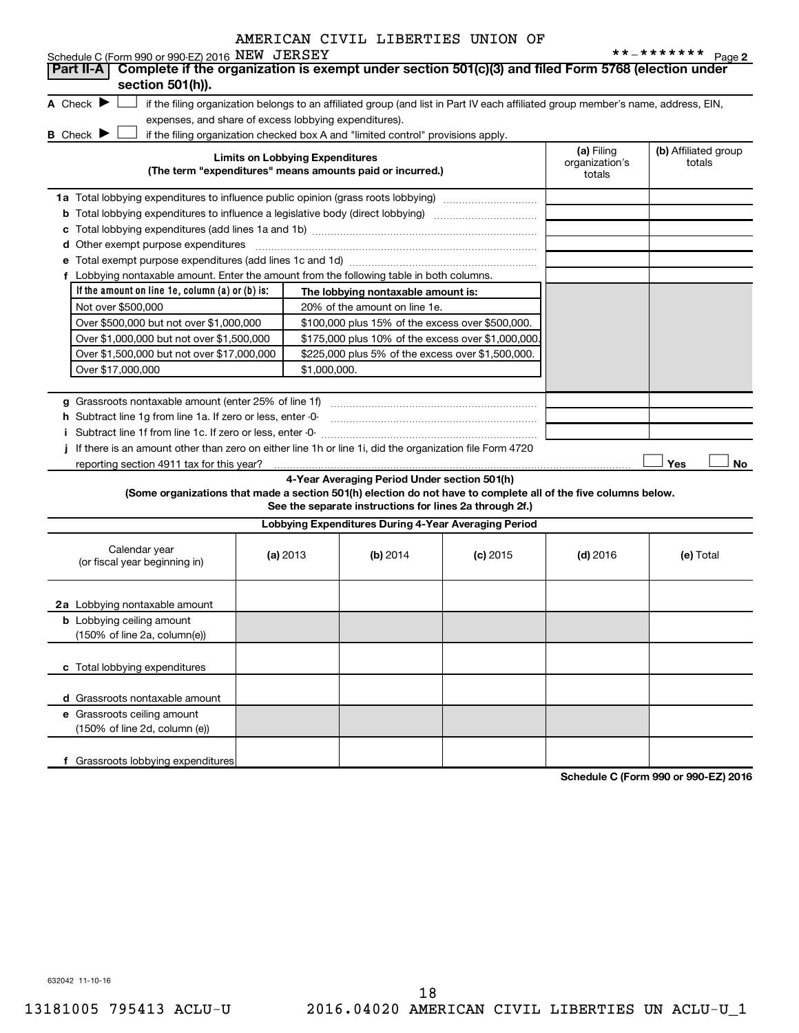| Complete if the organization is exempt under section 501(c)(3) and filed Form 5768 (election under<br>section 501(h)).<br>A Check $\blacktriangleright$<br>if the filing organization belongs to an affiliated group (and list in Part IV each affiliated group member's name, address, EIN,<br>expenses, and share of excess lobbying expenditures).<br><b>B</b> Check $\blacktriangleright$<br>if the filing organization checked box A and "limited control" provisions apply.<br>(a) Filing<br>(b) Affiliated group<br><b>Limits on Lobbying Expenditures</b><br>organization's<br>totals<br>(The term "expenditures" means amounts paid or incurred.)<br>totals<br>1a Total lobbying expenditures to influence public opinion (grass roots lobbying)<br><b>b</b> Total lobbying expenditures to influence a legislative body (direct lobbying) <i>manumanomes</i><br><b>d</b> Other exempt purpose expenditures<br>f Lobbying nontaxable amount. Enter the amount from the following table in both columns.<br>If the amount on line 1e, column (a) or (b) is:<br>The lobbying nontaxable amount is:<br>Not over \$500,000<br>20% of the amount on line 1e.<br>Over \$500,000 but not over \$1,000,000<br>\$100,000 plus 15% of the excess over \$500,000.<br>Over \$1,000,000 but not over \$1,500,000<br>\$175,000 plus 10% of the excess over \$1,000,000<br>Over \$1,500,000 but not over \$17,000,000<br>\$225,000 plus 5% of the excess over \$1,500,000.<br>Over \$17,000,000<br>\$1,000,000.<br>h Subtract line 1g from line 1a. If zero or less, enter -0-<br>Subtract line 1f from line 1c. If zero or less, enter -0-<br>If there is an amount other than zero on either line 1h or line 1i, did the organization file Form 4720<br>Yes<br>No<br>reporting section 4911 tax for this year?<br>4-Year Averaging Period Under section 501(h)<br>(Some organizations that made a section 501(h) election do not have to complete all of the five columns below.<br>See the separate instructions for lines 2a through 2f.)<br>Lobbying Expenditures During 4-Year Averaging Period<br>Calendar year<br>(a) 2013<br>(b) 2014<br>$(c)$ 2015<br>$(d)$ 2016<br>(e) Total<br>(or fiscal year beginning in)<br>2a Lobbying nontaxable amount<br><b>b</b> Lobbying ceiling amount<br>(150% of line 2a, column(e))<br>c Total lobbying expenditures<br>d Grassroots nontaxable amount | Schedule C (Form 990 or 990-EZ) 2016 NEW JERSEY |  |  | **_*******<br>Page 2 |
|--------------------------------------------------------------------------------------------------------------------------------------------------------------------------------------------------------------------------------------------------------------------------------------------------------------------------------------------------------------------------------------------------------------------------------------------------------------------------------------------------------------------------------------------------------------------------------------------------------------------------------------------------------------------------------------------------------------------------------------------------------------------------------------------------------------------------------------------------------------------------------------------------------------------------------------------------------------------------------------------------------------------------------------------------------------------------------------------------------------------------------------------------------------------------------------------------------------------------------------------------------------------------------------------------------------------------------------------------------------------------------------------------------------------------------------------------------------------------------------------------------------------------------------------------------------------------------------------------------------------------------------------------------------------------------------------------------------------------------------------------------------------------------------------------------------------------------------------------------------------------------------------------------------------------------------------------------------------------------------------------------------------------------------------------------------------------------------------------------------------------------------------------------------------------------------------------------------------------------------------------------------------------------------------------------------------------------------------------------------------------------------------|-------------------------------------------------|--|--|----------------------|
|                                                                                                                                                                                                                                                                                                                                                                                                                                                                                                                                                                                                                                                                                                                                                                                                                                                                                                                                                                                                                                                                                                                                                                                                                                                                                                                                                                                                                                                                                                                                                                                                                                                                                                                                                                                                                                                                                                                                                                                                                                                                                                                                                                                                                                                                                                                                                                                            | Part II-A                                       |  |  |                      |
|                                                                                                                                                                                                                                                                                                                                                                                                                                                                                                                                                                                                                                                                                                                                                                                                                                                                                                                                                                                                                                                                                                                                                                                                                                                                                                                                                                                                                                                                                                                                                                                                                                                                                                                                                                                                                                                                                                                                                                                                                                                                                                                                                                                                                                                                                                                                                                                            |                                                 |  |  |                      |
|                                                                                                                                                                                                                                                                                                                                                                                                                                                                                                                                                                                                                                                                                                                                                                                                                                                                                                                                                                                                                                                                                                                                                                                                                                                                                                                                                                                                                                                                                                                                                                                                                                                                                                                                                                                                                                                                                                                                                                                                                                                                                                                                                                                                                                                                                                                                                                                            |                                                 |  |  |                      |
|                                                                                                                                                                                                                                                                                                                                                                                                                                                                                                                                                                                                                                                                                                                                                                                                                                                                                                                                                                                                                                                                                                                                                                                                                                                                                                                                                                                                                                                                                                                                                                                                                                                                                                                                                                                                                                                                                                                                                                                                                                                                                                                                                                                                                                                                                                                                                                                            |                                                 |  |  |                      |
|                                                                                                                                                                                                                                                                                                                                                                                                                                                                                                                                                                                                                                                                                                                                                                                                                                                                                                                                                                                                                                                                                                                                                                                                                                                                                                                                                                                                                                                                                                                                                                                                                                                                                                                                                                                                                                                                                                                                                                                                                                                                                                                                                                                                                                                                                                                                                                                            |                                                 |  |  |                      |
|                                                                                                                                                                                                                                                                                                                                                                                                                                                                                                                                                                                                                                                                                                                                                                                                                                                                                                                                                                                                                                                                                                                                                                                                                                                                                                                                                                                                                                                                                                                                                                                                                                                                                                                                                                                                                                                                                                                                                                                                                                                                                                                                                                                                                                                                                                                                                                                            |                                                 |  |  |                      |
|                                                                                                                                                                                                                                                                                                                                                                                                                                                                                                                                                                                                                                                                                                                                                                                                                                                                                                                                                                                                                                                                                                                                                                                                                                                                                                                                                                                                                                                                                                                                                                                                                                                                                                                                                                                                                                                                                                                                                                                                                                                                                                                                                                                                                                                                                                                                                                                            |                                                 |  |  |                      |
|                                                                                                                                                                                                                                                                                                                                                                                                                                                                                                                                                                                                                                                                                                                                                                                                                                                                                                                                                                                                                                                                                                                                                                                                                                                                                                                                                                                                                                                                                                                                                                                                                                                                                                                                                                                                                                                                                                                                                                                                                                                                                                                                                                                                                                                                                                                                                                                            |                                                 |  |  |                      |
|                                                                                                                                                                                                                                                                                                                                                                                                                                                                                                                                                                                                                                                                                                                                                                                                                                                                                                                                                                                                                                                                                                                                                                                                                                                                                                                                                                                                                                                                                                                                                                                                                                                                                                                                                                                                                                                                                                                                                                                                                                                                                                                                                                                                                                                                                                                                                                                            |                                                 |  |  |                      |
|                                                                                                                                                                                                                                                                                                                                                                                                                                                                                                                                                                                                                                                                                                                                                                                                                                                                                                                                                                                                                                                                                                                                                                                                                                                                                                                                                                                                                                                                                                                                                                                                                                                                                                                                                                                                                                                                                                                                                                                                                                                                                                                                                                                                                                                                                                                                                                                            |                                                 |  |  |                      |
|                                                                                                                                                                                                                                                                                                                                                                                                                                                                                                                                                                                                                                                                                                                                                                                                                                                                                                                                                                                                                                                                                                                                                                                                                                                                                                                                                                                                                                                                                                                                                                                                                                                                                                                                                                                                                                                                                                                                                                                                                                                                                                                                                                                                                                                                                                                                                                                            |                                                 |  |  |                      |
|                                                                                                                                                                                                                                                                                                                                                                                                                                                                                                                                                                                                                                                                                                                                                                                                                                                                                                                                                                                                                                                                                                                                                                                                                                                                                                                                                                                                                                                                                                                                                                                                                                                                                                                                                                                                                                                                                                                                                                                                                                                                                                                                                                                                                                                                                                                                                                                            |                                                 |  |  |                      |
|                                                                                                                                                                                                                                                                                                                                                                                                                                                                                                                                                                                                                                                                                                                                                                                                                                                                                                                                                                                                                                                                                                                                                                                                                                                                                                                                                                                                                                                                                                                                                                                                                                                                                                                                                                                                                                                                                                                                                                                                                                                                                                                                                                                                                                                                                                                                                                                            |                                                 |  |  |                      |
|                                                                                                                                                                                                                                                                                                                                                                                                                                                                                                                                                                                                                                                                                                                                                                                                                                                                                                                                                                                                                                                                                                                                                                                                                                                                                                                                                                                                                                                                                                                                                                                                                                                                                                                                                                                                                                                                                                                                                                                                                                                                                                                                                                                                                                                                                                                                                                                            |                                                 |  |  |                      |
|                                                                                                                                                                                                                                                                                                                                                                                                                                                                                                                                                                                                                                                                                                                                                                                                                                                                                                                                                                                                                                                                                                                                                                                                                                                                                                                                                                                                                                                                                                                                                                                                                                                                                                                                                                                                                                                                                                                                                                                                                                                                                                                                                                                                                                                                                                                                                                                            |                                                 |  |  |                      |
|                                                                                                                                                                                                                                                                                                                                                                                                                                                                                                                                                                                                                                                                                                                                                                                                                                                                                                                                                                                                                                                                                                                                                                                                                                                                                                                                                                                                                                                                                                                                                                                                                                                                                                                                                                                                                                                                                                                                                                                                                                                                                                                                                                                                                                                                                                                                                                                            |                                                 |  |  |                      |
|                                                                                                                                                                                                                                                                                                                                                                                                                                                                                                                                                                                                                                                                                                                                                                                                                                                                                                                                                                                                                                                                                                                                                                                                                                                                                                                                                                                                                                                                                                                                                                                                                                                                                                                                                                                                                                                                                                                                                                                                                                                                                                                                                                                                                                                                                                                                                                                            |                                                 |  |  |                      |
|                                                                                                                                                                                                                                                                                                                                                                                                                                                                                                                                                                                                                                                                                                                                                                                                                                                                                                                                                                                                                                                                                                                                                                                                                                                                                                                                                                                                                                                                                                                                                                                                                                                                                                                                                                                                                                                                                                                                                                                                                                                                                                                                                                                                                                                                                                                                                                                            |                                                 |  |  |                      |
|                                                                                                                                                                                                                                                                                                                                                                                                                                                                                                                                                                                                                                                                                                                                                                                                                                                                                                                                                                                                                                                                                                                                                                                                                                                                                                                                                                                                                                                                                                                                                                                                                                                                                                                                                                                                                                                                                                                                                                                                                                                                                                                                                                                                                                                                                                                                                                                            |                                                 |  |  |                      |
|                                                                                                                                                                                                                                                                                                                                                                                                                                                                                                                                                                                                                                                                                                                                                                                                                                                                                                                                                                                                                                                                                                                                                                                                                                                                                                                                                                                                                                                                                                                                                                                                                                                                                                                                                                                                                                                                                                                                                                                                                                                                                                                                                                                                                                                                                                                                                                                            |                                                 |  |  |                      |
|                                                                                                                                                                                                                                                                                                                                                                                                                                                                                                                                                                                                                                                                                                                                                                                                                                                                                                                                                                                                                                                                                                                                                                                                                                                                                                                                                                                                                                                                                                                                                                                                                                                                                                                                                                                                                                                                                                                                                                                                                                                                                                                                                                                                                                                                                                                                                                                            |                                                 |  |  |                      |
|                                                                                                                                                                                                                                                                                                                                                                                                                                                                                                                                                                                                                                                                                                                                                                                                                                                                                                                                                                                                                                                                                                                                                                                                                                                                                                                                                                                                                                                                                                                                                                                                                                                                                                                                                                                                                                                                                                                                                                                                                                                                                                                                                                                                                                                                                                                                                                                            |                                                 |  |  |                      |
|                                                                                                                                                                                                                                                                                                                                                                                                                                                                                                                                                                                                                                                                                                                                                                                                                                                                                                                                                                                                                                                                                                                                                                                                                                                                                                                                                                                                                                                                                                                                                                                                                                                                                                                                                                                                                                                                                                                                                                                                                                                                                                                                                                                                                                                                                                                                                                                            |                                                 |  |  |                      |
|                                                                                                                                                                                                                                                                                                                                                                                                                                                                                                                                                                                                                                                                                                                                                                                                                                                                                                                                                                                                                                                                                                                                                                                                                                                                                                                                                                                                                                                                                                                                                                                                                                                                                                                                                                                                                                                                                                                                                                                                                                                                                                                                                                                                                                                                                                                                                                                            |                                                 |  |  |                      |
|                                                                                                                                                                                                                                                                                                                                                                                                                                                                                                                                                                                                                                                                                                                                                                                                                                                                                                                                                                                                                                                                                                                                                                                                                                                                                                                                                                                                                                                                                                                                                                                                                                                                                                                                                                                                                                                                                                                                                                                                                                                                                                                                                                                                                                                                                                                                                                                            |                                                 |  |  |                      |
|                                                                                                                                                                                                                                                                                                                                                                                                                                                                                                                                                                                                                                                                                                                                                                                                                                                                                                                                                                                                                                                                                                                                                                                                                                                                                                                                                                                                                                                                                                                                                                                                                                                                                                                                                                                                                                                                                                                                                                                                                                                                                                                                                                                                                                                                                                                                                                                            |                                                 |  |  |                      |
|                                                                                                                                                                                                                                                                                                                                                                                                                                                                                                                                                                                                                                                                                                                                                                                                                                                                                                                                                                                                                                                                                                                                                                                                                                                                                                                                                                                                                                                                                                                                                                                                                                                                                                                                                                                                                                                                                                                                                                                                                                                                                                                                                                                                                                                                                                                                                                                            |                                                 |  |  |                      |
|                                                                                                                                                                                                                                                                                                                                                                                                                                                                                                                                                                                                                                                                                                                                                                                                                                                                                                                                                                                                                                                                                                                                                                                                                                                                                                                                                                                                                                                                                                                                                                                                                                                                                                                                                                                                                                                                                                                                                                                                                                                                                                                                                                                                                                                                                                                                                                                            |                                                 |  |  |                      |
|                                                                                                                                                                                                                                                                                                                                                                                                                                                                                                                                                                                                                                                                                                                                                                                                                                                                                                                                                                                                                                                                                                                                                                                                                                                                                                                                                                                                                                                                                                                                                                                                                                                                                                                                                                                                                                                                                                                                                                                                                                                                                                                                                                                                                                                                                                                                                                                            |                                                 |  |  |                      |
|                                                                                                                                                                                                                                                                                                                                                                                                                                                                                                                                                                                                                                                                                                                                                                                                                                                                                                                                                                                                                                                                                                                                                                                                                                                                                                                                                                                                                                                                                                                                                                                                                                                                                                                                                                                                                                                                                                                                                                                                                                                                                                                                                                                                                                                                                                                                                                                            |                                                 |  |  |                      |
|                                                                                                                                                                                                                                                                                                                                                                                                                                                                                                                                                                                                                                                                                                                                                                                                                                                                                                                                                                                                                                                                                                                                                                                                                                                                                                                                                                                                                                                                                                                                                                                                                                                                                                                                                                                                                                                                                                                                                                                                                                                                                                                                                                                                                                                                                                                                                                                            |                                                 |  |  |                      |
|                                                                                                                                                                                                                                                                                                                                                                                                                                                                                                                                                                                                                                                                                                                                                                                                                                                                                                                                                                                                                                                                                                                                                                                                                                                                                                                                                                                                                                                                                                                                                                                                                                                                                                                                                                                                                                                                                                                                                                                                                                                                                                                                                                                                                                                                                                                                                                                            |                                                 |  |  |                      |
|                                                                                                                                                                                                                                                                                                                                                                                                                                                                                                                                                                                                                                                                                                                                                                                                                                                                                                                                                                                                                                                                                                                                                                                                                                                                                                                                                                                                                                                                                                                                                                                                                                                                                                                                                                                                                                                                                                                                                                                                                                                                                                                                                                                                                                                                                                                                                                                            |                                                 |  |  |                      |
|                                                                                                                                                                                                                                                                                                                                                                                                                                                                                                                                                                                                                                                                                                                                                                                                                                                                                                                                                                                                                                                                                                                                                                                                                                                                                                                                                                                                                                                                                                                                                                                                                                                                                                                                                                                                                                                                                                                                                                                                                                                                                                                                                                                                                                                                                                                                                                                            |                                                 |  |  |                      |
|                                                                                                                                                                                                                                                                                                                                                                                                                                                                                                                                                                                                                                                                                                                                                                                                                                                                                                                                                                                                                                                                                                                                                                                                                                                                                                                                                                                                                                                                                                                                                                                                                                                                                                                                                                                                                                                                                                                                                                                                                                                                                                                                                                                                                                                                                                                                                                                            |                                                 |  |  |                      |
|                                                                                                                                                                                                                                                                                                                                                                                                                                                                                                                                                                                                                                                                                                                                                                                                                                                                                                                                                                                                                                                                                                                                                                                                                                                                                                                                                                                                                                                                                                                                                                                                                                                                                                                                                                                                                                                                                                                                                                                                                                                                                                                                                                                                                                                                                                                                                                                            |                                                 |  |  |                      |
|                                                                                                                                                                                                                                                                                                                                                                                                                                                                                                                                                                                                                                                                                                                                                                                                                                                                                                                                                                                                                                                                                                                                                                                                                                                                                                                                                                                                                                                                                                                                                                                                                                                                                                                                                                                                                                                                                                                                                                                                                                                                                                                                                                                                                                                                                                                                                                                            |                                                 |  |  |                      |
|                                                                                                                                                                                                                                                                                                                                                                                                                                                                                                                                                                                                                                                                                                                                                                                                                                                                                                                                                                                                                                                                                                                                                                                                                                                                                                                                                                                                                                                                                                                                                                                                                                                                                                                                                                                                                                                                                                                                                                                                                                                                                                                                                                                                                                                                                                                                                                                            |                                                 |  |  |                      |
|                                                                                                                                                                                                                                                                                                                                                                                                                                                                                                                                                                                                                                                                                                                                                                                                                                                                                                                                                                                                                                                                                                                                                                                                                                                                                                                                                                                                                                                                                                                                                                                                                                                                                                                                                                                                                                                                                                                                                                                                                                                                                                                                                                                                                                                                                                                                                                                            |                                                 |  |  |                      |
|                                                                                                                                                                                                                                                                                                                                                                                                                                                                                                                                                                                                                                                                                                                                                                                                                                                                                                                                                                                                                                                                                                                                                                                                                                                                                                                                                                                                                                                                                                                                                                                                                                                                                                                                                                                                                                                                                                                                                                                                                                                                                                                                                                                                                                                                                                                                                                                            | e Grassroots ceiling amount                     |  |  |                      |
| (150% of line 2d, column (e))                                                                                                                                                                                                                                                                                                                                                                                                                                                                                                                                                                                                                                                                                                                                                                                                                                                                                                                                                                                                                                                                                                                                                                                                                                                                                                                                                                                                                                                                                                                                                                                                                                                                                                                                                                                                                                                                                                                                                                                                                                                                                                                                                                                                                                                                                                                                                              |                                                 |  |  |                      |
|                                                                                                                                                                                                                                                                                                                                                                                                                                                                                                                                                                                                                                                                                                                                                                                                                                                                                                                                                                                                                                                                                                                                                                                                                                                                                                                                                                                                                                                                                                                                                                                                                                                                                                                                                                                                                                                                                                                                                                                                                                                                                                                                                                                                                                                                                                                                                                                            |                                                 |  |  |                      |
| f Grassroots lobbying expenditures                                                                                                                                                                                                                                                                                                                                                                                                                                                                                                                                                                                                                                                                                                                                                                                                                                                                                                                                                                                                                                                                                                                                                                                                                                                                                                                                                                                                                                                                                                                                                                                                                                                                                                                                                                                                                                                                                                                                                                                                                                                                                                                                                                                                                                                                                                                                                         |                                                 |  |  |                      |

**Schedule C (Form 990 or 990-EZ) 2016**

632042 11-10-16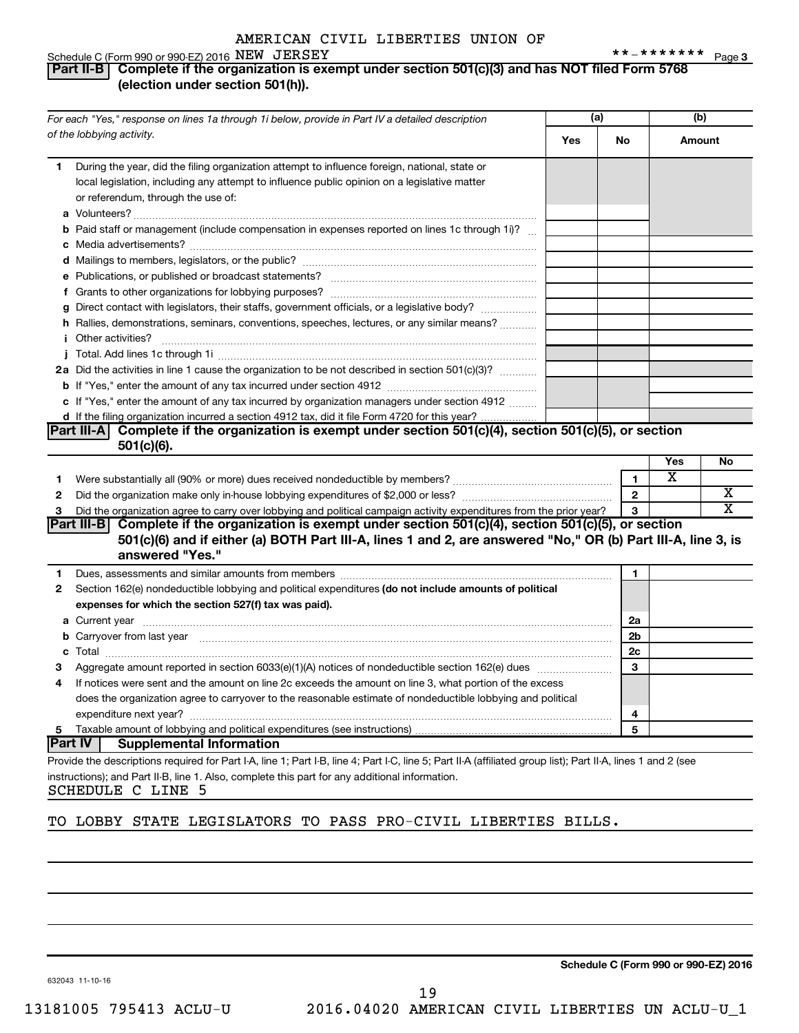#### **3** NEW JERSEY **3**

#### Schedule C (Form 990 or 990-EZ) 2016 NEW JERSEY **Part II-B Complete if the organization is exempt under section 501(c)(3) and has NOT filed Form 5768 (election under section 501(h)).**

|              | For each "Yes," response on lines 1a through 1i below, provide in Part IV a detailed description                                                                                                                                    |     | (a)            | (b)    |    |
|--------------|-------------------------------------------------------------------------------------------------------------------------------------------------------------------------------------------------------------------------------------|-----|----------------|--------|----|
|              | of the lobbying activity.                                                                                                                                                                                                           | Yes | No             | Amount |    |
| 1.           | During the year, did the filing organization attempt to influence foreign, national, state or<br>local legislation, including any attempt to influence public opinion on a legislative matter<br>or referendum, through the use of: |     |                |        |    |
|              | <b>b</b> Paid staff or management (include compensation in expenses reported on lines 1c through 1i)?                                                                                                                               |     |                |        |    |
|              |                                                                                                                                                                                                                                     |     |                |        |    |
|              |                                                                                                                                                                                                                                     |     |                |        |    |
|              |                                                                                                                                                                                                                                     |     |                |        |    |
|              | g Direct contact with legislators, their staffs, government officials, or a legislative body?                                                                                                                                       |     |                |        |    |
|              | h Rallies, demonstrations, seminars, conventions, speeches, lectures, or any similar means?                                                                                                                                         |     |                |        |    |
|              |                                                                                                                                                                                                                                     |     |                |        |    |
|              | 2a Did the activities in line 1 cause the organization to be not described in section 501(c)(3)?                                                                                                                                    |     |                |        |    |
|              |                                                                                                                                                                                                                                     |     |                |        |    |
|              | c If "Yes," enter the amount of any tax incurred by organization managers under section 4912                                                                                                                                        |     |                |        |    |
|              | d If the filing organization incurred a section 4912 tax, did it file Form 4720 for this year?                                                                                                                                      |     |                |        |    |
|              | Part III-A Complete if the organization is exempt under section 501(c)(4), section 501(c)(5), or section<br>$501(c)(6)$ .                                                                                                           |     |                |        |    |
|              |                                                                                                                                                                                                                                     |     |                | Yes    | No |
| 1.           | Were substantially all (90% or more) dues received nondeductible by members? manual content content of the sub-                                                                                                                     |     | $\mathbf{1}$   | X      |    |
| 2            |                                                                                                                                                                                                                                     |     | $\mathbf{2}$   |        | х  |
| 3            | Did the organization agree to carry over lobbying and political campaign activity expenditures from the prior year?                                                                                                                 |     | 3              |        | х  |
|              | Part III-B Complete if the organization is exempt under section $501(c)(4)$ , section $501(c)(5)$ , or section                                                                                                                      |     |                |        |    |
|              | 501(c)(6) and if either (a) BOTH Part III-A, lines 1 and 2, are answered "No," OR (b) Part III-A, line 3, is<br>answered "Yes."                                                                                                     |     |                |        |    |
| 1.           | Dues, assessments and similar amounts from members [11] matter contracts and similar amounts from members [11] matter contracts and similar amounts from members [11] matter contracts and similar amounts from members [11] m      |     | 1              |        |    |
| $\mathbf{2}$ | Section 162(e) nondeductible lobbying and political expenditures (do not include amounts of political<br>expenses for which the section 527(f) tax was paid).                                                                       |     |                |        |    |
|              |                                                                                                                                                                                                                                     |     | 2a             |        |    |
|              | <b>b</b> Carryover from last year manufactured and contained a state of the contract of the contained and contained a state of the contained and contained and contained a state of the contained and contained and contained and c |     | 2 <sub>b</sub> |        |    |
|              |                                                                                                                                                                                                                                     |     | 2c             |        |    |
| 3            |                                                                                                                                                                                                                                     |     | 3              |        |    |
| 4            | If notices were sent and the amount on line 2c exceeds the amount on line 3, what portion of the excess                                                                                                                             |     |                |        |    |
|              | does the organization agree to carryover to the reasonable estimate of nondeductible lobbying and political                                                                                                                         |     |                |        |    |
|              |                                                                                                                                                                                                                                     |     | 4              |        |    |
| 5.           |                                                                                                                                                                                                                                     |     | 5              |        |    |
|              | <b>Part IV</b><br><b>Supplemental Information</b>                                                                                                                                                                                   |     |                |        |    |
|              | Provide the descriptions required for Part I-A, line 1; Part I-B, line 4; Part I-C, line 5; Part II-A (affiliated group list); Part II-A, lines 1 and 2 (see                                                                        |     |                |        |    |
|              | instructions); and Part II-B, line 1. Also, complete this part for any additional information.                                                                                                                                      |     |                |        |    |

SCHEDULE C LINE 5

#### TO LOBBY STATE LEGISLATORS TO PASS PRO-CIVIL LIBERTIES BILLS.

19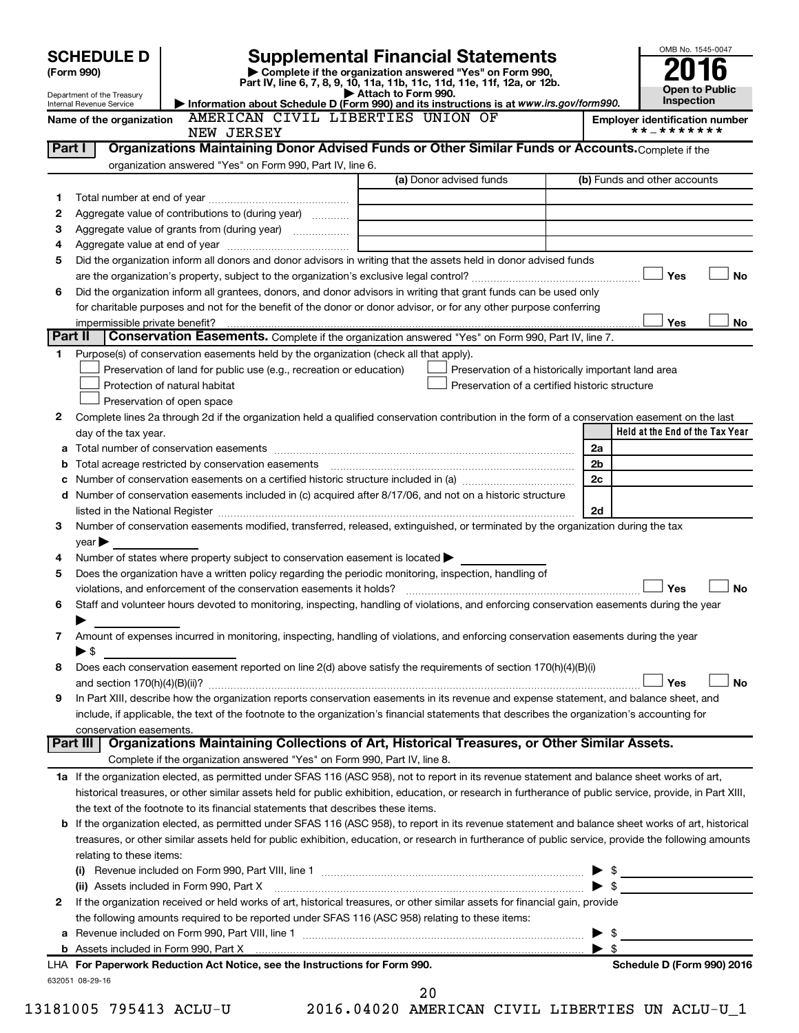#### OMB No. 1545-0047 Department of the Treasury Internal Revenue Service **Held at the End of the Tax Year (Form 990) | Complete if the organization answered "Yes" on Form 990, Part IV, line 6, 7, 8, 9, 10, 11a, 11b, 11c, 11d, 11e, 11f, 12a, or 12b. | Attach to Form 990. | Information about Schedule D (Form 990) and its instructions is at**  *www.irs.gov/form990.* **Open to Public Inspection** Name of the organization AMERICAN CIVIL LIBERTIES UNION OF **Finally Employer identification number** (a) Donor advised funds **1 2 3 4 5 6 Yes No** † † **Yes No 1 2** Complete lines 2a through 2d if the organization held a qualified conservation contribution in the form of a conservation easement on the last **3 4 5 6 7 8 9 a** Total number of conservation easements ~~~~~~~~~~~~~~~~~~~~~~~~~~~~~~~~ **b** Total acreage restricted by conservation easements ~~~~~~~~~~~~~~~~~~~~~~~~~~ **c** Number of conservation easements on a certified historic structure included in (a)  $\ldots$  $\ldots$  $\ldots$  $\ldots$  $\ldots$  $\ldots$ **d 2a 2b 2c 2d Yes No** † † **Yes No 1 a** If the organization elected, as permitted under SFAS 116 (ASC 958), not to report in its revenue statement and balance sheet works of art, **2** If the organization received or held works of art, historical treasures, or other similar assets for financial gain, provide **b** If the organization elected, as permitted under SFAS 116 (ASC 958), to report in its revenue statement and balance sheet works of art, historical **(i)** Revenue included on Form 990, Part VIII, line 1 ~~~~~~~~~~~~~~~~~~~~~~~~~~~~ | \$ **(ii)** Assets included in Form 990, Part X ~~~~~~~~~~~~~~~~~~~~~~~~~~~~~~~~~ | \$ **Part I** | Organizations Maintaining Donor Advised Funds or Other Similar Funds or Accounts. Complete if the organization answered "Yes" on Form 990, Part IV, line 6. (b) Funds and other accounts Total number at end of year ~~~~~~~~~~~~~~~ Aggregate value of contributions to (during year)  $\quad \quad \ldots \ldots \ldots$ Aggregate value of grants from (during year) will contain the Aggregate value of grants from (during year) Aggregate value at end of year ~~~~~~~~~~~~~ Did the organization inform all donors and donor advisors in writing that the assets held in donor advised funds are the organization's property, subject to the organization's exclusive legal control?~~~~~~~~~~~~~~~~~~ Did the organization inform all grantees, donors, and donor advisors in writing that grant funds can be used only for charitable purposes and not for the benefit of the donor or donor advisor, or for any other purpose conferring impermissible private benefit? **Part II** Conservation Easements. Complete if the organization answered "Yes" on Form 990, Part IV, line 7. Purpose(s) of conservation easements held by the organization (check all that apply). **Preservation of land for public use (e.g., recreation or education) Example 1** Protection of natural habitat Preservation of open space Preservation of a historically important land area Preservation of a certified historic structure day of the tax year. Number of conservation easements included in (c) acquired after 8/17/06, and not on a historic structure listed in the National Register ~~~~~~~~~~~~~~~~~~~~~~~~~~~~~~~~~~~~~~ Number of conservation easements modified, transferred, released, extinguished, or terminated by the organization during the tax  $vear \blacktriangleright$ Number of states where property subject to conservation easement is located  $\blacktriangleright$ Does the organization have a written policy regarding the periodic monitoring, inspection, handling of violations, and enforcement of the conservation easements it holds? ~~~~~~~~~~~~~~~~~~~~~~~~~ Staff and volunteer hours devoted to monitoring, inspecting, handling of violations, and enforcing conservation easements during the year  $\blacktriangleright$ Amount of expenses incurred in monitoring, inspecting, handling of violations, and enforcing conservation easements during the year  $\triangleright$  \$ Does each conservation easement reported on line 2(d) above satisfy the requirements of section 170(h)(4)(B)(i) and section 170(h)(4)(B)(ii)? ~~~~~~~~~~~~~~~~~~~~~~~~~~~~~~~~~~~~~~~~~~~~~~ In Part XIII, describe how the organization reports conservation easements in its revenue and expense statement, and balance sheet, and include, if applicable, the text of the footnote to the organization's financial statements that describes the organization's accounting for conservation easements. Complete if the organization answered "Yes" on Form 990, Part IV, line 8. historical treasures, or other similar assets held for public exhibition, education, or research in furtherance of public service, provide, in Part XIII, the text of the footnote to its financial statements that describes these items. treasures, or other similar assets held for public exhibition, education, or research in furtherance of public service, provide the following amounts relating to these items: **Part III Organizations Maintaining Collections of Art, Historical Treasures, or Other Similar Assets. SCHEDULE D Supplemental Financial Statements**<br>
(Form 990) **2016** Complete if the organization answered "Yes" on Form 990, † †  $\Box$  $|$  Yes NEW JERSEY \*\*-\*\*\*\*\*\*\*

|                                                          | the following amounts required to be reported under SFAS 116 (ASC 958) relating to these items: |      |
|----------------------------------------------------------|-------------------------------------------------------------------------------------------------|------|
| <b>a</b> Revenue included on Form 990, Part VIII, line 1 |                                                                                                 | - \$ |

**b** Assets included in Form 990, Part X

632051 08-29-16 **For Paperwork Reduction Act Notice, see the Instructions for Form 990. Schedule D (Form 990) 2016** LHA

20

| \$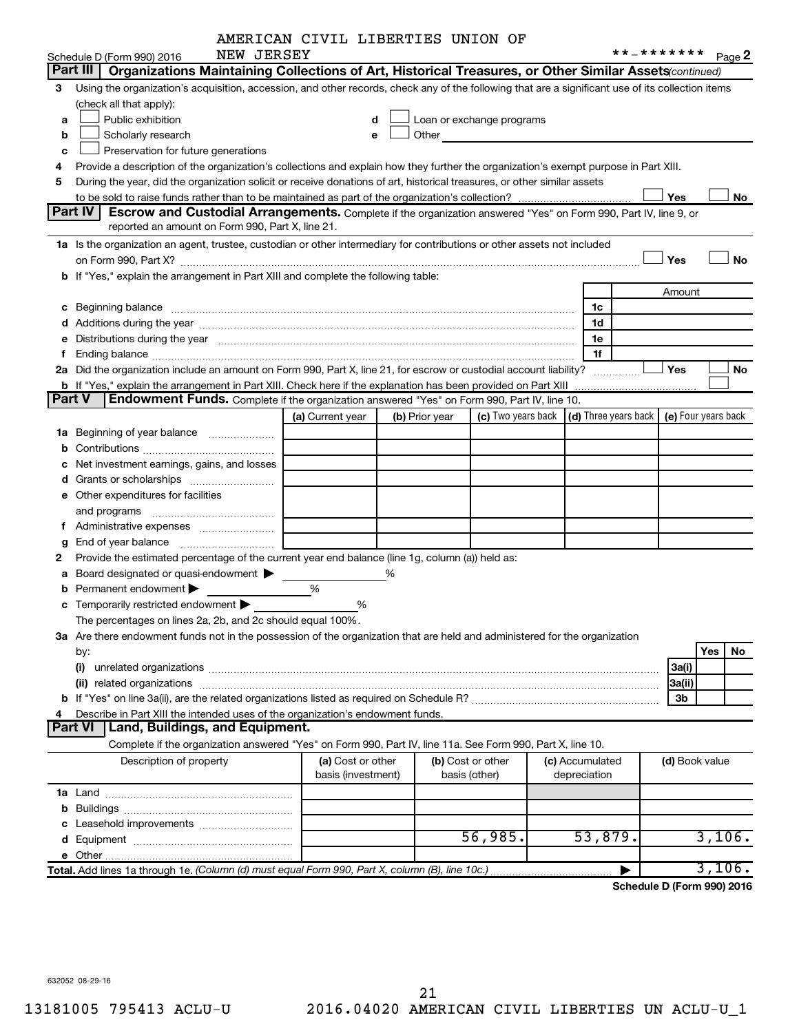|               | NEW JERSEY                                                                                                                                                                                                                     | AMERICAN CIVID DIBERIIES UNIUN UP |   |                |                           |                                      | **_*******     |                     |           |
|---------------|--------------------------------------------------------------------------------------------------------------------------------------------------------------------------------------------------------------------------------|-----------------------------------|---|----------------|---------------------------|--------------------------------------|----------------|---------------------|-----------|
|               | Schedule D (Form 990) 2016<br>Part III  <br>Organizations Maintaining Collections of Art, Historical Treasures, or Other Similar Assets (continued)                                                                            |                                   |   |                |                           |                                      |                |                     | Page 2    |
|               |                                                                                                                                                                                                                                |                                   |   |                |                           |                                      |                |                     |           |
| 3             | Using the organization's acquisition, accession, and other records, check any of the following that are a significant use of its collection items<br>(check all that apply):                                                   |                                   |   |                |                           |                                      |                |                     |           |
|               | Public exhibition                                                                                                                                                                                                              | d                                 |   |                | Loan or exchange programs |                                      |                |                     |           |
| a             |                                                                                                                                                                                                                                |                                   |   | Other          |                           |                                      |                |                     |           |
| b             | Scholarly research                                                                                                                                                                                                             | e                                 |   |                |                           |                                      |                |                     |           |
| c             | Preservation for future generations                                                                                                                                                                                            |                                   |   |                |                           |                                      |                |                     |           |
| 4             | Provide a description of the organization's collections and explain how they further the organization's exempt purpose in Part XIII.                                                                                           |                                   |   |                |                           |                                      |                |                     |           |
| 5             | During the year, did the organization solicit or receive donations of art, historical treasures, or other similar assets                                                                                                       |                                   |   |                |                           |                                      |                |                     |           |
|               | Part IV                                                                                                                                                                                                                        |                                   |   |                |                           |                                      | Yes            |                     | No        |
|               | <b>Escrow and Custodial Arrangements.</b> Complete if the organization answered "Yes" on Form 990, Part IV, line 9, or<br>reported an amount on Form 990, Part X, line 21.                                                     |                                   |   |                |                           |                                      |                |                     |           |
|               |                                                                                                                                                                                                                                |                                   |   |                |                           |                                      |                |                     |           |
|               | 1a Is the organization an agent, trustee, custodian or other intermediary for contributions or other assets not included                                                                                                       |                                   |   |                |                           |                                      |                |                     |           |
|               |                                                                                                                                                                                                                                |                                   |   |                |                           |                                      | Yes            |                     | <b>No</b> |
|               | b If "Yes," explain the arrangement in Part XIII and complete the following table:                                                                                                                                             |                                   |   |                |                           |                                      |                |                     |           |
|               |                                                                                                                                                                                                                                |                                   |   |                |                           |                                      | Amount         |                     |           |
| с             | Beginning balance manufactured and contact manufactured and contact manufactured and contact manufactured and contact manufactured and contact manufactured and contact manufactured and contact manufactured and contact manu |                                   |   |                |                           | 1c                                   |                |                     |           |
|               |                                                                                                                                                                                                                                |                                   |   |                |                           | 1d                                   |                |                     |           |
|               | Distributions during the year manufactured and an account of the year manufactured and the year manufactured and the year manufactured and the year manufactured and the year manufactured and the year manufactured and the y |                                   |   |                |                           | 1e                                   |                |                     |           |
| f.            |                                                                                                                                                                                                                                |                                   |   |                |                           | 1f                                   |                |                     |           |
|               | 2a Did the organization include an amount on Form 990, Part X, line 21, for escrow or custodial account liability?                                                                                                             |                                   |   |                |                           |                                      | Yes            |                     | No        |
|               | <b>b</b> If "Yes," explain the arrangement in Part XIII. Check here if the explanation has been provided on Part XIII                                                                                                          |                                   |   |                |                           |                                      |                |                     |           |
| <b>Part V</b> | Endowment Funds. Complete if the organization answered "Yes" on Form 990, Part IV, line 10.                                                                                                                                    |                                   |   |                |                           |                                      |                |                     |           |
|               |                                                                                                                                                                                                                                | (a) Current year                  |   | (b) Prior year | (c) Two years back        | $\vert$ (d) Three years back $\vert$ |                | (e) Four years back |           |
|               | 1a Beginning of year balance                                                                                                                                                                                                   |                                   |   |                |                           |                                      |                |                     |           |
| b             |                                                                                                                                                                                                                                |                                   |   |                |                           |                                      |                |                     |           |
|               | Net investment earnings, gains, and losses                                                                                                                                                                                     |                                   |   |                |                           |                                      |                |                     |           |
|               |                                                                                                                                                                                                                                |                                   |   |                |                           |                                      |                |                     |           |
|               | e Other expenditures for facilities                                                                                                                                                                                            |                                   |   |                |                           |                                      |                |                     |           |
|               | and programs                                                                                                                                                                                                                   |                                   |   |                |                           |                                      |                |                     |           |
|               |                                                                                                                                                                                                                                |                                   |   |                |                           |                                      |                |                     |           |
| g             |                                                                                                                                                                                                                                |                                   |   |                |                           |                                      |                |                     |           |
| 2             | Provide the estimated percentage of the current year end balance (line 1g, column (a)) held as:                                                                                                                                |                                   |   |                |                           |                                      |                |                     |           |
| а             | Board designated or quasi-endowment                                                                                                                                                                                            |                                   | % |                |                           |                                      |                |                     |           |
| b             | Permanent endowment                                                                                                                                                                                                            | %                                 |   |                |                           |                                      |                |                     |           |
|               | Temporarily restricted endowment                                                                                                                                                                                               | %                                 |   |                |                           |                                      |                |                     |           |
|               | The percentages on lines 2a, 2b, and 2c should equal 100%.                                                                                                                                                                     |                                   |   |                |                           |                                      |                |                     |           |
|               | 3a Are there endowment funds not in the possession of the organization that are held and administered for the organization                                                                                                     |                                   |   |                |                           |                                      |                |                     |           |
|               | by:                                                                                                                                                                                                                            |                                   |   |                |                           |                                      |                | Yes                 | No        |
|               | (i)                                                                                                                                                                                                                            |                                   |   |                |                           |                                      | 3a(i)          |                     |           |
|               |                                                                                                                                                                                                                                |                                   |   |                |                           |                                      | 3a(ii)         |                     |           |
|               |                                                                                                                                                                                                                                |                                   |   |                |                           |                                      | 3b             |                     |           |
|               | Describe in Part XIII the intended uses of the organization's endowment funds.                                                                                                                                                 |                                   |   |                |                           |                                      |                |                     |           |
|               | Land, Buildings, and Equipment.<br>Part VI                                                                                                                                                                                     |                                   |   |                |                           |                                      |                |                     |           |
|               | Complete if the organization answered "Yes" on Form 990, Part IV, line 11a. See Form 990, Part X, line 10.                                                                                                                     |                                   |   |                |                           |                                      |                |                     |           |
|               | Description of property                                                                                                                                                                                                        | (a) Cost or other                 |   |                | (b) Cost or other         | (c) Accumulated                      | (d) Book value |                     |           |
|               |                                                                                                                                                                                                                                | basis (investment)                |   | basis (other)  |                           | depreciation                         |                |                     |           |
|               |                                                                                                                                                                                                                                |                                   |   |                |                           |                                      |                |                     |           |
| b             |                                                                                                                                                                                                                                |                                   |   |                |                           |                                      |                |                     |           |
|               |                                                                                                                                                                                                                                |                                   |   |                |                           |                                      |                |                     |           |
|               |                                                                                                                                                                                                                                |                                   |   |                | 56,985.                   | 53,879.                              |                |                     | 3,106.    |
|               | e Other                                                                                                                                                                                                                        |                                   |   |                |                           |                                      |                |                     |           |
|               | Total. Add lines 1a through 1e. (Column (d) must equal Form 990, Part X, column (B), line 10c.)                                                                                                                                |                                   |   |                |                           |                                      |                |                     | 3,106.    |

**Schedule D (Form 990) 2016**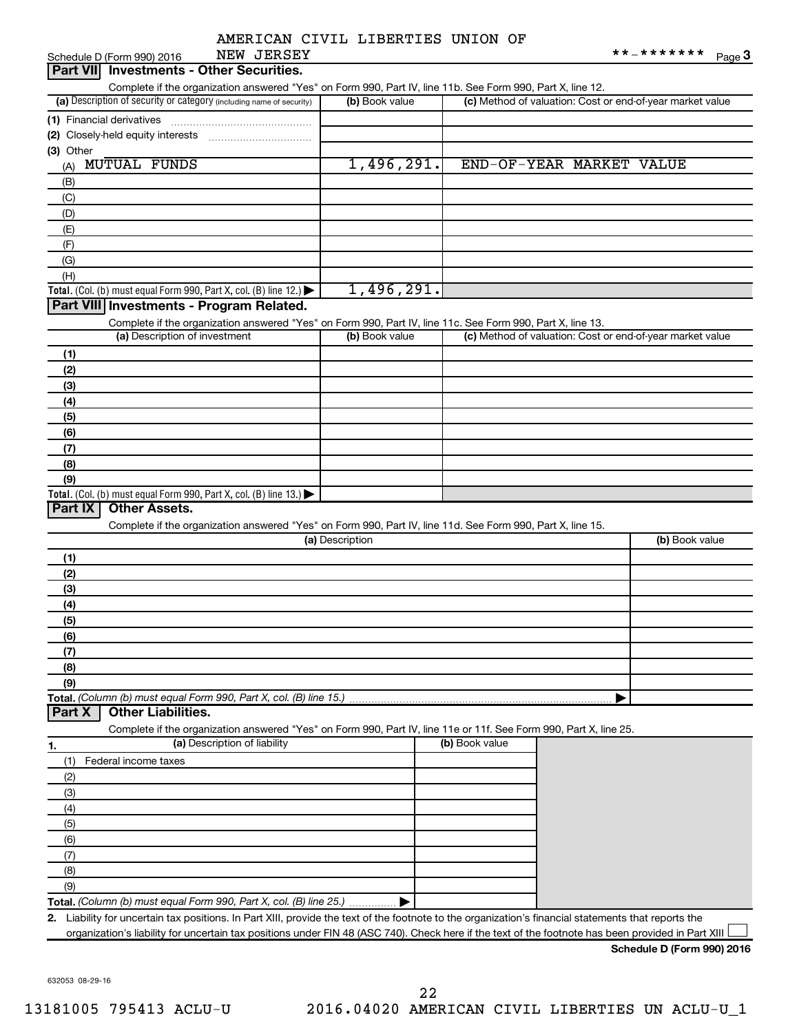|  |  |  | AMERICAN CIVIL LIBERTIES UNION OF |  |  |
|--|--|--|-----------------------------------|--|--|
|--|--|--|-----------------------------------|--|--|

| NEW JERSEY<br>Schedule D (Form 990) 2016                                                                                                                |                 |                |                    | **_*******<br>Page 3                                      |
|---------------------------------------------------------------------------------------------------------------------------------------------------------|-----------------|----------------|--------------------|-----------------------------------------------------------|
| Part VII Investments - Other Securities.                                                                                                                |                 |                |                    |                                                           |
| Complete if the organization answered "Yes" on Form 990, Part IV, line 11b. See Form 990, Part X, line 12.                                              |                 |                |                    |                                                           |
| (a) Description of security or category (including name of security)                                                                                    | (b) Book value  |                |                    | (c) Method of valuation: Cost or end-of-year market value |
| (1) Financial derivatives                                                                                                                               |                 |                |                    |                                                           |
| (2) Closely-held equity interests                                                                                                                       |                 |                |                    |                                                           |
| (3) Other                                                                                                                                               |                 |                |                    |                                                           |
| <b>MUTUAL FUNDS</b><br>(A)                                                                                                                              | 1,496,291.      |                | END-OF-YEAR MARKET | <b>VALUE</b>                                              |
| (B)                                                                                                                                                     |                 |                |                    |                                                           |
| (C)                                                                                                                                                     |                 |                |                    |                                                           |
| (D)                                                                                                                                                     |                 |                |                    |                                                           |
| (E)                                                                                                                                                     |                 |                |                    |                                                           |
| (F)                                                                                                                                                     |                 |                |                    |                                                           |
| (G)                                                                                                                                                     |                 |                |                    |                                                           |
| (H)                                                                                                                                                     |                 |                |                    |                                                           |
| Total. (Col. (b) must equal Form 990, Part X, col. (B) line 12.) $\blacktriangleright$                                                                  | 1,496,291.      |                |                    |                                                           |
| Part VIII Investments - Program Related.                                                                                                                |                 |                |                    |                                                           |
| Complete if the organization answered "Yes" on Form 990, Part IV, line 11c. See Form 990, Part X, line 13.                                              |                 |                |                    |                                                           |
| (a) Description of investment                                                                                                                           | (b) Book value  |                |                    | (c) Method of valuation: Cost or end-of-year market value |
| (1)                                                                                                                                                     |                 |                |                    |                                                           |
| (2)                                                                                                                                                     |                 |                |                    |                                                           |
| (3)                                                                                                                                                     |                 |                |                    |                                                           |
| (4)                                                                                                                                                     |                 |                |                    |                                                           |
| (5)                                                                                                                                                     |                 |                |                    |                                                           |
| (6)                                                                                                                                                     |                 |                |                    |                                                           |
| (7)                                                                                                                                                     |                 |                |                    |                                                           |
| (8)                                                                                                                                                     |                 |                |                    |                                                           |
| (9)                                                                                                                                                     |                 |                |                    |                                                           |
| Total. (Col. (b) must equal Form 990, Part X, col. (B) line 13.) $\blacktriangleright$<br><b>Other Assets.</b><br>Part IX                               |                 |                |                    |                                                           |
|                                                                                                                                                         |                 |                |                    |                                                           |
| Complete if the organization answered "Yes" on Form 990, Part IV, line 11d. See Form 990, Part X, line 15.                                              | (a) Description |                |                    | (b) Book value                                            |
|                                                                                                                                                         |                 |                |                    |                                                           |
| (1)                                                                                                                                                     |                 |                |                    |                                                           |
| (2)                                                                                                                                                     |                 |                |                    |                                                           |
| (3)                                                                                                                                                     |                 |                |                    |                                                           |
| (4)<br>(5)                                                                                                                                              |                 |                |                    |                                                           |
|                                                                                                                                                         |                 |                |                    |                                                           |
| (6)<br>(7)                                                                                                                                              |                 |                |                    |                                                           |
| (8)                                                                                                                                                     |                 |                |                    |                                                           |
| (9)                                                                                                                                                     |                 |                |                    |                                                           |
|                                                                                                                                                         |                 |                |                    |                                                           |
| <b>Other Liabilities.</b><br>Part X                                                                                                                     |                 |                |                    |                                                           |
| Complete if the organization answered "Yes" on Form 990, Part IV, line 11e or 11f. See Form 990, Part X, line 25.                                       |                 |                |                    |                                                           |
| (a) Description of liability<br>1.                                                                                                                      |                 | (b) Book value |                    |                                                           |
| (1)<br>Federal income taxes                                                                                                                             |                 |                |                    |                                                           |
| (2)                                                                                                                                                     |                 |                |                    |                                                           |
| (3)                                                                                                                                                     |                 |                |                    |                                                           |
| (4)                                                                                                                                                     |                 |                |                    |                                                           |
| (5)                                                                                                                                                     |                 |                |                    |                                                           |
| (6)                                                                                                                                                     |                 |                |                    |                                                           |
| (7)                                                                                                                                                     |                 |                |                    |                                                           |
| (8)                                                                                                                                                     |                 |                |                    |                                                           |
| (9)                                                                                                                                                     |                 |                |                    |                                                           |
| Total. (Column (b) must equal Form 990, Part X, col. (B) line 25.)                                                                                      |                 |                |                    |                                                           |
| Liability for uncertain tax positions. In Part XIII, provide the text of the footnote to the organization's financial statements that reports the<br>2. |                 |                |                    |                                                           |
| organization's liability for uncertain tax positions under FIN 48 (ASC 740). Check here if the text of the footnote has been provided in Part XIII      |                 |                |                    |                                                           |
|                                                                                                                                                         |                 |                |                    |                                                           |

**Schedule D (Form 990) 2016**

632053 08-29-16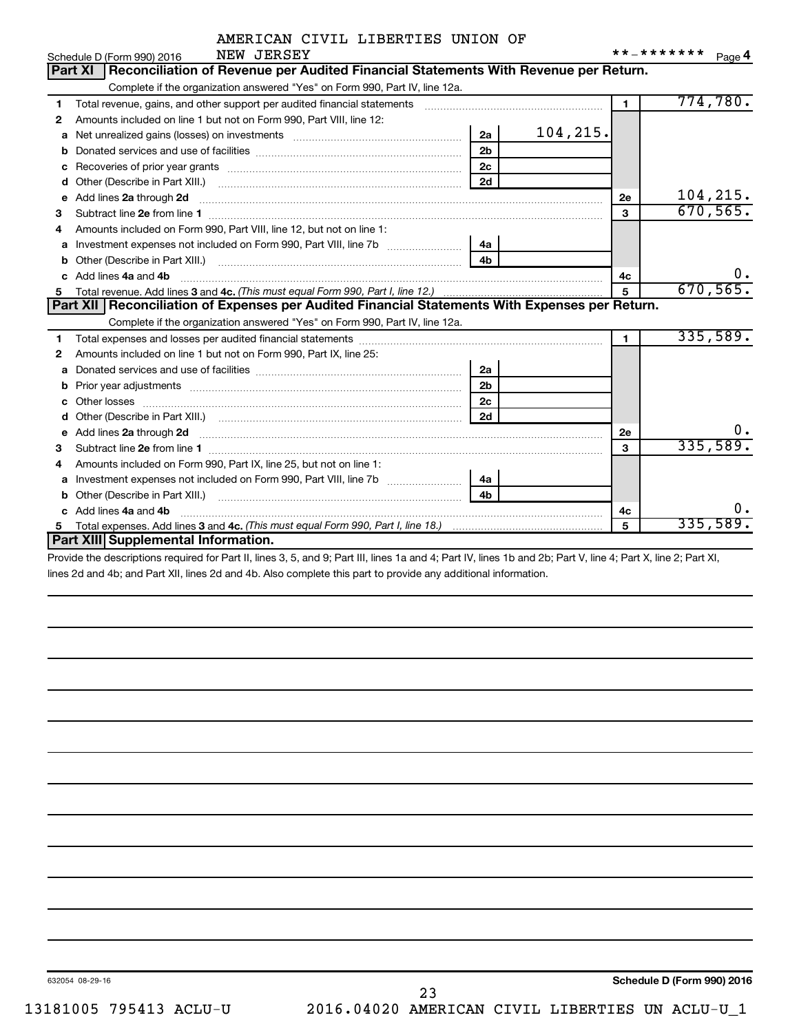|            | AMERICAN CIVIL LIBERTIES UNION OF |  |  |
|------------|-----------------------------------|--|--|
| NEW JERSEY |                                   |  |  |

|    | Schedule D (Form 990) 2016<br>NEW JEKSEY                                                                                                                                                                                             |                |          |                | Page 4    |
|----|--------------------------------------------------------------------------------------------------------------------------------------------------------------------------------------------------------------------------------------|----------------|----------|----------------|-----------|
|    | <b>Part XI</b><br>Reconciliation of Revenue per Audited Financial Statements With Revenue per Return.                                                                                                                                |                |          |                |           |
|    | Complete if the organization answered "Yes" on Form 990, Part IV, line 12a.                                                                                                                                                          |                |          |                |           |
| 1. | Total revenue, gains, and other support per audited financial statements                                                                                                                                                             |                |          | $\blacksquare$ | 774,780.  |
| 2  | Amounts included on line 1 but not on Form 990, Part VIII, line 12:                                                                                                                                                                  |                |          |                |           |
| a  |                                                                                                                                                                                                                                      | 2a             | 104,215. |                |           |
| b  |                                                                                                                                                                                                                                      | 2 <sub>b</sub> |          |                |           |
| с  | Recoveries of prior year grants [11] matter contracts and prior year grants and prior year grants and prior year grants and prior year of the contracts and prior year of the contracts of the contracts of the contracts of t       | 2c             |          |                |           |
|    |                                                                                                                                                                                                                                      | 2d             |          |                |           |
| e  | Add lines 2a through 2d                                                                                                                                                                                                              |                |          | 2e             | 104, 215. |
| 3  |                                                                                                                                                                                                                                      |                |          | 3              | 670, 565. |
| 4  | Amounts included on Form 990, Part VIII, line 12, but not on line 1:                                                                                                                                                                 |                |          |                |           |
| a  | Investment expenses not included on Form 990, Part VIII, line 7b [11, 111, 120]                                                                                                                                                      | 4a             |          |                |           |
|    |                                                                                                                                                                                                                                      | 4 <sub>b</sub> |          |                |           |
|    | Add lines 4a and 4b                                                                                                                                                                                                                  |                |          | 4c             | ο.        |
| 5  |                                                                                                                                                                                                                                      |                |          | 5              | 670, 565. |
|    | Part XII Reconciliation of Expenses per Audited Financial Statements With Expenses per Return.                                                                                                                                       |                |          |                |           |
|    | Complete if the organization answered "Yes" on Form 990, Part IV, line 12a.                                                                                                                                                          |                |          |                |           |
| 1  |                                                                                                                                                                                                                                      |                |          | $\blacksquare$ | 335,589.  |
| 2  | Amounts included on line 1 but not on Form 990, Part IX, line 25:                                                                                                                                                                    |                |          |                |           |
| a  |                                                                                                                                                                                                                                      | 2a             |          |                |           |
| b  |                                                                                                                                                                                                                                      | 2 <sub>b</sub> |          |                |           |
|    |                                                                                                                                                                                                                                      | 2 <sub>c</sub> |          |                |           |
| d  |                                                                                                                                                                                                                                      | 2d             |          |                |           |
| e  | Add lines 2a through 2d <b>contained a contained a contained a contained a contained a contained a contained a contained a contact a contact a contact a contact a contact a contact a contact a contact a contact a contact a c</b> |                |          | 2е             | ο.        |
| з  |                                                                                                                                                                                                                                      |                |          | 3              | 335,589.  |
| 4  | Amounts included on Form 990, Part IX, line 25, but not on line 1:                                                                                                                                                                   |                |          |                |           |
| a  | Investment expenses not included on Form 990, Part VIII, line 7b                                                                                                                                                                     | 4a l           |          |                |           |
| b  | Other (Describe in Part XIII.)                                                                                                                                                                                                       | 4 <sub>h</sub> |          |                |           |
| c. | Add lines 4a and 4b                                                                                                                                                                                                                  |                |          | 4c             | ο.        |
| 5  |                                                                                                                                                                                                                                      |                |          | 5              | 335,589.  |
|    | <b>Part XIII Supplemental Information.</b>                                                                                                                                                                                           |                |          |                |           |
|    |                                                                                                                                                                                                                                      |                |          |                |           |

Provide the descriptions required for Part II, lines 3, 5, and 9; Part III, lines 1a and 4; Part IV, lines 1b and 2b; Part V, line 4; Part X, line 2; Part XI, lines 2d and 4b; and Part XII, lines 2d and 4b. Also complete this part to provide any additional information.

632054 08-29-16

**Schedule D (Form 990) 2016**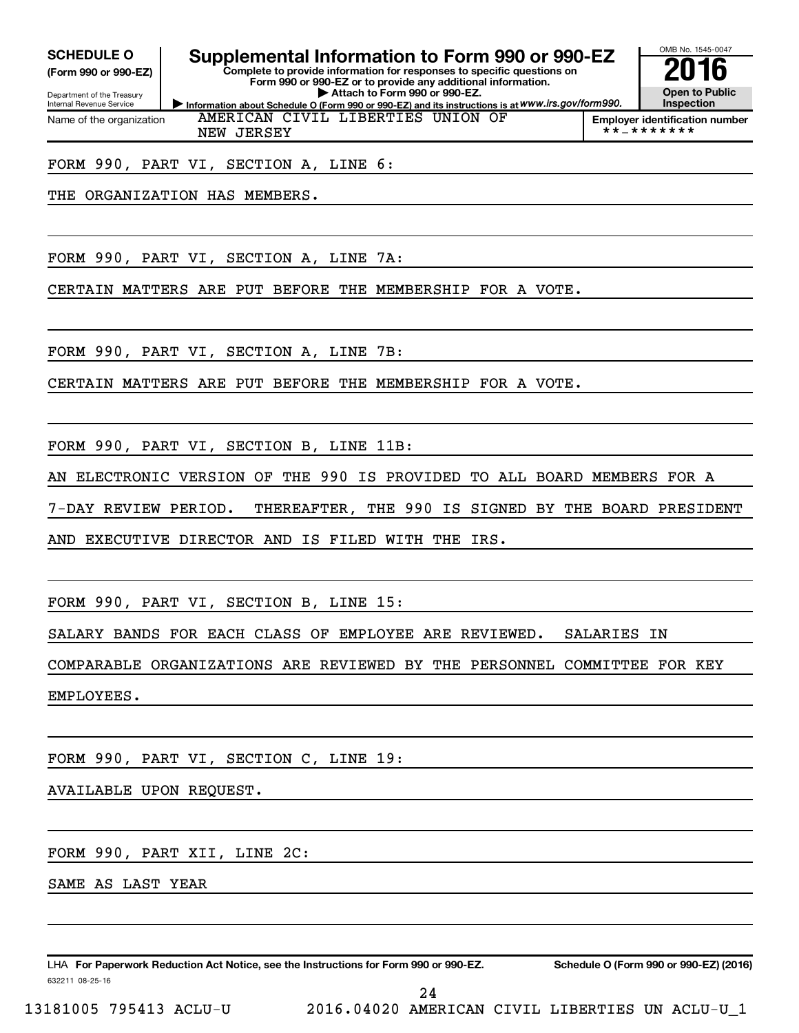**(Form 990 or 990-EZ)**

Department of the Treasury Internal Revenue Service Name of the organization

# **SCHEDULE O Supplemental Information to Form 990 or 990-EZ 2016**<br>(Form 990 or 990-EZ) **2016**

**Information about Schedule O (Form 990 or 990-EZ) and its instructions is at WWW.irs.gov/form990. Complete to provide information for responses to specific questions on Form 990 or 990-EZ or to provide any additional information. | Attach to Form 990 or 990-EZ.**

AMERICAN CIVIL LIBERTIES UNION OF



**Employer identification number**<br>\*\*\_\*\*\*\*\*\*\*

FORM 990, PART VI, SECTION A, LINE 6:

NEW JERSEY

THE ORGANIZATION HAS MEMBERS.

FORM 990, PART VI, SECTION A, LINE 7A:

CERTAIN MATTERS ARE PUT BEFORE THE MEMBERSHIP FOR A VOTE.

FORM 990, PART VI, SECTION A, LINE 7B:

CERTAIN MATTERS ARE PUT BEFORE THE MEMBERSHIP FOR A VOTE.

FORM 990, PART VI, SECTION B, LINE 11B:

AN ELECTRONIC VERSION OF THE 990 IS PROVIDED TO ALL BOARD MEMBERS FOR A

7-DAY REVIEW PERIOD. THEREAFTER, THE 990 IS SIGNED BY THE BOARD PRESIDENT

AND EXECUTIVE DIRECTOR AND IS FILED WITH THE IRS.

FORM 990, PART VI, SECTION B, LINE 15:

SALARY BANDS FOR EACH CLASS OF EMPLOYEE ARE REVIEWED. SALARIES IN

COMPARABLE ORGANIZATIONS ARE REVIEWED BY THE PERSONNEL COMMITTEE FOR KEY

EMPLOYEES.

FORM 990, PART VI, SECTION C, LINE 19:

AVAILABLE UPON REQUEST.

FORM 990, PART XII, LINE 2C:

SAME AS LAST YEAR

632211 08-25-16 LHA For Paperwork Reduction Act Notice, see the Instructions for Form 990 or 990-EZ. Schedule O (Form 990 or 990-EZ) (2016)

24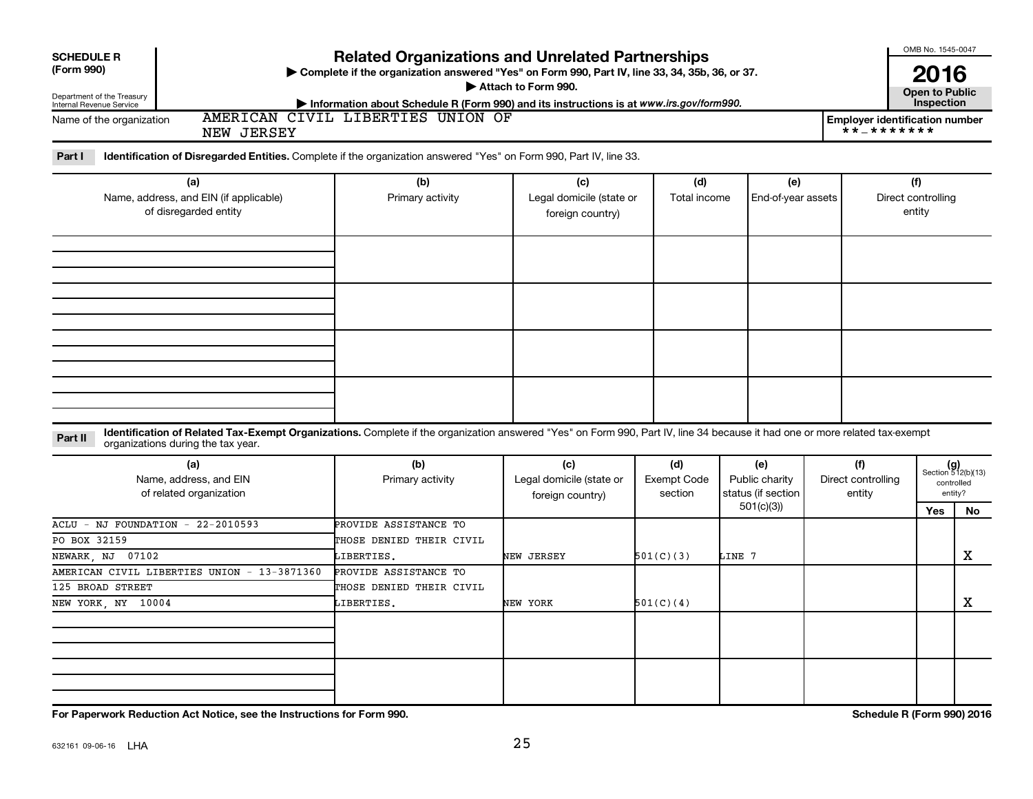|                                                                                                                                                                                                                              |                                                                                                                                                                                                                                                      |                                                     |                                      |                                                          |                                     | OMB No. 1545-0047                                   |                                                            |
|------------------------------------------------------------------------------------------------------------------------------------------------------------------------------------------------------------------------------|------------------------------------------------------------------------------------------------------------------------------------------------------------------------------------------------------------------------------------------------------|-----------------------------------------------------|--------------------------------------|----------------------------------------------------------|-------------------------------------|-----------------------------------------------------|------------------------------------------------------------|
| <b>SCHEDULE R</b><br>(Form 990)<br>Department of the Treasury<br>Internal Revenue Service                                                                                                                                    | <b>Related Organizations and Unrelated Partnerships</b><br>Complete if the organization answered "Yes" on Form 990, Part IV, line 33, 34, 35b, 36, or 37.<br>Information about Schedule R (Form 990) and its instructions is at www.irs.gov/form990. | Attach to Form 990.                                 |                                      |                                                          |                                     | 2016<br><b>Open to Public</b><br>Inspection         |                                                            |
| Name of the organization<br>NEW JERSEY                                                                                                                                                                                       | AMERICAN CIVIL LIBERTIES UNION OF                                                                                                                                                                                                                    |                                                     |                                      |                                                          |                                     | <b>Employer identification number</b><br>**_******* |                                                            |
| Part I<br>Identification of Disregarded Entities. Complete if the organization answered "Yes" on Form 990, Part IV, line 33.                                                                                                 |                                                                                                                                                                                                                                                      |                                                     |                                      |                                                          |                                     |                                                     |                                                            |
| (a)<br>Name, address, and EIN (if applicable)<br>of disregarded entity                                                                                                                                                       | (b)<br>Primary activity                                                                                                                                                                                                                              | (c)<br>Legal domicile (state or<br>foreign country) | (d)<br>Total income                  | (e)<br>End-of-year assets                                |                                     | (f)<br>Direct controlling<br>entity                 |                                                            |
|                                                                                                                                                                                                                              |                                                                                                                                                                                                                                                      |                                                     |                                      |                                                          |                                     |                                                     |                                                            |
| Identification of Related Tax-Exempt Organizations. Complete if the organization answered "Yes" on Form 990, Part IV, line 34 because it had one or more related tax-exempt<br>Part II<br>organizations during the tax year. |                                                                                                                                                                                                                                                      |                                                     |                                      |                                                          |                                     |                                                     |                                                            |
| (a)<br>Name, address, and EIN<br>of related organization                                                                                                                                                                     | (b)<br>Primary activity                                                                                                                                                                                                                              | (c)<br>Legal domicile (state or<br>foreign country) | (d)<br><b>Exempt Code</b><br>section | (e)<br>Public charity<br>status (if section<br>501(c)(3) | (f)<br>Direct controlling<br>entity | Yes                                                 | $(g)$<br>Section 512(b)(13)<br>controlled<br>entity?<br>No |
| ACLU - NJ FOUNDATION - 22-2010593<br>PO BOX 32159<br>NEWARK, NJ<br>07102                                                                                                                                                     | PROVIDE ASSISTANCE TO<br>THOSE DENIED THEIR CIVIL<br>LIBERTIES.                                                                                                                                                                                      | NEW JERSEY                                          | 501(C)(3)                            | LINE 7                                                   |                                     |                                                     | X                                                          |
| AMERICAN CIVIL LIBERTIES UNION - 13-3871360<br>125 BROAD STREET<br>NEW YORK, NY 10004                                                                                                                                        | PROVIDE ASSISTANCE TO<br>THOSE DENIED THEIR CIVIL<br>LIBERTIES.                                                                                                                                                                                      | NEW YORK                                            | 501(C)(4)                            |                                                          |                                     |                                                     | х                                                          |
|                                                                                                                                                                                                                              |                                                                                                                                                                                                                                                      |                                                     |                                      |                                                          |                                     |                                                     |                                                            |
| For Paperwork Reduction Act Notice, see the Instructions for Form 990.                                                                                                                                                       |                                                                                                                                                                                                                                                      |                                                     |                                      |                                                          |                                     | Schedule R (Form 990) 2016                          |                                                            |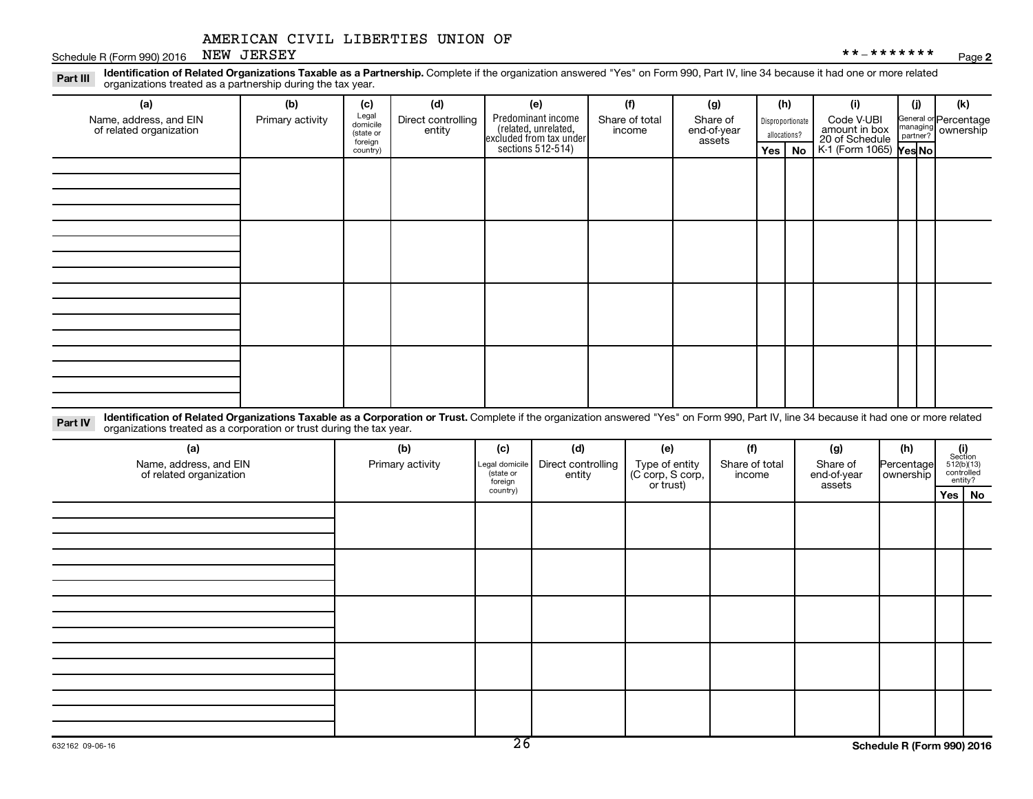#### Schedule R (Form 990) 2016 Page NEW JERSEY \*\*-\*\*\*\*\*\*\*

Part III Identification of Related Organizations Taxable as a Partnership. Complete if the organization answered "Yes" on Form 990, Part IV, line 34 because it had one or more related<br>Read to the organizations tracted as a organizations treated as a partnership during the tax year.

| (a)                                                                                                                                                                                                                                                                                                     | (b)              | (c)                                       | (d)                          | (e)                                                                                       | (f)                      | (g)                               |                                  | (h) | (i)                                                                            | (j) | (k)                                                     |
|---------------------------------------------------------------------------------------------------------------------------------------------------------------------------------------------------------------------------------------------------------------------------------------------------------|------------------|-------------------------------------------|------------------------------|-------------------------------------------------------------------------------------------|--------------------------|-----------------------------------|----------------------------------|-----|--------------------------------------------------------------------------------|-----|---------------------------------------------------------|
| Name, address, and EIN<br>of related organization                                                                                                                                                                                                                                                       | Primary activity | Legal<br>domicile<br>(state or<br>foreign | Direct controlling<br>entity | Predominant income<br>related, unrelated,<br>excluded from tax under<br>sections 512-514) | Share of total<br>income | Share of<br>end-of-year<br>assets | Disproportionate<br>allocations? |     | Code V-UBI<br>amount in box<br>20 of Schedule<br>K-1 (Form 1065) <b>Yes No</b> |     | General or Percentage<br>managing ownership<br>partner? |
|                                                                                                                                                                                                                                                                                                         |                  | country)                                  |                              |                                                                                           |                          |                                   | Yes $ $                          | No  |                                                                                |     |                                                         |
|                                                                                                                                                                                                                                                                                                         |                  |                                           |                              |                                                                                           |                          |                                   |                                  |     |                                                                                |     |                                                         |
|                                                                                                                                                                                                                                                                                                         |                  |                                           |                              |                                                                                           |                          |                                   |                                  |     |                                                                                |     |                                                         |
|                                                                                                                                                                                                                                                                                                         |                  |                                           |                              |                                                                                           |                          |                                   |                                  |     |                                                                                |     |                                                         |
|                                                                                                                                                                                                                                                                                                         |                  |                                           |                              |                                                                                           |                          |                                   |                                  |     |                                                                                |     |                                                         |
|                                                                                                                                                                                                                                                                                                         |                  |                                           |                              |                                                                                           |                          |                                   |                                  |     |                                                                                |     |                                                         |
|                                                                                                                                                                                                                                                                                                         |                  |                                           |                              |                                                                                           |                          |                                   |                                  |     |                                                                                |     |                                                         |
|                                                                                                                                                                                                                                                                                                         |                  |                                           |                              |                                                                                           |                          |                                   |                                  |     |                                                                                |     |                                                         |
|                                                                                                                                                                                                                                                                                                         |                  |                                           |                              |                                                                                           |                          |                                   |                                  |     |                                                                                |     |                                                         |
|                                                                                                                                                                                                                                                                                                         |                  |                                           |                              |                                                                                           |                          |                                   |                                  |     |                                                                                |     |                                                         |
|                                                                                                                                                                                                                                                                                                         |                  |                                           |                              |                                                                                           |                          |                                   |                                  |     |                                                                                |     |                                                         |
|                                                                                                                                                                                                                                                                                                         |                  |                                           |                              |                                                                                           |                          |                                   |                                  |     |                                                                                |     |                                                         |
|                                                                                                                                                                                                                                                                                                         |                  |                                           |                              |                                                                                           |                          |                                   |                                  |     |                                                                                |     |                                                         |
|                                                                                                                                                                                                                                                                                                         |                  |                                           |                              |                                                                                           |                          |                                   |                                  |     |                                                                                |     |                                                         |
|                                                                                                                                                                                                                                                                                                         |                  |                                           |                              |                                                                                           |                          |                                   |                                  |     |                                                                                |     |                                                         |
|                                                                                                                                                                                                                                                                                                         |                  |                                           |                              |                                                                                           |                          |                                   |                                  |     |                                                                                |     |                                                         |
|                                                                                                                                                                                                                                                                                                         |                  |                                           |                              |                                                                                           |                          |                                   |                                  |     |                                                                                |     |                                                         |
| The contract of the state $\mathcal{A}$ and $\mathcal{A}$ and $\mathcal{A}$ and $\mathcal{A}$ and $\mathcal{A}$ and $\mathcal{A}$ and $\mathcal{A}$ and $\mathcal{A}$ and $\mathcal{A}$ and $\mathcal{A}$ and $\mathcal{A}$ and $\mathcal{A}$ and $\mathcal{A}$ and $\mathcal{A}$ and $\mathcal{A}$ and |                  |                                           |                              |                                                                                           |                          |                                   |                                  |     |                                                                                |     |                                                         |

Part IV Identification of Related Organizations Taxable as a Corporation or Trust. Complete if the organization answered "Yes" on Form 990, Part IV, line 34 because it had one or more related<br>Complete intervals are accompa organizations treated as a corporation or trust during the tax year.

| (a)<br>Name, address, and EIN<br>of related organization | (b)<br>Primary activity | (d)<br>(c)<br>Direct controlling<br>Legal domicile<br>(state or<br>entity<br>foreign |  | (e)<br>Type of entity<br>(C corp, S corp,<br>or trust) | (f)<br>Share of total<br>income | (g)<br>Share of<br>end-of-year<br>assets | (h)<br>Percentage<br>ownership | $\begin{array}{c} \textbf{(i)}\\ \text{Section}\\ 5\,12 \text{(b)} \text{(13)}\\ \text{controlled} \\ \text{entity?} \end{array}$ |
|----------------------------------------------------------|-------------------------|--------------------------------------------------------------------------------------|--|--------------------------------------------------------|---------------------------------|------------------------------------------|--------------------------------|-----------------------------------------------------------------------------------------------------------------------------------|
|                                                          |                         | country)                                                                             |  |                                                        |                                 |                                          |                                | Yes   No                                                                                                                          |
|                                                          |                         |                                                                                      |  |                                                        |                                 |                                          |                                |                                                                                                                                   |
|                                                          |                         |                                                                                      |  |                                                        |                                 |                                          |                                |                                                                                                                                   |
|                                                          |                         |                                                                                      |  |                                                        |                                 |                                          |                                |                                                                                                                                   |
|                                                          |                         |                                                                                      |  |                                                        |                                 |                                          |                                |                                                                                                                                   |
|                                                          |                         |                                                                                      |  |                                                        |                                 |                                          |                                |                                                                                                                                   |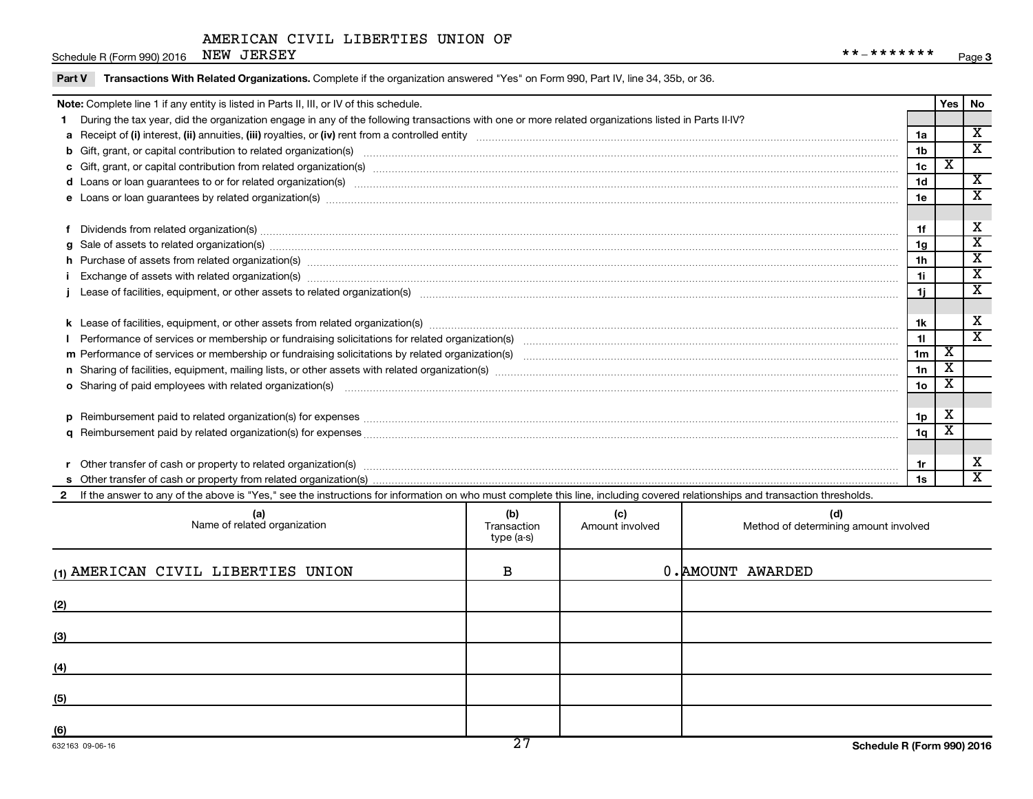Schedule R (Form 990) 2016 Page NEW JERSEY \*\*-\*\*\*\*\*\*\*

| Part V | Transactions With Related Organizations. Complete if the organization answered "Yes" on Form 990, Part IV, line 34, 35b, or 36.                                                                                                |             |                 |                                       |                |                         |                         |  |
|--------|--------------------------------------------------------------------------------------------------------------------------------------------------------------------------------------------------------------------------------|-------------|-----------------|---------------------------------------|----------------|-------------------------|-------------------------|--|
|        | Note: Complete line 1 if any entity is listed in Parts II, III, or IV of this schedule.                                                                                                                                        |             |                 |                                       |                |                         | Yes   No                |  |
|        | 1 During the tax year, did the organization engage in any of the following transactions with one or more related organizations listed in Parts II-IV?                                                                          |             |                 |                                       |                |                         |                         |  |
|        |                                                                                                                                                                                                                                |             |                 |                                       | 1a             |                         | $\overline{\mathbf{X}}$ |  |
|        |                                                                                                                                                                                                                                |             |                 |                                       | 1 <sub>b</sub> |                         | $\overline{\mathbf{x}}$ |  |
|        |                                                                                                                                                                                                                                |             |                 |                                       | 1c             | $\overline{\mathbf{X}}$ |                         |  |
|        |                                                                                                                                                                                                                                |             |                 |                                       | 1 <sub>d</sub> |                         | $\overline{\mathbf{x}}$ |  |
|        |                                                                                                                                                                                                                                |             |                 |                                       | 1e             |                         | x                       |  |
|        |                                                                                                                                                                                                                                |             |                 |                                       |                |                         |                         |  |
|        | 1f                                                                                                                                                                                                                             |             |                 |                                       |                |                         |                         |  |
|        | g Sale of assets to related organization(s) www.assettion.com/www.assettion.com/www.assettion.com/www.assettion.com/www.assettion.com/www.assettion.com/www.assettion.com/www.assettion.com/www.assettion.com/www.assettion.co |             |                 |                                       | 1g             |                         | $\overline{\texttt{x}}$ |  |
|        | h Purchase of assets from related organization(s) manufactured content to content the content of assets from related organization(s) manufactured content to content the content of the content of the content of the content  |             |                 |                                       | 1h             |                         | $\overline{\texttt{x}}$ |  |
|        |                                                                                                                                                                                                                                |             |                 |                                       | 1i.            |                         | $\overline{\textbf{x}}$ |  |
|        |                                                                                                                                                                                                                                |             |                 |                                       | 11             |                         | $\overline{\texttt{x}}$ |  |
|        |                                                                                                                                                                                                                                |             |                 |                                       |                |                         |                         |  |
|        |                                                                                                                                                                                                                                |             |                 |                                       | 1k             |                         | х                       |  |
|        |                                                                                                                                                                                                                                |             |                 |                                       | 11             |                         | $\overline{\mathbf{x}}$ |  |
|        |                                                                                                                                                                                                                                |             |                 |                                       | 1 <sub>m</sub> | $\mathbf{x}$            |                         |  |
|        |                                                                                                                                                                                                                                |             |                 |                                       | 1n             | $\overline{\mathbf{X}}$ |                         |  |
|        | o Sharing of paid employees with related organization(s) manufaction(s) and contain an examination of the state or state or state or state or state or state or state or state or state or state or state or state or state or |             |                 |                                       | 1 <sub>o</sub> | $\overline{\mathbf{x}}$ |                         |  |
|        |                                                                                                                                                                                                                                |             |                 |                                       |                |                         |                         |  |
|        |                                                                                                                                                                                                                                |             |                 |                                       | 1p             | X                       |                         |  |
|        |                                                                                                                                                                                                                                |             |                 |                                       | 1q             | $\overline{\mathbf{X}}$ |                         |  |
|        |                                                                                                                                                                                                                                |             |                 |                                       |                |                         |                         |  |
|        |                                                                                                                                                                                                                                |             |                 |                                       | 1r             |                         | х                       |  |
|        |                                                                                                                                                                                                                                |             |                 |                                       | 1s             |                         | $\overline{\mathbf{x}}$ |  |
|        | 2 If the answer to any of the above is "Yes," see the instructions for information on who must complete this line, including covered relationships and transaction thresholds.                                                 |             |                 |                                       |                |                         |                         |  |
|        | (a)                                                                                                                                                                                                                            | (b)         | (c)             | (d)                                   |                |                         |                         |  |
|        | Name of related organization                                                                                                                                                                                                   | Transaction | Amount involved | Method of determining amount involved |                |                         |                         |  |
|        |                                                                                                                                                                                                                                | type (a-s)  |                 |                                       |                |                         |                         |  |
|        |                                                                                                                                                                                                                                |             |                 |                                       |                |                         |                         |  |
|        | (1) AMERICAN CIVIL LIBERTIES UNION                                                                                                                                                                                             | B           |                 | 0. AMOUNT AWARDED                     |                |                         |                         |  |
|        |                                                                                                                                                                                                                                |             |                 |                                       |                |                         |                         |  |
| (2)    |                                                                                                                                                                                                                                |             |                 |                                       |                |                         |                         |  |

**(3)**

**(4)**

**(5)**

**(6)**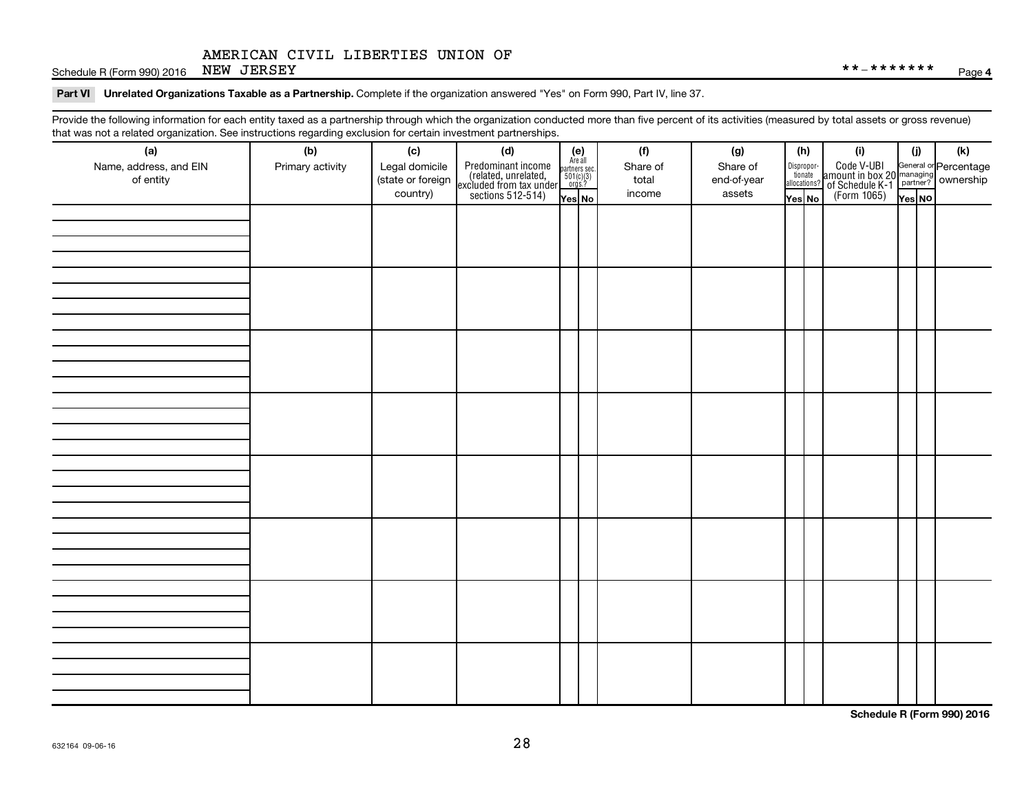Schedule R (Form 990) 2016 Page NEW JERSEY \*\*-\*\*\*\*\*\*\*

#### Part VI Unrelated Organizations Taxable as a Partnership. Complete if the organization answered "Yes" on Form 990, Part IV, line 37.

Provide the following information for each entity taxed as a partnership through which the organization conducted more than five percent of its activities (measured by total assets or gross revenue) that was not a related organization. See instructions regarding exclusion for certain investment partnerships.

| that was not a related eigenization. Occupations regarding exclusion for cortain investment partnerships.<br>(a) | (b)              | (c)               | (d)                                                                                        |                                                            | (f)      | (g)         |                                  | (h) | (i)                                                                                                | (i)    | (k) |
|------------------------------------------------------------------------------------------------------------------|------------------|-------------------|--------------------------------------------------------------------------------------------|------------------------------------------------------------|----------|-------------|----------------------------------|-----|----------------------------------------------------------------------------------------------------|--------|-----|
| Name, address, and EIN                                                                                           | Primary activity | Legal domicile    |                                                                                            | $(e)$<br>Are all<br>partners sec.<br>$501(c)(3)$<br>orgs.? | Share of | Share of    |                                  |     |                                                                                                    |        |     |
| of entity                                                                                                        |                  | (state or foreign |                                                                                            |                                                            | total    | end-of-year | Disproportionate<br>allocations? |     |                                                                                                    |        |     |
|                                                                                                                  |                  | country)          | Predominant income<br>(related, unrelated,<br>excluded from tax under<br>sections 512-514) | Yes No                                                     | income   | assets      | Yes No                           |     | Code V-UBI<br>amount in box 20 managing<br>of Schedule K-1<br>(Form 1065)<br>$\overline{V}$ ves No | Yes NO |     |
|                                                                                                                  |                  |                   |                                                                                            |                                                            |          |             |                                  |     |                                                                                                    |        |     |
|                                                                                                                  |                  |                   |                                                                                            |                                                            |          |             |                                  |     |                                                                                                    |        |     |
|                                                                                                                  |                  |                   |                                                                                            |                                                            |          |             |                                  |     |                                                                                                    |        |     |
|                                                                                                                  |                  |                   |                                                                                            |                                                            |          |             |                                  |     |                                                                                                    |        |     |
|                                                                                                                  |                  |                   |                                                                                            |                                                            |          |             |                                  |     |                                                                                                    |        |     |
|                                                                                                                  |                  |                   |                                                                                            |                                                            |          |             |                                  |     |                                                                                                    |        |     |
|                                                                                                                  |                  |                   |                                                                                            |                                                            |          |             |                                  |     |                                                                                                    |        |     |
|                                                                                                                  |                  |                   |                                                                                            |                                                            |          |             |                                  |     |                                                                                                    |        |     |
|                                                                                                                  |                  |                   |                                                                                            |                                                            |          |             |                                  |     |                                                                                                    |        |     |
|                                                                                                                  |                  |                   |                                                                                            |                                                            |          |             |                                  |     |                                                                                                    |        |     |
|                                                                                                                  |                  |                   |                                                                                            |                                                            |          |             |                                  |     |                                                                                                    |        |     |
|                                                                                                                  |                  |                   |                                                                                            |                                                            |          |             |                                  |     |                                                                                                    |        |     |
|                                                                                                                  |                  |                   |                                                                                            |                                                            |          |             |                                  |     |                                                                                                    |        |     |
|                                                                                                                  |                  |                   |                                                                                            |                                                            |          |             |                                  |     |                                                                                                    |        |     |
|                                                                                                                  |                  |                   |                                                                                            |                                                            |          |             |                                  |     |                                                                                                    |        |     |
|                                                                                                                  |                  |                   |                                                                                            |                                                            |          |             |                                  |     |                                                                                                    |        |     |
|                                                                                                                  |                  |                   |                                                                                            |                                                            |          |             |                                  |     |                                                                                                    |        |     |
|                                                                                                                  |                  |                   |                                                                                            |                                                            |          |             |                                  |     |                                                                                                    |        |     |
|                                                                                                                  |                  |                   |                                                                                            |                                                            |          |             |                                  |     |                                                                                                    |        |     |
|                                                                                                                  |                  |                   |                                                                                            |                                                            |          |             |                                  |     |                                                                                                    |        |     |
|                                                                                                                  |                  |                   |                                                                                            |                                                            |          |             |                                  |     |                                                                                                    |        |     |
|                                                                                                                  |                  |                   |                                                                                            |                                                            |          |             |                                  |     |                                                                                                    |        |     |
|                                                                                                                  |                  |                   |                                                                                            |                                                            |          |             |                                  |     |                                                                                                    |        |     |
|                                                                                                                  |                  |                   |                                                                                            |                                                            |          |             |                                  |     |                                                                                                    |        |     |
|                                                                                                                  |                  |                   |                                                                                            |                                                            |          |             |                                  |     |                                                                                                    |        |     |
|                                                                                                                  |                  |                   |                                                                                            |                                                            |          |             |                                  |     |                                                                                                    |        |     |
|                                                                                                                  |                  |                   |                                                                                            |                                                            |          |             |                                  |     |                                                                                                    |        |     |
|                                                                                                                  |                  |                   |                                                                                            |                                                            |          |             |                                  |     |                                                                                                    |        |     |
|                                                                                                                  |                  |                   |                                                                                            |                                                            |          |             |                                  |     |                                                                                                    |        |     |
|                                                                                                                  |                  |                   |                                                                                            |                                                            |          |             |                                  |     |                                                                                                    |        |     |
|                                                                                                                  |                  |                   |                                                                                            |                                                            |          |             |                                  |     |                                                                                                    |        |     |
|                                                                                                                  |                  |                   |                                                                                            |                                                            |          |             |                                  |     |                                                                                                    |        |     |
|                                                                                                                  |                  |                   |                                                                                            |                                                            |          |             |                                  |     |                                                                                                    |        |     |

**Schedule R (Form 990) 2016**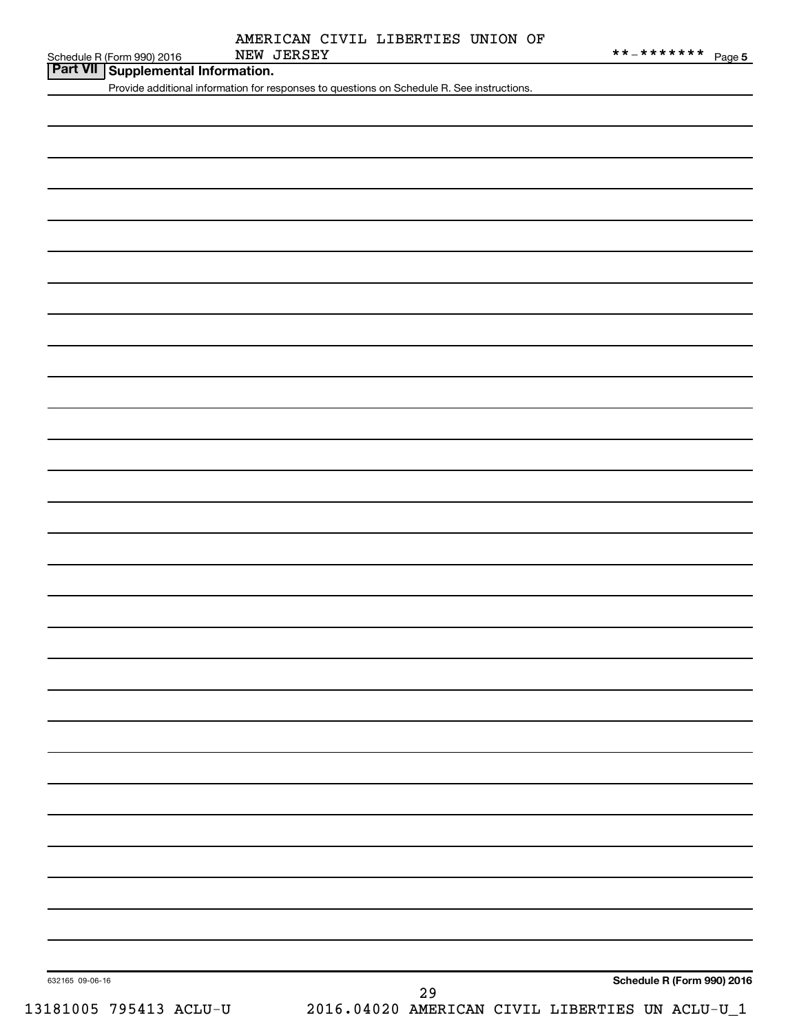|  | AMERICAN CIVIL LIBERTIES UNION OF |  |
|--|-----------------------------------|--|
|  |                                   |  |

| Schedule R (Form 990) 2016 |  |
|----------------------------|--|

**Part VII Supplemental Information.**

Provide additional information for responses to questions on Schedule R. See instructions.

632165 09-06-16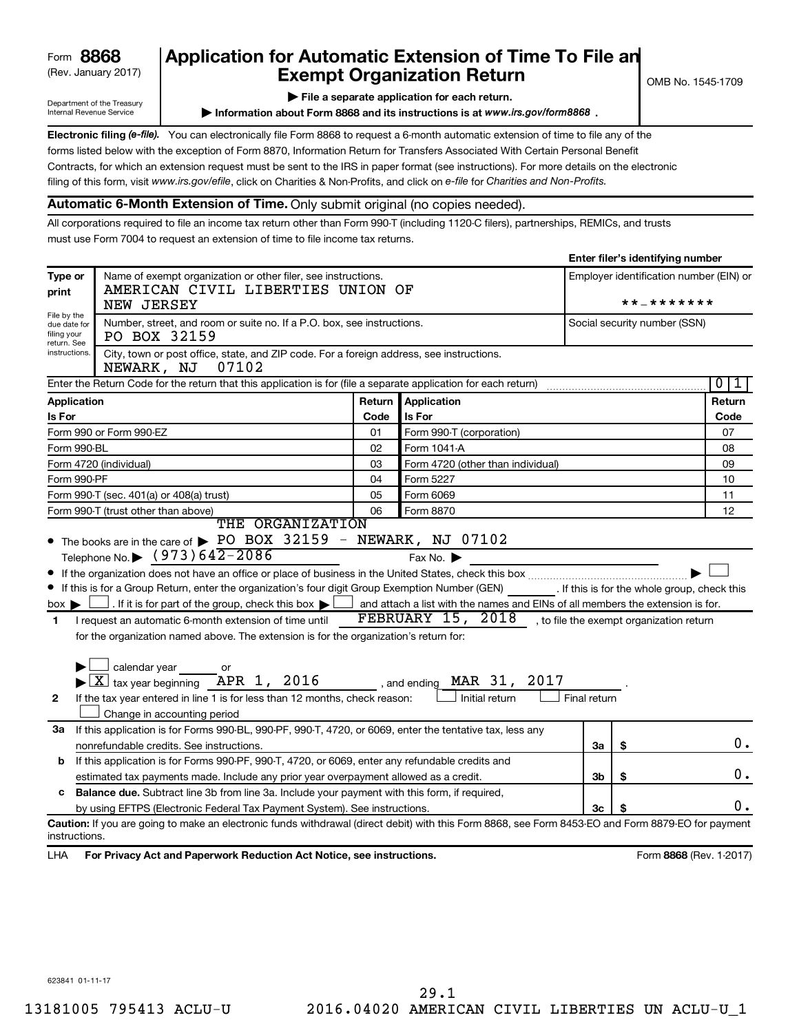## (Rev. January 2017) **Exempt Organization Return** and  $\overline{\text{C}}$  OMB No. 1545-1709 **Form 8868 Application for Automatic Extension of Time To File an**<br>**Exempt Organization Return**

**Enter filer's identifying number**

Department of the Treasury Internal Revenue Service

**| File a separate application for each return.**

**Information about Form 8868 and its instructions is at www.irs.gov/form8868.** 

Electronic filing (e-file). You can electronically file Form 8868 to request a 6-month automatic extension of time to file any of the filing of this form, visit www.irs.gov/efile, click on Charities & Non-Profits, and click on e-file for Charities and Non-Profits. forms listed below with the exception of Form 8870, Information Return for Transfers Associated With Certain Personal Benefit Contracts, for which an extension request must be sent to the IRS in paper format (see instructions). For more details on the electronic

## **Automatic 6-Month Extension of Time.** Only submit original (no copies needed).

All corporations required to file an income tax return other than Form 990-T (including 1120-C filers), partnerships, REMICs, and trusts must use Form 7004 to request an extension of time to file income tax returns.

|                                                                                                                                                                                                   |                                                                                                                                                                                                                                                                                                                                                                                                                                                                                                                                                                                   |                   |                                                                                                                                                                                                     |              | Enter mer 3 identifying number |                         |  |  |
|---------------------------------------------------------------------------------------------------------------------------------------------------------------------------------------------------|-----------------------------------------------------------------------------------------------------------------------------------------------------------------------------------------------------------------------------------------------------------------------------------------------------------------------------------------------------------------------------------------------------------------------------------------------------------------------------------------------------------------------------------------------------------------------------------|-------------------|-----------------------------------------------------------------------------------------------------------------------------------------------------------------------------------------------------|--------------|--------------------------------|-------------------------|--|--|
| Type or<br>print                                                                                                                                                                                  | Name of exempt organization or other filer, see instructions.<br>AMERICAN CIVIL LIBERTIES UNION OF<br>NEW JERSEY                                                                                                                                                                                                                                                                                                                                                                                                                                                                  |                   | Employer identification number (EIN) or<br>* * _ * * * * * * *                                                                                                                                      |              |                                |                         |  |  |
| File by the<br>due date for<br>filing your<br>return. See                                                                                                                                         | Number, street, and room or suite no. If a P.O. box, see instructions.<br>PO BOX 32159                                                                                                                                                                                                                                                                                                                                                                                                                                                                                            |                   |                                                                                                                                                                                                     |              | Social security number (SSN)   |                         |  |  |
| instructions.                                                                                                                                                                                     | City, town or post office, state, and ZIP code. For a foreign address, see instructions.<br>07102<br>NEWARK, NJ                                                                                                                                                                                                                                                                                                                                                                                                                                                                   |                   |                                                                                                                                                                                                     |              |                                |                         |  |  |
|                                                                                                                                                                                                   | Enter the Return Code for the return that this application is for (file a separate application for each return)                                                                                                                                                                                                                                                                                                                                                                                                                                                                   |                   |                                                                                                                                                                                                     |              |                                | $\overline{0}$<br>ı     |  |  |
| Application                                                                                                                                                                                       |                                                                                                                                                                                                                                                                                                                                                                                                                                                                                                                                                                                   | Return            | Application                                                                                                                                                                                         |              |                                | Return                  |  |  |
| Is For                                                                                                                                                                                            |                                                                                                                                                                                                                                                                                                                                                                                                                                                                                                                                                                                   | Code              | Is For                                                                                                                                                                                              |              |                                | Code                    |  |  |
|                                                                                                                                                                                                   | Form 990 or Form 990-EZ                                                                                                                                                                                                                                                                                                                                                                                                                                                                                                                                                           | 01                | Form 990-T (corporation)                                                                                                                                                                            |              |                                | 07                      |  |  |
| Form 990-BL                                                                                                                                                                                       |                                                                                                                                                                                                                                                                                                                                                                                                                                                                                                                                                                                   | 02<br>Form 1041 A |                                                                                                                                                                                                     |              |                                |                         |  |  |
|                                                                                                                                                                                                   | Form 4720 (individual)                                                                                                                                                                                                                                                                                                                                                                                                                                                                                                                                                            | 03                | Form 4720 (other than individual)                                                                                                                                                                   |              |                                |                         |  |  |
| Form 990-PF                                                                                                                                                                                       |                                                                                                                                                                                                                                                                                                                                                                                                                                                                                                                                                                                   | Form 5227<br>04   |                                                                                                                                                                                                     |              |                                |                         |  |  |
|                                                                                                                                                                                                   | Form 990-T (sec. 401(a) or 408(a) trust)<br>05<br>Form 6069                                                                                                                                                                                                                                                                                                                                                                                                                                                                                                                       |                   |                                                                                                                                                                                                     |              |                                |                         |  |  |
| 06<br>Form 990-T (trust other than above)<br>Form 8870<br>THE ORGANIZATION                                                                                                                        |                                                                                                                                                                                                                                                                                                                                                                                                                                                                                                                                                                                   |                   |                                                                                                                                                                                                     |              |                                |                         |  |  |
| $box \blacktriangleright$<br>$\blacksquare$<br>$\mathbf{2}$                                                                                                                                       | If this is for a Group Return, enter the organization's four digit Group Exemption Number (GEN) [16] If this is for the whole group, check this<br>. If it is for part of the group, check this box $\blacktriangleright$<br>I request an automatic 6-month extension of time until<br>for the organization named above. The extension is for the organization's return for:<br>$\Box$ calendar year $\qquad \qquad$ or<br>$\blacktriangleright$ $\boxed{\text{X}}$ tax year beginning APR 1, 2016<br>If the tax year entered in line 1 is for less than 12 months, check reason: |                   | and attach a list with the names and EINs of all members the extension is for.<br>FEBRUARY $15$ , $2018$ , to file the exempt organization return<br>MAR 31, 2017<br>, and ending<br>Initial return | Final return |                                |                         |  |  |
|                                                                                                                                                                                                   | Change in accounting period                                                                                                                                                                                                                                                                                                                                                                                                                                                                                                                                                       |                   |                                                                                                                                                                                                     |              |                                |                         |  |  |
| 3a                                                                                                                                                                                                | If this application is for Forms 990-BL, 990-PF, 990-T, 4720, or 6069, enter the tentative tax, less any                                                                                                                                                                                                                                                                                                                                                                                                                                                                          |                   |                                                                                                                                                                                                     |              |                                | 0.                      |  |  |
|                                                                                                                                                                                                   | nonrefundable credits. See instructions.                                                                                                                                                                                                                                                                                                                                                                                                                                                                                                                                          |                   |                                                                                                                                                                                                     | За           | \$                             |                         |  |  |
|                                                                                                                                                                                                   | If this application is for Forms 990-PF, 990-T, 4720, or 6069, enter any refundable credits and<br>b                                                                                                                                                                                                                                                                                                                                                                                                                                                                              |                   |                                                                                                                                                                                                     |              |                                |                         |  |  |
| estimated tax payments made. Include any prior year overpayment allowed as a credit.<br>3b<br>\$<br>Balance due. Subtract line 3b from line 3a. Include your payment with this form, if required, |                                                                                                                                                                                                                                                                                                                                                                                                                                                                                                                                                                                   |                   |                                                                                                                                                                                                     |              |                                |                         |  |  |
| c                                                                                                                                                                                                 | by using EFTPS (Electronic Federal Tax Payment System). See instructions.                                                                                                                                                                                                                                                                                                                                                                                                                                                                                                         |                   |                                                                                                                                                                                                     | 3c           |                                | 0.                      |  |  |
|                                                                                                                                                                                                   | Caution: If you are going to make an electronic funds withdrawal (direct debit) with this Form 8868, see Form 8453-EO and Form 8879-EO for payment                                                                                                                                                                                                                                                                                                                                                                                                                                |                   |                                                                                                                                                                                                     |              |                                |                         |  |  |
| instructions.                                                                                                                                                                                     |                                                                                                                                                                                                                                                                                                                                                                                                                                                                                                                                                                                   |                   |                                                                                                                                                                                                     |              |                                |                         |  |  |
| LHA                                                                                                                                                                                               | For Privacy Act and Paperwork Reduction Act Notice, see instructions.                                                                                                                                                                                                                                                                                                                                                                                                                                                                                                             |                   |                                                                                                                                                                                                     |              |                                | Form 8868 (Rev. 1-2017) |  |  |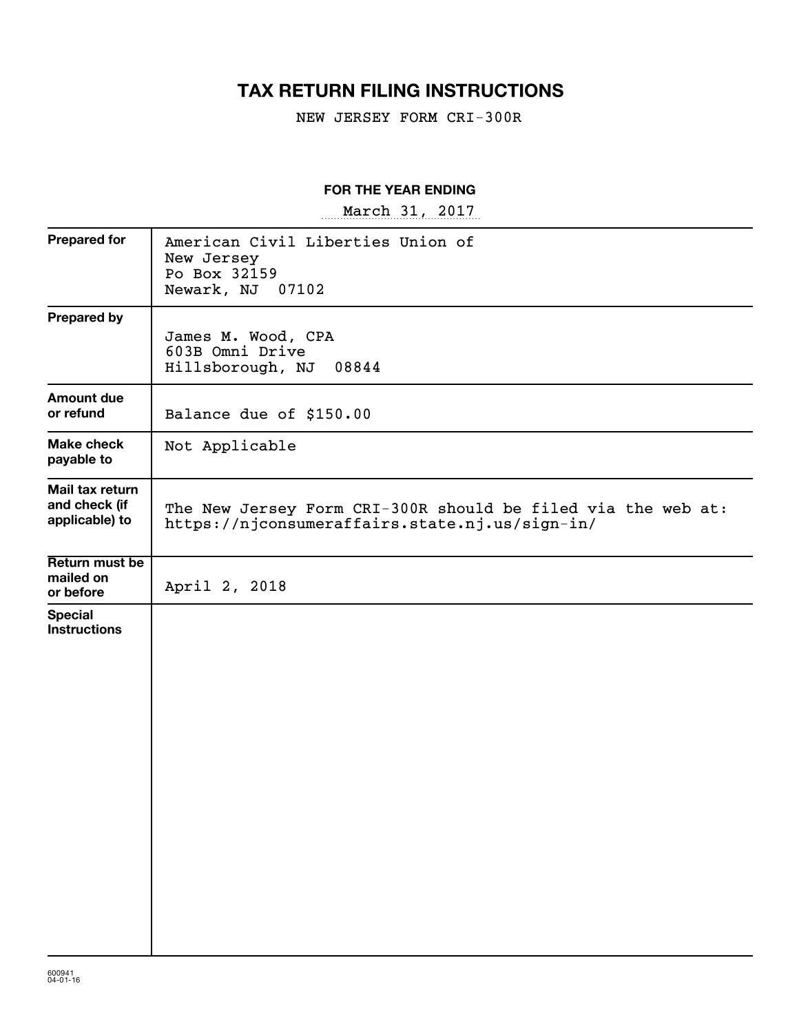## **TAX RETURN FILING INSTRUCTIONS**

NEW JERSEY FORM CRI-300R

### **FOR THE YEAR ENDING**

~~~~~~~~~~~~~~~~~ March 31, 2017

| <b>Prepared for</b>                                | American Civil Liberties Union of<br>New Jersey<br>Po Box 32159<br>Newark, NJ 07102                            |
|----------------------------------------------------|----------------------------------------------------------------------------------------------------------------|
| <b>Prepared by</b>                                 | James M. Wood, CPA<br>603B Omni Drive<br>Hillsborough, NJ<br>08844                                             |
| <b>Amount due</b><br>or refund                     | Balance due of \$150.00                                                                                        |
| <b>Make check</b><br>payable to                    | Not Applicable                                                                                                 |
| Mail tax return<br>and check (if<br>applicable) to | The New Jersey Form CRI-300R should be filed via the web at:<br>https://njconsumeraffairs.state.nj.us/sign-in/ |
| Return must be<br>mailed on<br>or before           | April 2, 2018                                                                                                  |
| <b>Special</b><br><b>Instructions</b>              |                                                                                                                |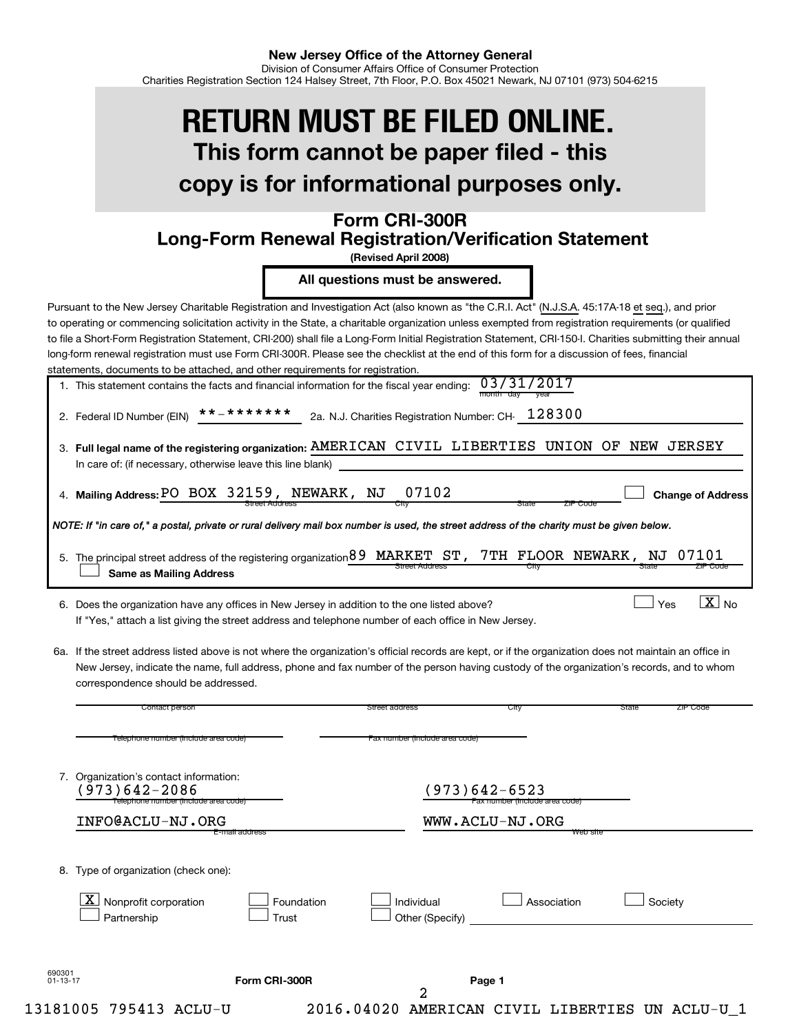# **This form cannot be paper filed - this copy is for informational purposes only. RETURN MUST BE FILED ONLINE.**

## **Form CRI-300R Long-Form Renewal Registration/Verification Statement**

**(Revised April 2008)**

**All questions must be answered.**

Pursuant to the New Jersey Charitable Registration and Investigation Act (also known as "the C.R.I. Act" (N.J.S.A. 45:17A-18 et seq.), and prior to operating or commencing solicitation activity in the State, a charitable organization unless exempted from registration requirements (or qualified to file a Short-Form Registration Statement, CRI-200) shall file a Long-Form Initial Registration Statement, CRI-150-I. Charities submitting their annual long-form renewal registration must use Form CRI-300R. Please see the checklist at the end of this form for a discussion of fees, financial statements, documents to be attached, and other requirements for registration.

| 1. This statement contains the facts and financial information for the fiscal year ending: $03/31/2017$ |                |  |
|---------------------------------------------------------------------------------------------------------|----------------|--|
|                                                                                                         | month day vear |  |

|  | 2. Federal ID Number (EIN) $***$ * * * * * * * * |  | 2a. N.J. Charities Registration Number: CH- $128300$ |  |
|--|--------------------------------------------------|--|------------------------------------------------------|--|
|--|--------------------------------------------------|--|------------------------------------------------------|--|

| 3. Full legal name of the registering organization: AMERICAN CIVIL LIBERTIES UNION OF NEW JERSEY |  |  |  |  |
|--------------------------------------------------------------------------------------------------|--|--|--|--|
| In care of: (if necessary, otherwise leave this line blank)                                      |  |  |  |  |
|                                                                                                  |  |  |  |  |

 $\Box$ 

 $\exists$  Yes

 $\boxed{\text{X}}$  No

Street Address City City State ZIP Code **Mailing Address: Change of Address** 4. PO BOX 32159, NEWARK, NJ 07102

*NOTE: If "in care of," a postal, private or rural delivery mail box number is used, the street address of the charity must be given below.*

| 5. The principal street address of the registering organization 89 MARKET ST, 7TH FLOOR NEWARK, NJ 07101 |                       |  |       |          |
|----------------------------------------------------------------------------------------------------------|-----------------------|--|-------|----------|
| Same as Mailing Address                                                                                  | <b>Street Address</b> |  | state | ZIP Code |

6. Does the organization have any offices in New Jersey in addition to the one listed above? Note  $\Box$  Yes Note  $\Box$  Yes Yes Note 1 If "Yes," attach a list giving the street address and telephone number of each office in New Jersey.

6a. If the street address listed above is not where the organization's official records are kept, or if the organization does not maintain an office in New Jersey, indicate the name, full address, phone and fax number of the person having custody of the organization's records, and to whom correspondence should be addressed.

|                | Contact person                                                                                     |                     | Street address                 | City                                            | State<br>ZIP Code |
|----------------|----------------------------------------------------------------------------------------------------|---------------------|--------------------------------|-------------------------------------------------|-------------------|
|                | Telephone number (include area code)                                                               |                     | Fax number (include area code) |                                                 |                   |
|                | 7. Organization's contact information:<br>$973)642 - 2086$<br>Telephone number (include area code) |                     |                                | (973)642-6523<br>Fax number (include area code) |                   |
|                | INFO@ACLU-NJ.ORG                                                                                   |                     |                                | WWW.ACLU-NJ.ORG                                 |                   |
| 8.             | Type of organization (check one):<br>$\mathbf{X}$<br>Nonprofit corporation<br>Partnership          | Foundation<br>Trust | Individual<br>Other (Specify)  | Association                                     | Society           |
| 690301         |                                                                                                    | Form CRI-300R       |                                | Page 1                                          |                   |
| $01 - 13 - 17$ |                                                                                                    |                     | 2                              |                                                 |                   |
|                | 13181005 795413 ACLU-U                                                                             |                     | 2016.04020<br><b>AMERICAN</b>  | CIVIL LIBERTIES                                 | UN ACLU-U 1       |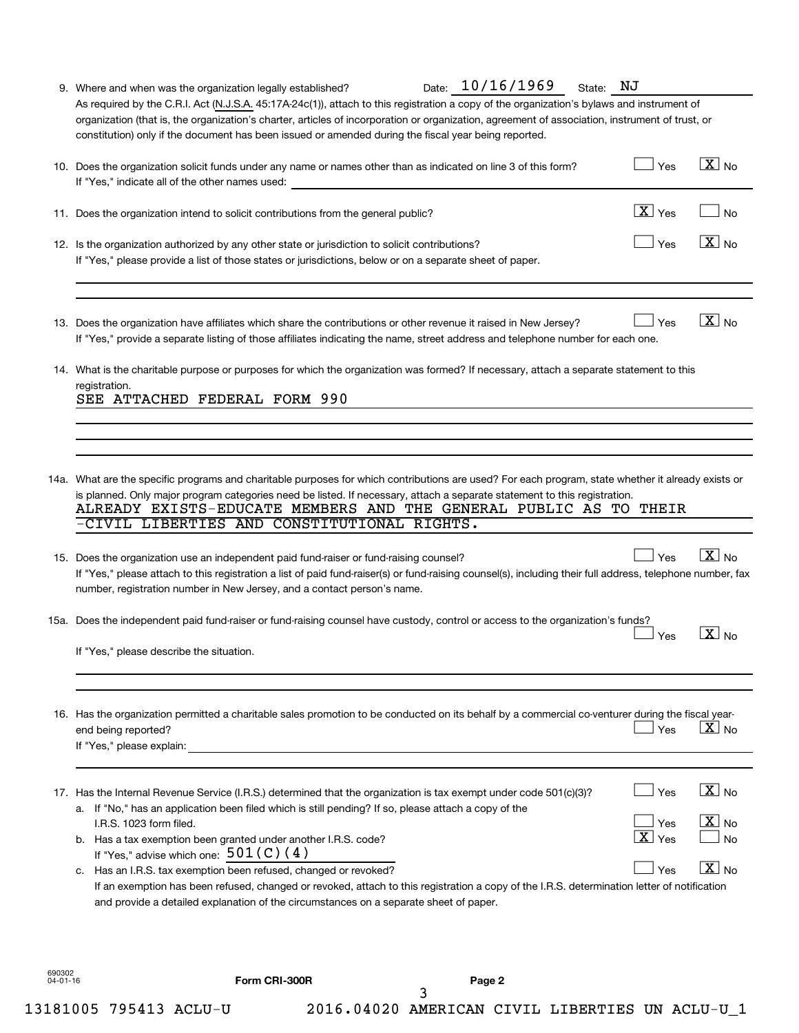|                    | Date: 10/16/1969<br>9. Where and when was the organization legally established?                                                                                                                                                                                                                                                                                                                                                                                                                                                                                                                                                                                                | State: NJ                                   |                                                                                      |
|--------------------|--------------------------------------------------------------------------------------------------------------------------------------------------------------------------------------------------------------------------------------------------------------------------------------------------------------------------------------------------------------------------------------------------------------------------------------------------------------------------------------------------------------------------------------------------------------------------------------------------------------------------------------------------------------------------------|---------------------------------------------|--------------------------------------------------------------------------------------|
|                    | As required by the C.R.I. Act (N.J.S.A. 45:17A-24c(1)), attach to this registration a copy of the organization's bylaws and instrument of<br>organization (that is, the organization's charter, articles of incorporation or organization, agreement of association, instrument of trust, or<br>constitution) only if the document has been issued or amended during the fiscal year being reported.                                                                                                                                                                                                                                                                           |                                             |                                                                                      |
|                    | 10. Does the organization solicit funds under any name or names other than as indicated on line 3 of this form?<br>If "Yes," indicate all of the other names used:                                                                                                                                                                                                                                                                                                                                                                                                                                                                                                             | Yes                                         | $\boxed{\text{X}}$ No                                                                |
|                    | 11. Does the organization intend to solicit contributions from the general public?                                                                                                                                                                                                                                                                                                                                                                                                                                                                                                                                                                                             | $\boxed{\text{X}}$ Yes                      | <b>No</b>                                                                            |
|                    | 12. Is the organization authorized by any other state or jurisdiction to solicit contributions?<br>If "Yes," please provide a list of those states or jurisdictions, below or on a separate sheet of paper.                                                                                                                                                                                                                                                                                                                                                                                                                                                                    | Yes                                         | $\boxed{\text{X}}$ No                                                                |
|                    | 13. Does the organization have affiliates which share the contributions or other revenue it raised in New Jersey?<br>If "Yes," provide a separate listing of those affiliates indicating the name, street address and telephone number for each one.                                                                                                                                                                                                                                                                                                                                                                                                                           | Yes                                         | $\boxed{\text{X}}$ No                                                                |
|                    | 14. What is the charitable purpose or purposes for which the organization was formed? If necessary, attach a separate statement to this<br>registration.<br>SEE ATTACHED FEDERAL FORM 990                                                                                                                                                                                                                                                                                                                                                                                                                                                                                      |                                             |                                                                                      |
|                    |                                                                                                                                                                                                                                                                                                                                                                                                                                                                                                                                                                                                                                                                                |                                             |                                                                                      |
|                    |                                                                                                                                                                                                                                                                                                                                                                                                                                                                                                                                                                                                                                                                                |                                             |                                                                                      |
|                    | 14a. What are the specific programs and charitable purposes for which contributions are used? For each program, state whether it already exists or<br>is planned. Only major program categories need be listed. If necessary, attach a separate statement to this registration.<br>ALREADY EXISTS-EDUCATE MEMBERS AND THE GENERAL PUBLIC AS TO THEIR<br>-CIVIL LIBERTIES AND CONSTITUTIONAL RIGHTS.                                                                                                                                                                                                                                                                            |                                             |                                                                                      |
|                    | 15. Does the organization use an independent paid fund-raiser or fund-raising counsel?<br>If "Yes," please attach to this registration a list of paid fund-raiser(s) or fund-raising counsel(s), including their full address, telephone number, fax<br>number, registration number in New Jersey, and a contact person's name.                                                                                                                                                                                                                                                                                                                                                | Yes                                         | $\boxed{\text{X}}$ No                                                                |
|                    | 15a. Does the independent paid fund-raiser or fund-raising counsel have custody, control or access to the organization's funds?                                                                                                                                                                                                                                                                                                                                                                                                                                                                                                                                                | Yes                                         | $\sqrt{X}$ No                                                                        |
|                    | If "Yes," please describe the situation.                                                                                                                                                                                                                                                                                                                                                                                                                                                                                                                                                                                                                                       |                                             |                                                                                      |
|                    | 16. Has the organization permitted a charitable sales promotion to be conducted on its behalf by a commercial co-venturer during the fiscal year-<br>end being reported?<br>If "Yes," please explain:                                                                                                                                                                                                                                                                                                                                                                                                                                                                          | Yes                                         | $ X _{\sf No}$                                                                       |
|                    | 17. Has the Internal Revenue Service (I.R.S.) determined that the organization is tax exempt under code 501(c)(3)?<br>a. If "No," has an application been filed which is still pending? If so, please attach a copy of the<br>I.R.S. 1023 form filed.<br>b. Has a tax exemption been granted under another I.R.S. code?<br>If "Yes," advise which one: $501(C)(4)$<br>c. Has an I.R.S. tax exemption been refused, changed or revoked?<br>If an exemption has been refused, changed or revoked, attach to this registration a copy of the I.R.S. determination letter of notification<br>and provide a detailed explanation of the circumstances on a separate sheet of paper. | Yes<br>Yes<br>$\boxed{\text{X}}$ Yes<br>Yes | $\boxed{\text{X}}$ No<br>$\boxed{\text{X}}$ No<br><b>No</b><br>$\boxed{\text{X}}$ No |
| 690302<br>04-01-16 | Form CRI-300R<br>Page 2                                                                                                                                                                                                                                                                                                                                                                                                                                                                                                                                                                                                                                                        |                                             |                                                                                      |

| UNI-300K |  |  |
|----------|--|--|
|          |  |  |
|          |  |  |

3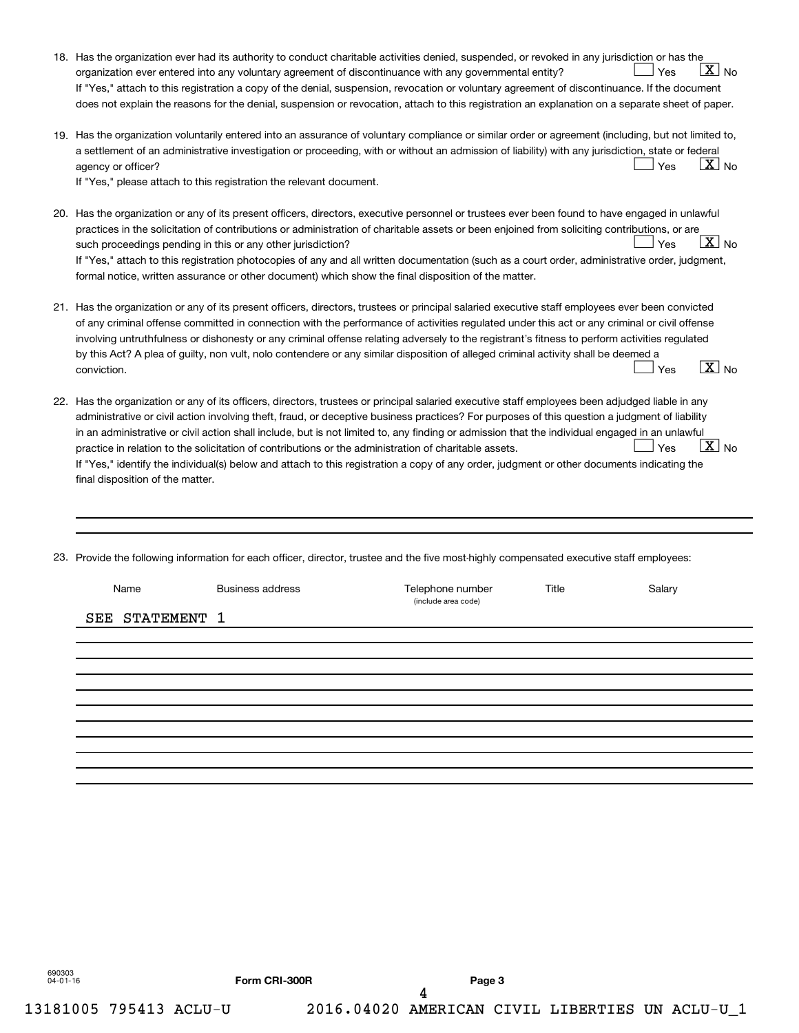| 18. Has the organization ever had its authority to conduct charitable activities denied, suspended, or revoked in any jurisdiction or has the<br>$X_{\text{No}}$<br>organization ever entered into any voluntary agreement of discontinuance with any governmental entity?<br>Yes<br>If "Yes," attach to this registration a copy of the denial, suspension, revocation or voluntary agreement of discontinuance. If the document<br>does not explain the reasons for the denial, suspension or revocation, attach to this registration an explanation on a separate sheet of paper.                                                                                                                                                                                           |
|--------------------------------------------------------------------------------------------------------------------------------------------------------------------------------------------------------------------------------------------------------------------------------------------------------------------------------------------------------------------------------------------------------------------------------------------------------------------------------------------------------------------------------------------------------------------------------------------------------------------------------------------------------------------------------------------------------------------------------------------------------------------------------|
| 19. Has the organization voluntarily entered into an assurance of voluntary compliance or similar order or agreement (including, but not limited to,<br>a settlement of an administrative investigation or proceeding, with or without an admission of liability) with any jurisdiction, state or federal<br>$\lfloor \texttt{X} \rfloor$ No<br>Yes<br>agency or officer?<br>If "Yes," please attach to this registration the relevant document.                                                                                                                                                                                                                                                                                                                               |
| 20. Has the organization or any of its present officers, directors, executive personnel or trustees ever been found to have engaged in unlawful<br>practices in the solicitation of contributions or administration of charitable assets or been enjoined from soliciting contributions, or are<br>$X_{\text{No}}$<br>Yes<br>such proceedings pending in this or any other jurisdiction?<br>If "Yes," attach to this registration photocopies of any and all written documentation (such as a court order, administrative order, judgment,<br>formal notice, written assurance or other document) which show the final disposition of the matter.                                                                                                                              |
| 21. Has the organization or any of its present officers, directors, trustees or principal salaried executive staff employees ever been convicted<br>of any criminal offense committed in connection with the performance of activities regulated under this act or any criminal or civil offense<br>involving untruthfulness or dishonesty or any criminal offense relating adversely to the registrant's fitness to perform activities regulated<br>by this Act? A plea of guilty, non vult, nolo contendere or any similar disposition of alleged criminal activity shall be deemed a<br>$\boxed{\text{X}}$ No<br>conviction.<br>Yes                                                                                                                                         |
| 22. Has the organization or any of its officers, directors, trustees or principal salaried executive staff employees been adjudged liable in any<br>administrative or civil action involving theft, fraud, or deceptive business practices? For purposes of this question a judgment of liability<br>in an administrative or civil action shall include, but is not limited to, any finding or admission that the individual engaged in an unlawful<br>$\boxed{\text{X}}$ No<br>Yes<br>practice in relation to the solicitation of contributions or the administration of charitable assets.<br>If "Yes," identify the individual(s) below and attach to this registration a copy of any order, judgment or other documents indicating the<br>final disposition of the matter. |

23. Provide the following information for each officer, director, trustee and the five most-highly compensated executive staff employees:

| Name            | <b>Business address</b> | Telephone number<br>(include area code) | Title | Salary |
|-----------------|-------------------------|-----------------------------------------|-------|--------|
| SEE STATEMENT 1 |                         |                                         |       |        |
|                 |                         |                                         |       |        |
|                 |                         |                                         |       |        |
|                 |                         |                                         |       |        |
|                 |                         |                                         |       |        |
|                 |                         |                                         |       |        |
|                 |                         |                                         |       |        |
|                 |                         |                                         |       |        |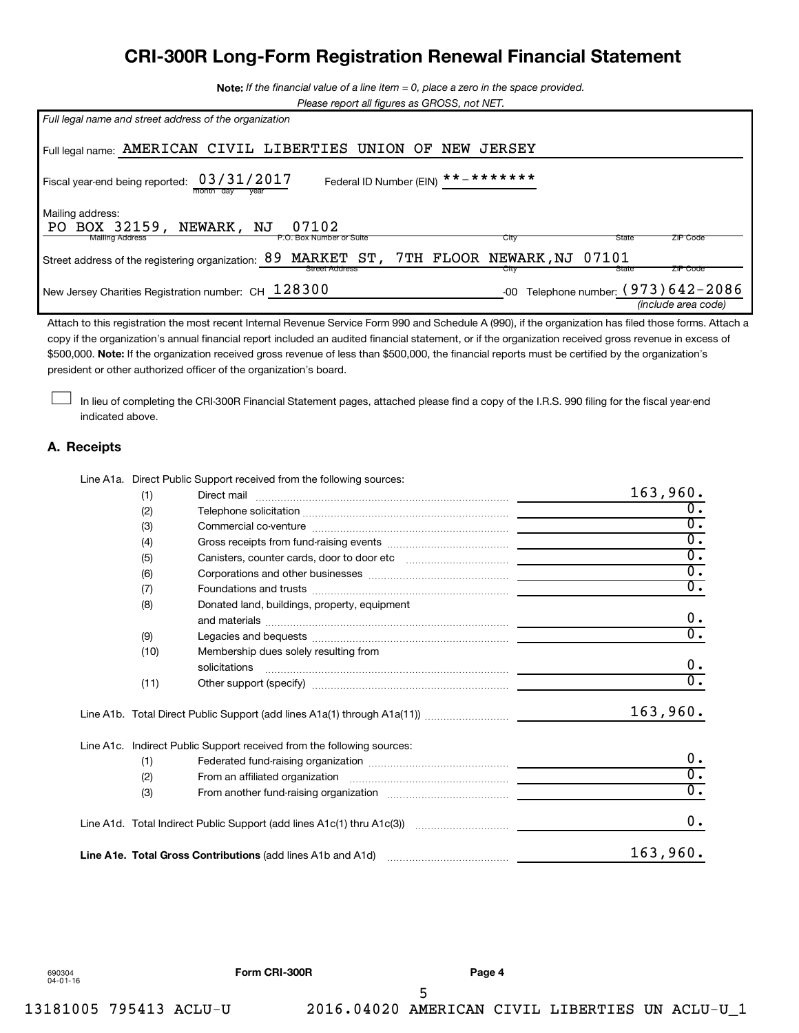## **CRI-300R Long-Form Registration Renewal Financial Statement**

**Note:**  *If the financial value of a line item = 0, place a zero in the space provided.*

|  | Please report all figures as GROSS, not NET. |
|--|----------------------------------------------|

| Full legal name and street address of the organization                                                                                          |
|-------------------------------------------------------------------------------------------------------------------------------------------------|
| Full legal name: AMERICAN CIVIL LIBERTIES UNION OF<br><b>JERSEY</b><br>NEW                                                                      |
| Federal ID Number (EIN) $*********$<br>Fiscal year-end being reported: 03/31/2017                                                               |
| Mailing address:<br>PO BOX 32159, NEWARK, NJ<br>07102<br><b>Mailing Address</b><br><b>ZIP Code</b><br>P.O. Box Number or Suite<br>City<br>State |
| MARKET ST, 7TH FLOOR NEWARK, NJ 07101<br>89<br>Street address of the registering organization:<br>ZIP Code<br>Street Address<br>State<br>City   |
| Telephone number: (973) 642-2086<br>New Jersey Charities Registration number: CH 128300<br>$-00$<br>(include area code)                         |

\$500,000. Note: If the organization received gross revenue of less than \$500,000, the financial reports must be certified by the organization's Attach to this registration the most recent Internal Revenue Service Form 990 and Schedule A (990), if the organization has filed those forms. Attach a copy if the organization's annual financial report included an audited financial statement, or if the organization received gross revenue in excess of president or other authorized officer of the organization's board.

In lieu of completing the CRI-300R Financial Statement pages, attached please find a copy of the I.R.S. 990 filing for the fiscal year-end indicated above.

#### **A. Receipts**

 $\Box$ 

Line A1a. Direct Public Support received from the following sources:

| (1)  |                                                                                                    | 163,960.         |
|------|----------------------------------------------------------------------------------------------------|------------------|
| (2)  |                                                                                                    | $\overline{0}$ . |
| (3)  |                                                                                                    | $\overline{0}$ . |
| (4)  |                                                                                                    | $\overline{0}$ . |
| (5)  |                                                                                                    | $\overline{0}$ . |
| (6)  |                                                                                                    | $\overline{0}$ . |
| (7)  |                                                                                                    | $\overline{0}$ . |
| (8)  | Donated land, buildings, property, equipment                                                       | 0.               |
| (9)  |                                                                                                    | $\overline{0}$ . |
| (10) | Membership dues solely resulting from<br>solicitations                                             | 0.               |
| (11) |                                                                                                    | $\overline{0}$ . |
|      |                                                                                                    | 163,960.         |
|      | Line A1c. Indirect Public Support received from the following sources:                             |                  |
| (1)  |                                                                                                    | $0$ .            |
| (2)  |                                                                                                    | $\overline{0}$ . |
| (3)  |                                                                                                    | $\overline{0}$ . |
|      | Line A1d.   Total Indirect Public Support (add lines A1c(1) thru A1c(3)) …………………………  _____________ | $0$ .            |
|      | Line A1e. Total Gross Contributions (add lines A1b and A1d)                                        | 163,960.         |

5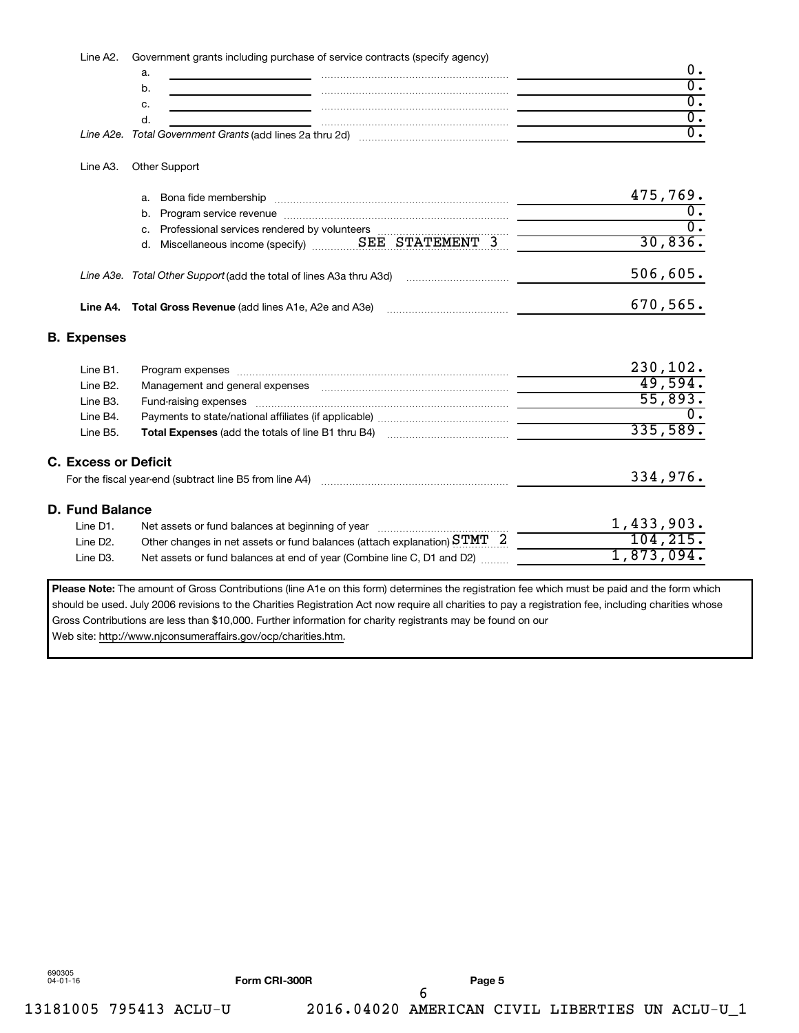Line A2. Government grants including purchase of service contracts (specify agency)

| u. |                                                          |  |
|----|----------------------------------------------------------|--|
| ັ  |                                                          |  |
|    |                                                          |  |
|    |                                                          |  |
|    | Line A2e. Total Government Grants (add lines 2a thru 2d) |  |

#### Line A3. Other Support

|  | a. Bona fide membership                                             | 475,769. |
|--|---------------------------------------------------------------------|----------|
|  | b. Program service revenue                                          |          |
|  | c. Professional services rendered by volunteers                     |          |
|  | d. Miscellaneous income (specify)  SEE STATEMENT 3                  | 30,836.  |
|  | Line A3e. Total Other Support (add the total of lines A3a thru A3d) | 506,605. |
|  | Line A4. Total Gross Revenue (add lines A1e, A2e and A3e)           | 670,565. |

#### **B. Expenses**

| Line B1.                          | Program expenses [111] March 1999 March 1999 March 1999 March 1999 March 1999 March 1999 March 1999 March 1999 March 1999 March 1999 March 1999 March 1999 March 1999 March 1999 March 1999 March 1999 March 1999 March 1999 M | 230, 102.               |
|-----------------------------------|--------------------------------------------------------------------------------------------------------------------------------------------------------------------------------------------------------------------------------|-------------------------|
| Line B2.                          |                                                                                                                                                                                                                                | 49,594.                 |
| Line B3.                          |                                                                                                                                                                                                                                | 55,893.                 |
| Line B4.                          |                                                                                                                                                                                                                                | υ.                      |
| Line B5.                          | <b>Total Expenses</b> (add the totals of line B1 thru B4)                                                                                                                                                                      | 335,589.                |
| <b>C. Excess or Deficit</b>       | For the fiscal year-end (subtract line B5 from line A4)                                                                                                                                                                        | 334,976.                |
| D. Fund Balance                   |                                                                                                                                                                                                                                |                         |
| Line D1.<br>Line D <sub>2</sub> . | Other changes in net assets or fund balances (attach explanation) $\text{STMT} \quad 2$                                                                                                                                        | 1,433,903.<br>104, 215. |
| Line D3.                          | Net assets or fund balances at end of year (Combine line C, D1 and D2)                                                                                                                                                         | 1,873,094.              |
|                                   |                                                                                                                                                                                                                                |                         |

Please Note: The amount of Gross Contributions (line A1e on this form) determines the registration fee which must be paid and the form which should be used. July 2006 revisions to the Charities Registration Act now require all charities to pay a registration fee, including charities whose Gross Contributions are less than \$10,000. Further information for charity registrants may be found on our Web site: http://www.njconsumeraffairs.gov/ocp/charities.htm.

690305 04-01-16

6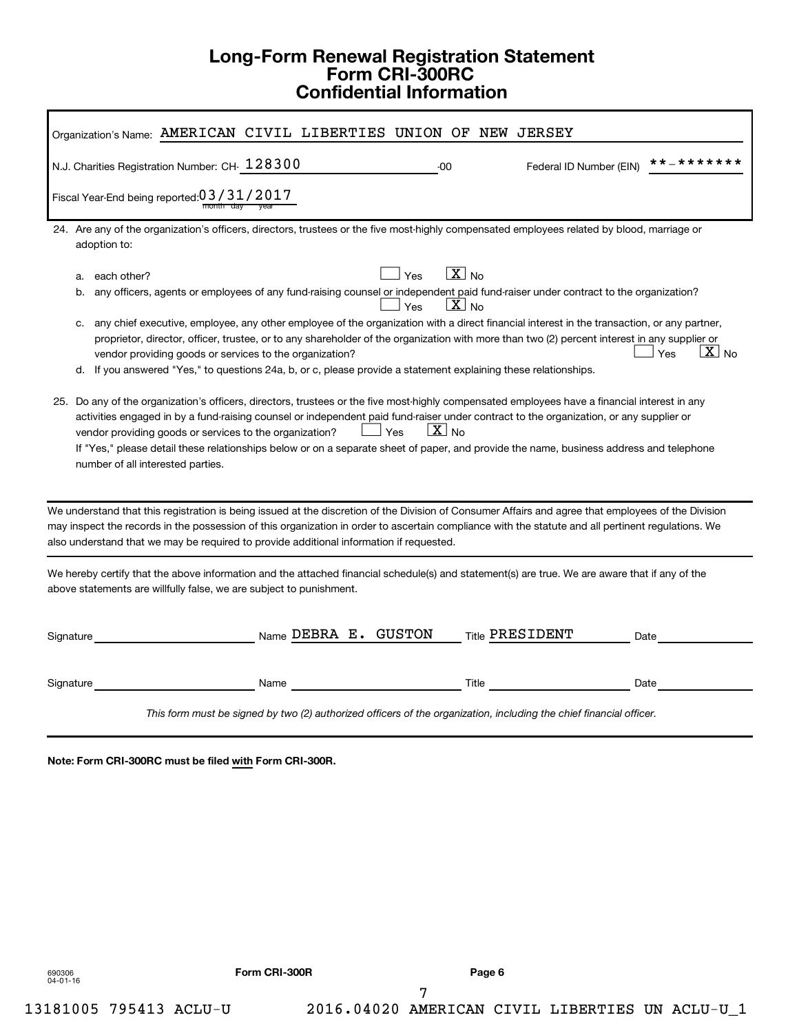## **Long-Form Renewal Registration Statement Form CRI-300RC Confidential Information**

**Note: Form CRI-300RC must be filed with Form CRI-300R.**

690306 04-01-16

7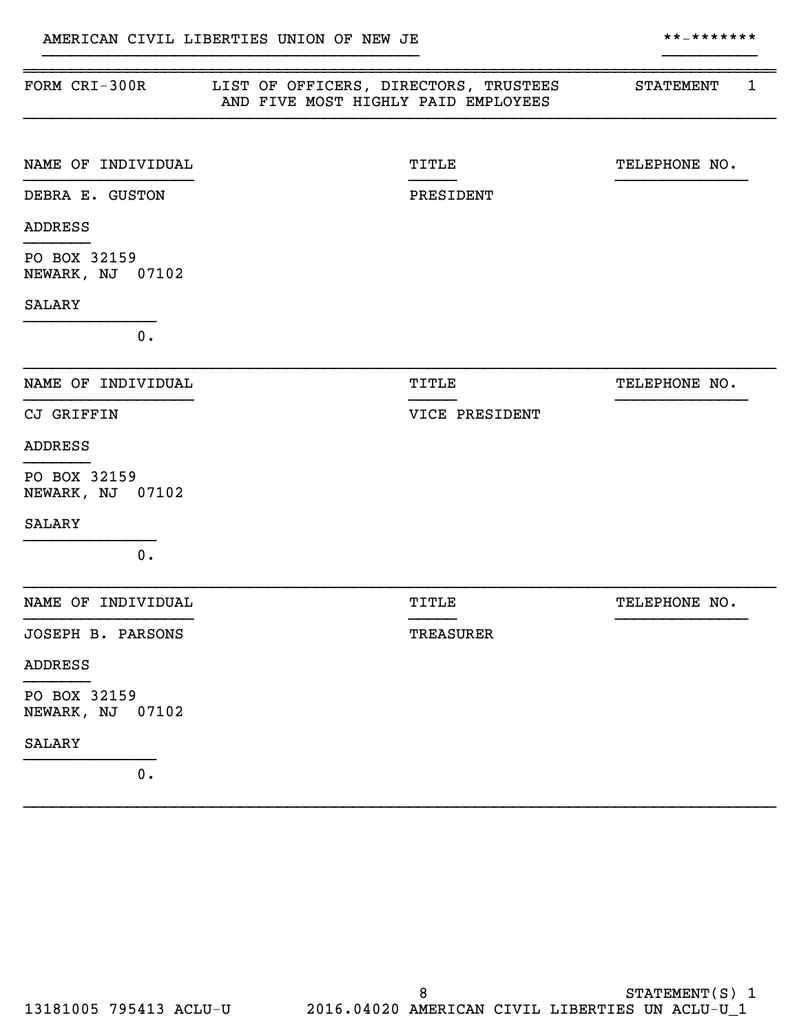| FORM CRI-300R                       | LIST OF OFFICERS, DIRECTORS, TRUSTEES<br>AND FIVE MOST HIGHLY PAID EMPLOYEES | 1<br><b>STATEMENT</b> |
|-------------------------------------|------------------------------------------------------------------------------|-----------------------|
| NAME OF INDIVIDUAL                  | <b>TITLE</b>                                                                 | TELEPHONE NO.         |
| DEBRA E. GUSTON                     | PRESIDENT                                                                    |                       |
| <b>ADDRESS</b>                      |                                                                              |                       |
| PO BOX 32159<br>NEWARK, NJ 07102    |                                                                              |                       |
| <b>SALARY</b>                       |                                                                              |                       |
| $0$ .                               |                                                                              |                       |
| NAME OF INDIVIDUAL                  | <b>TITLE</b>                                                                 | TELEPHONE NO.         |
| CJ GRIFFIN                          | VICE PRESIDENT                                                               |                       |
| <b>ADDRESS</b>                      |                                                                              |                       |
| PO BOX 32159<br>NEWARK, NJ 07102    |                                                                              |                       |
| <b>SALARY</b>                       |                                                                              |                       |
| $0$ .                               |                                                                              |                       |
| NAME OF INDIVIDUAL                  | <b>TITLE</b>                                                                 | TELEPHONE NO.         |
| JOSEPH B. PARSONS                   | <b>TREASURER</b>                                                             |                       |
| <b>ADDRESS</b>                      |                                                                              |                       |
| PO BOX 32159<br>NEWARK, NJ<br>07102 |                                                                              |                       |
| <b>SALARY</b>                       |                                                                              |                       |
| $\mathbf 0$ .                       |                                                                              |                       |

}}}}}}}}}}}}}}}}}}}}}}}}}}}}}}}}}}}}}}}} }}}}}}}}}}

}}}}}}}}}}}}}}}}}}}}}}}}}}}}}}}}}}}}}}}}}}}}}}}}}}}}}}}}}}}}}}}}}}}}}}}}}}}}}}}}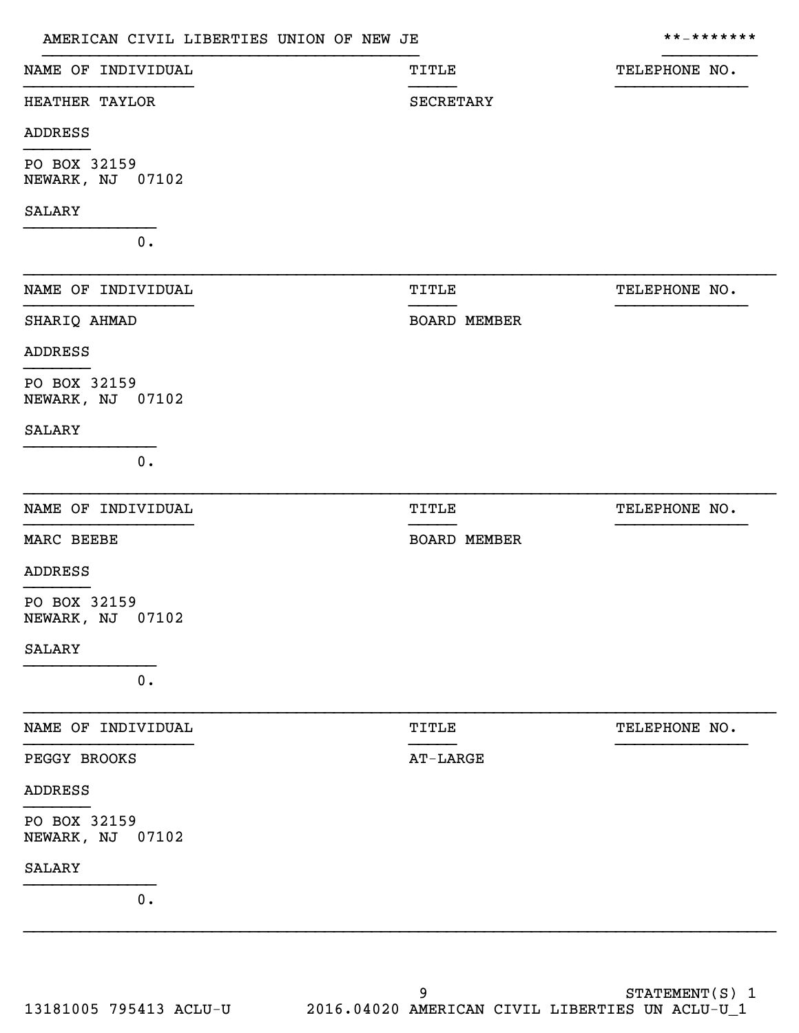|                                  | AMERICAN CIVIL LIBERTIES UNION OF NEW JE |                     | **_*******    |  |
|----------------------------------|------------------------------------------|---------------------|---------------|--|
| NAME OF INDIVIDUAL               |                                          | <b>TITLE</b>        | TELEPHONE NO. |  |
| HEATHER TAYLOR                   |                                          | <b>SECRETARY</b>    |               |  |
| ADDRESS                          |                                          |                     |               |  |
| PO BOX 32159<br>NEWARK, NJ 07102 |                                          |                     |               |  |
| SALARY                           |                                          |                     |               |  |
| $0$ .                            |                                          |                     |               |  |
| NAME OF INDIVIDUAL               |                                          | TITLE               | TELEPHONE NO. |  |
| SHARIQ AHMAD                     |                                          | <b>BOARD MEMBER</b> |               |  |
| ADDRESS                          |                                          |                     |               |  |
| PO BOX 32159<br>NEWARK, NJ 07102 |                                          |                     |               |  |
| <b>SALARY</b>                    |                                          |                     |               |  |
| $0$ .                            |                                          |                     |               |  |
| NAME OF INDIVIDUAL               |                                          | <b>TITLE</b>        | TELEPHONE NO. |  |
| MARC BEEBE                       |                                          | <b>BOARD MEMBER</b> |               |  |
| <b>ADDRESS</b>                   |                                          |                     |               |  |
| PO BOX 32159<br>NEWARK, NJ 07102 |                                          |                     |               |  |
| SALARY                           |                                          |                     |               |  |
| $0$ .                            |                                          |                     |               |  |
| NAME OF INDIVIDUAL               |                                          | TITLE               | TELEPHONE NO. |  |
| PEGGY BROOKS                     |                                          | AT-LARGE            |               |  |
| ADDRESS                          |                                          |                     |               |  |
| PO BOX 32159<br>NEWARK, NJ 07102 |                                          |                     |               |  |
| SALARY                           |                                          |                     |               |  |
| $0$ .                            |                                          |                     |               |  |
|                                  |                                          |                     |               |  |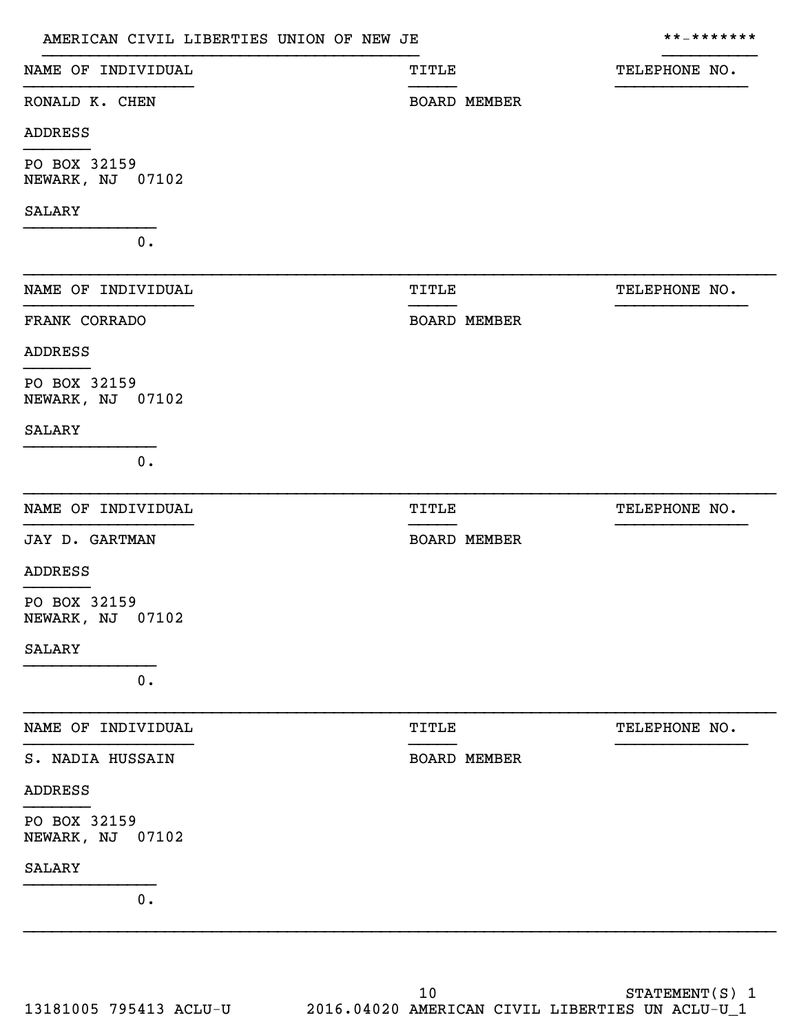|                                  | AMERICAN CIVIL LIBERTIES UNION OF NEW JE |              |                     | * * _ * * * * * * * |
|----------------------------------|------------------------------------------|--------------|---------------------|---------------------|
| NAME OF INDIVIDUAL               |                                          | <b>TITLE</b> |                     | TELEPHONE NO.       |
| RONALD K. CHEN                   |                                          |              | <b>BOARD MEMBER</b> |                     |
| ADDRESS                          |                                          |              |                     |                     |
| PO BOX 32159<br>NEWARK, NJ 07102 |                                          |              |                     |                     |
| <b>SALARY</b>                    |                                          |              |                     |                     |
| $0$ .                            |                                          |              |                     |                     |
| NAME OF INDIVIDUAL               |                                          | <b>TITLE</b> |                     | TELEPHONE NO.       |
| FRANK CORRADO                    |                                          |              | <b>BOARD MEMBER</b> |                     |
| ADDRESS                          |                                          |              |                     |                     |
| PO BOX 32159<br>NEWARK, NJ 07102 |                                          |              |                     |                     |
| <b>SALARY</b>                    |                                          |              |                     |                     |
| $0$ .                            |                                          |              |                     |                     |
| NAME OF INDIVIDUAL               |                                          | <b>TITLE</b> |                     | TELEPHONE NO.       |
| JAY D. GARTMAN                   |                                          |              | <b>BOARD MEMBER</b> |                     |
| ADDRESS                          |                                          |              |                     |                     |
| PO BOX 32159<br>NEWARK, NJ 07102 |                                          |              |                     |                     |
| <b>SALARY</b>                    |                                          |              |                     |                     |
| 0.                               |                                          |              |                     |                     |
| NAME OF INDIVIDUAL               |                                          | TITLE        |                     | TELEPHONE NO.       |
| S. NADIA HUSSAIN                 |                                          |              | <b>BOARD MEMBER</b> |                     |
| <b>ADDRESS</b>                   |                                          |              |                     |                     |
| PO BOX 32159<br>NEWARK, NJ 07102 |                                          |              |                     |                     |
| <b>SALARY</b>                    |                                          |              |                     |                     |
| $0$ .                            |                                          |              |                     |                     |
|                                  |                                          |              |                     |                     |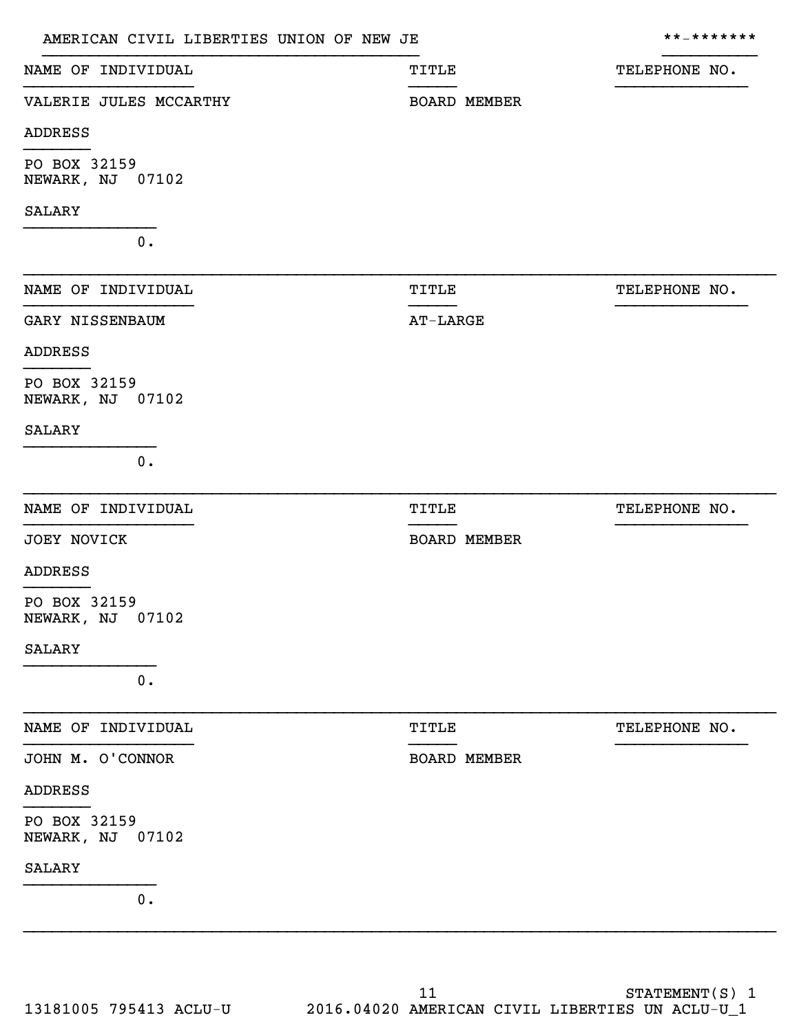| AMERICAN CIVIL LIBERTIES UNION OF NEW JE |                     | * * _ * * * * * * * |
|------------------------------------------|---------------------|---------------------|
| NAME OF INDIVIDUAL                       | TITLE               | TELEPHONE NO.       |
| VALERIE JULES MCCARTHY                   | <b>BOARD MEMBER</b> |                     |
| <b>ADDRESS</b>                           |                     |                     |
| PO BOX 32159<br>NEWARK, NJ 07102         |                     |                     |
| <b>SALARY</b>                            |                     |                     |
| 0.                                       |                     |                     |
| NAME OF INDIVIDUAL                       | TITLE               | TELEPHONE NO.       |
| GARY NISSENBAUM                          | <b>AT-LARGE</b>     |                     |
| <b>ADDRESS</b>                           |                     |                     |
| PO BOX 32159<br>NEWARK, NJ 07102         |                     |                     |
| SALARY                                   |                     |                     |
| $0$ .                                    |                     |                     |
| NAME OF INDIVIDUAL                       | TITLE               | TELEPHONE NO.       |
| <b>JOEY NOVICK</b>                       | <b>BOARD MEMBER</b> |                     |
| <b>ADDRESS</b>                           |                     |                     |
| PO BOX 32159<br>NEWARK, NJ 07102         |                     |                     |
| SALARY                                   |                     |                     |
| $0$ .                                    |                     |                     |
| NAME OF INDIVIDUAL                       | TITLE               | TELEPHONE NO.       |
| JOHN M. O'CONNOR                         | <b>BOARD MEMBER</b> |                     |
| <b>ADDRESS</b>                           |                     |                     |
| PO BOX 32159<br>NEWARK, NJ 07102         |                     |                     |
| SALARY                                   |                     |                     |
| $\mathbf 0$ .                            |                     |                     |
|                                          |                     |                     |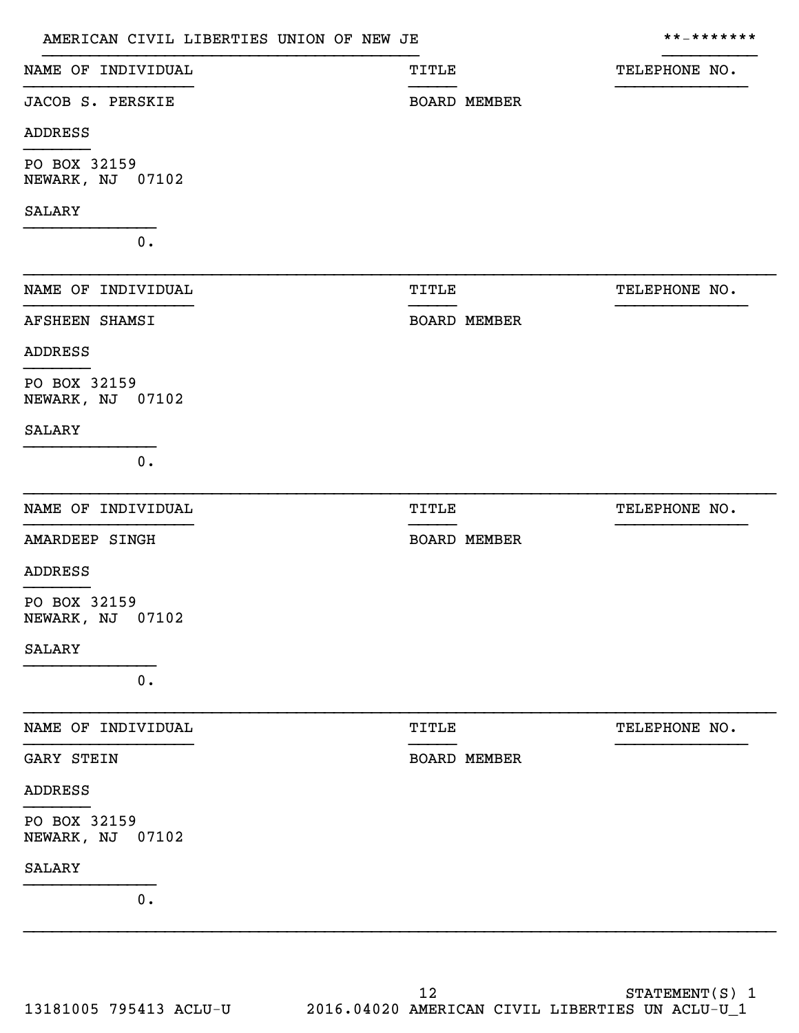| AMERICAN CIVIL LIBERTIES UNION OF NEW JE |              |                     | * * _ * * * * * * * |
|------------------------------------------|--------------|---------------------|---------------------|
| NAME OF INDIVIDUAL                       | TITLE        |                     | TELEPHONE NO.       |
| JACOB S. PERSKIE                         |              | <b>BOARD MEMBER</b> |                     |
| <b>ADDRESS</b>                           |              |                     |                     |
| PO BOX 32159<br>NEWARK, NJ 07102         |              |                     |                     |
| SALARY                                   |              |                     |                     |
| $0$ .                                    |              |                     |                     |
| NAME OF INDIVIDUAL                       | TITLE        |                     | TELEPHONE NO.       |
| <b>AFSHEEN SHAMSI</b>                    |              | <b>BOARD MEMBER</b> |                     |
| <b>ADDRESS</b>                           |              |                     |                     |
| PO BOX 32159<br>NEWARK, NJ 07102         |              |                     |                     |
| SALARY                                   |              |                     |                     |
| $0$ .                                    |              |                     |                     |
| NAME OF INDIVIDUAL                       | <b>TITLE</b> |                     | TELEPHONE NO.       |
| AMARDEEP SINGH                           |              | <b>BOARD MEMBER</b> |                     |
| <b>ADDRESS</b>                           |              |                     |                     |
| PO BOX 32159<br>NEWARK, NJ 07102         |              |                     |                     |
| <b>SALARY</b>                            |              |                     |                     |
| $0$ .                                    |              |                     |                     |
| NAME OF INDIVIDUAL                       | TITLE        |                     | TELEPHONE NO.       |
| GARY STEIN                               |              | <b>BOARD MEMBER</b> |                     |
| <b>ADDRESS</b>                           |              |                     |                     |
| PO BOX 32159<br>NEWARK, NJ 07102         |              |                     |                     |
| SALARY                                   |              |                     |                     |
| $0$ .                                    |              |                     |                     |
|                                          |              |                     |                     |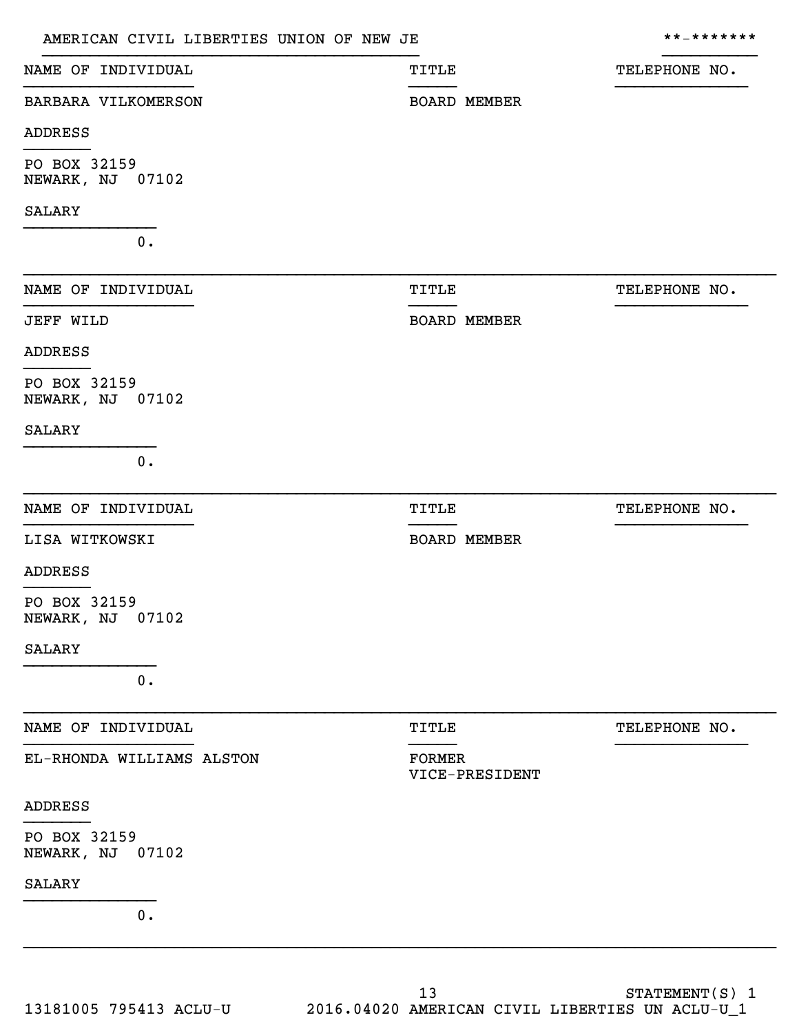| AMERICAN CIVIL LIBERTIES UNION OF NEW JE |                                 | * * _ * * * * * * * |
|------------------------------------------|---------------------------------|---------------------|
| NAME OF INDIVIDUAL                       | <b>TITLE</b>                    | TELEPHONE NO.       |
| BARBARA VILKOMERSON                      | <b>BOARD MEMBER</b>             |                     |
| <b>ADDRESS</b>                           |                                 |                     |
| PO BOX 32159<br>NEWARK, NJ 07102         |                                 |                     |
| <b>SALARY</b>                            |                                 |                     |
| $0$ .                                    |                                 |                     |
| NAME OF INDIVIDUAL                       | <b>TITLE</b>                    | TELEPHONE NO.       |
| <b>JEFF WILD</b>                         | <b>BOARD MEMBER</b>             |                     |
| ADDRESS                                  |                                 |                     |
| PO BOX 32159<br>NEWARK, NJ 07102         |                                 |                     |
| <b>SALARY</b>                            |                                 |                     |
| $0$ .                                    |                                 |                     |
| NAME OF INDIVIDUAL                       | <b>TITLE</b>                    | TELEPHONE NO.       |
| LISA WITKOWSKI                           | <b>BOARD MEMBER</b>             |                     |
| ADDRESS                                  |                                 |                     |
| PO BOX 32159<br>NEWARK, NJ 07102         |                                 |                     |
| <b>SALARY</b>                            |                                 |                     |
| 0.                                       |                                 |                     |
| NAME OF INDIVIDUAL                       | <b>TITLE</b>                    | TELEPHONE NO.       |
| EL-RHONDA WILLIAMS ALSTON                | <b>FORMER</b><br>VICE-PRESIDENT |                     |
| ADDRESS                                  |                                 |                     |
| PO BOX 32159<br>NEWARK, NJ 07102         |                                 |                     |
| <b>SALARY</b>                            |                                 |                     |
| $0$ .                                    |                                 |                     |